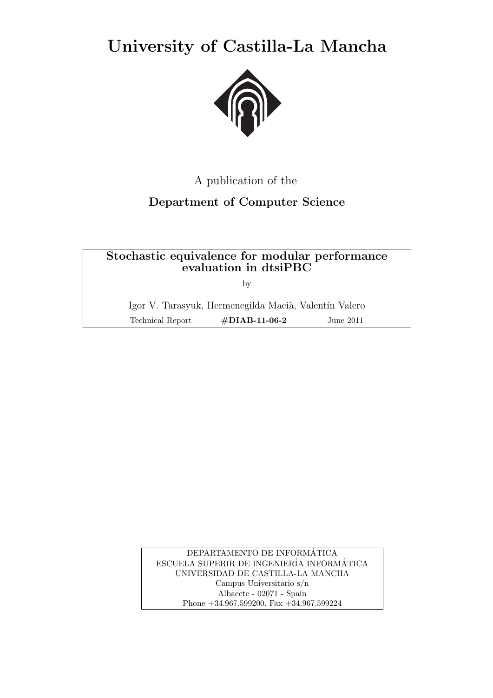**University of Castilla-La Mancha**



# A publication of the

# **Department of Computer Science**

# **Stochastic equivalence for modular performance evaluation in dtsiPBC**

by

Igor V. Tarasyuk, Hermenegilda Macià, Valentín Valero Technical Report **#DIAB-11-06-2** June 2011

> DEPARTAMENTO DE INFORMATICA ´ ESCUELA SUPERIR DE INGENIERÍA INFORMÁTICA UNIVERSIDAD DE CASTILLA-LA MANCHA Campus Universitario s/n Albacete - 02071 - Spain Phone +34.967.599200, Fax +34.967.599224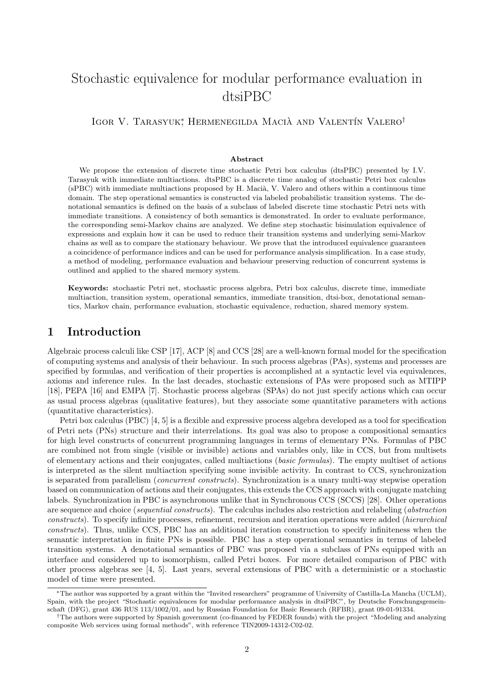# Stochastic equivalence for modular performance evaluation in dtsiPBC

IGOR V. TARASYUK<sup>∗</sup> HERMENEGILDA MACIÀ AND VALENTÍN VALERO<sup>†</sup>

#### **Abstract**

We propose the extension of discrete time stochastic Petri box calculus (dtsPBC) presented by I.V. Tarasyuk with immediate multiactions. dtsPBC is a discrete time analog of stochastic Petri box calculus (sPBC) with immediate multiactions proposed by H. Macià, V. Valero and others within a continuous time domain. The step operational semantics is constructed via labeled probabilistic transition systems. The denotational semantics is defined on the basis of a subclass of labeled discrete time stochastic Petri nets with immediate transitions. A consistency of both semantics is demonstrated. In order to evaluate performance, the corresponding semi-Markov chains are analyzed. We define step stochastic bisimulation equivalence of expressions and explain how it can be used to reduce their transition systems and underlying semi-Markov chains as well as to compare the stationary behaviour. We prove that the introduced equivalence guarantees a coincidence of performance indices and can be used for performance analysis simplification. In a case study, a method of modeling, performance evaluation and behaviour preserving reduction of concurrent systems is outlined and applied to the shared memory system.

**Keywords:** stochastic Petri net, stochastic process algebra, Petri box calculus, discrete time, immediate multiaction, transition system, operational semantics, immediate transition, dtsi-box, denotational semantics, Markov chain, performance evaluation, stochastic equivalence, reduction, shared memory system.

## **1 Introduction**

Algebraic process calculi like CSP [17], ACP [8] and CCS [28] are a well-known formal model for the specification of computing systems and analysis of their behaviour. In such process algebras (PAs), systems and processes are specified by formulas, and verification of their properties is accomplished at a syntactic level via equivalences, axioms and inference rules. In the last decades, stochastic extensions of PAs were proposed such as MTIPP [18], PEPA [16] and EMPA [7]. Stochastic process algebras (SPAs) do not just specify actions which can occur as usual process algebras (qualitative features), but they associate some quantitative parameters with actions (quantitative characteristics).

Petri box calculus (PBC) [4, 5] is a flexible and expressive process algebra developed as a tool for specification of Petri nets (PNs) structure and their interrelations. Its goal was also to propose a compositional semantics for high level constructs of concurrent programming languages in terms of elementary PNs. Formulas of PBC are combined not from single (visible or invisible) actions and variables only, like in CCS, but from multisets of elementary actions and their conjugates, called multiactions (*basic formulas*). The empty multiset of actions is interpreted as the silent multiaction specifying some invisible activity. In contrast to CCS, synchronization is separated from parallelism (*concurrent constructs*). Synchronization is a unary multi-way stepwise operation based on communication of actions and their conjugates, this extends the CCS approach with conjugate matching labels. Synchronization in PBC is asynchronous unlike that in Synchronous CCS (SCCS) [28]. Other operations are sequence and choice (*sequential constructs*). The calculus includes also restriction and relabeling (*abstraction constructs*). To specify infinite processes, refinement, recursion and iteration operations were added (*hierarchical constructs*). Thus, unlike CCS, PBC has an additional iteration construction to specify infiniteness when the semantic interpretation in finite PNs is possible. PBC has a step operational semantics in terms of labeled transition systems. A denotational semantics of PBC was proposed via a subclass of PNs equipped with an interface and considered up to isomorphism, called Petri boxes. For more detailed comparison of PBC with other process algebras see [4, 5]. Last years, several extensions of PBC with a deterministic or a stochastic model of time were presented.

*<sup>∗</sup>*The author was supported by a grant within the "Invited researchers" programme of University of Castilla-La Mancha (UCLM), Spain, with the project "Stochastic equivalences for modular performance analysis in dtsiPBC", by Deutsche Forschungsgemeinschaft (DFG), grant 436 RUS 113/1002/01, and by Russian Foundation for Basic Research (RFBR), grant 09-01-91334.

*<sup>†</sup>*The authors were supported by Spanish government (co-financed by FEDER founds) with the project "Modeling and analyzing composite Web services using formal methods", with reference TIN2009-14312-C02-02.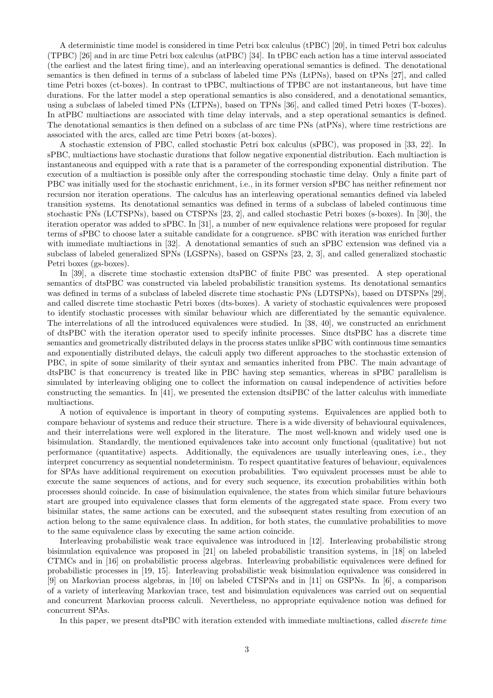A deterministic time model is considered in time Petri box calculus (tPBC) [20], in timed Petri box calculus (TPBC) [26] and in arc time Petri box calculus (atPBC) [34]. In tPBC each action has a time interval associated (the earliest and the latest firing time), and an interleaving operational semantics is defined. The denotational semantics is then defined in terms of a subclass of labeled time PNs (LtPNs), based on tPNs [27], and called time Petri boxes (ct-boxes). In contrast to tPBC, multiactions of TPBC are not instantaneous, but have time durations. For the latter model a step operational semantics is also considered, and a denotational semantics, using a subclass of labeled timed PNs (LTPNs), based on TPNs [36], and called timed Petri boxes (T-boxes). In atPBC multiactions are associated with time delay intervals, and a step operational semantics is defined. The denotational semantics is then defined on a subclass of arc time PNs (atPNs), where time restrictions are associated with the arcs, called arc time Petri boxes (at-boxes).

A stochastic extension of PBC, called stochastic Petri box calculus (sPBC), was proposed in [33, 22]. In sPBC, multiactions have stochastic durations that follow negative exponential distribution. Each multiaction is instantaneous and equipped with a rate that is a parameter of the corresponding exponential distribution. The execution of a multiaction is possible only after the corresponding stochastic time delay. Only a finite part of PBC was initially used for the stochastic enrichment, i.e., in its former version sPBC has neither refinement nor recursion nor iteration operations. The calculus has an interleaving operational semantics defined via labeled transition systems. Its denotational semantics was defined in terms of a subclass of labeled continuous time stochastic PNs (LCTSPNs), based on CTSPNs [23, 2], and called stochastic Petri boxes (s-boxes). In [30], the iteration operator was added to sPBC. In [31], a number of new equivalence relations were proposed for regular terms of sPBC to choose later a suitable candidate for a congruence. sPBC with iteration was enriched further with immediate multiactions in [32]. A denotational semantics of such an sPBC extension was defined via a subclass of labeled generalized SPNs (LGSPNs), based on GSPNs [23, 2, 3], and called generalized stochastic Petri boxes (gs-boxes).

In [39], a discrete time stochastic extension dtsPBC of finite PBC was presented. A step operational semantics of dtsPBC was constructed via labeled probabilistic transition systems. Its denotational semantics was defined in terms of a subclass of labeled discrete time stochastic PNs (LDTSPNs), based on DTSPNs [29], and called discrete time stochastic Petri boxes (dts-boxes). A variety of stochastic equivalences were proposed to identify stochastic processes with similar behaviour which are differentiated by the semantic equivalence. The interrelations of all the introduced equivalences were studied. In [38, 40], we constructed an enrichment of dtsPBC with the iteration operator used to specify infinite processes. Since dtsPBC has a discrete time semantics and geometrically distributed delays in the process states unlike sPBC with continuous time semantics and exponentially distributed delays, the calculi apply two different approaches to the stochastic extension of PBC, in spite of some similarity of their syntax and semantics inherited from PBC. The main advantage of dtsPBC is that concurrency is treated like in PBC having step semantics, whereas in sPBC parallelism is simulated by interleaving obliging one to collect the information on causal independence of activities before constructing the semantics. In [41], we presented the extension dtsiPBC of the latter calculus with immediate multiactions.

A notion of equivalence is important in theory of computing systems. Equivalences are applied both to compare behaviour of systems and reduce their structure. There is a wide diversity of behavioural equivalences, and their interrelations were well explored in the literature. The most well-known and widely used one is bisimulation. Standardly, the mentioned equivalences take into account only functional (qualitative) but not performance (quantitative) aspects. Additionally, the equivalences are usually interleaving ones, i.e., they interpret concurrency as sequential nondeterminism. To respect quantitative features of behaviour, equivalences for SPAs have additional requirement on execution probabilities. Two equivalent processes must be able to execute the same sequences of actions, and for every such sequence, its execution probabilities within both processes should coincide. In case of bisimulation equivalence, the states from which similar future behaviours start are grouped into equivalence classes that form elements of the aggregated state space. From every two bisimilar states, the same actions can be executed, and the subsequent states resulting from execution of an action belong to the same equivalence class. In addition, for both states, the cumulative probabilities to move to the same equivalence class by executing the same action coincide.

Interleaving probabilistic weak trace equivalence was introduced in [12]. Interleaving probabilistic strong bisimulation equivalence was proposed in [21] on labeled probabilistic transition systems, in [18] on labeled CTMCs and in [16] on probabilistic process algebras. Interleaving probabilistic equivalences were defined for probabilistic processes in [19, 15]. Interleaving probabilistic weak bisimulation equivalence was considered in [9] on Markovian process algebras, in [10] on labeled CTSPNs and in [11] on GSPNs. In [6], a comparison of a variety of interleaving Markovian trace, test and bisimulation equivalences was carried out on sequential and concurrent Markovian process calculi. Nevertheless, no appropriate equivalence notion was defined for concurrent SPAs.

In this paper, we present dtsPBC with iteration extended with immediate multiactions, called *discrete time*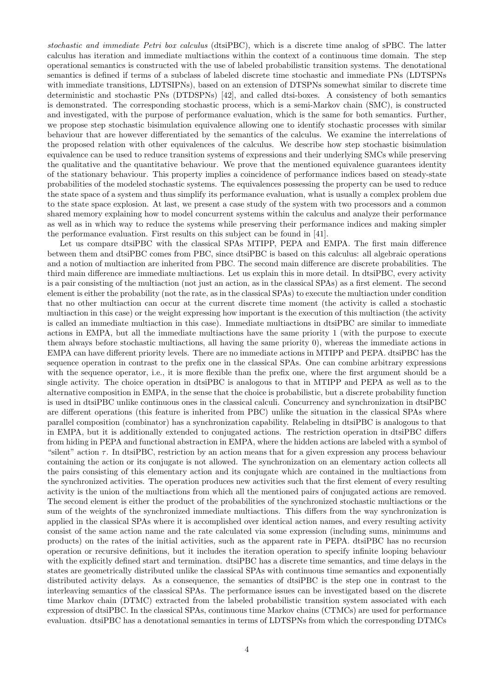*stochastic and immediate Petri box calculus* (dtsiPBC), which is a discrete time analog of sPBC. The latter calculus has iteration and immediate multiactions within the context of a continuous time domain. The step operational semantics is constructed with the use of labeled probabilistic transition systems. The denotational semantics is defined if terms of a subclass of labeled discrete time stochastic and immediate PNs (LDTSPNs with immediate transitions, LDTSIPNs), based on an extension of DTSPNs somewhat similar to discrete time deterministic and stochastic PNs (DTDSPNs) [42], and called dtsi-boxes. A consistency of both semantics is demonstrated. The corresponding stochastic process, which is a semi-Markov chain (SMC), is constructed and investigated, with the purpose of performance evaluation, which is the same for both semantics. Further, we propose step stochastic bisimulation equivalence allowing one to identify stochastic processes with similar behaviour that are however differentiated by the semantics of the calculus. We examine the interrelations of the proposed relation with other equivalences of the calculus. We describe how step stochastic bisimulation equivalence can be used to reduce transition systems of expressions and their underlying SMCs while preserving the qualitative and the quantitative behaviour. We prove that the mentioned equivalence guarantees identity of the stationary behaviour. This property implies a coincidence of performance indices based on steady-state probabilities of the modeled stochastic systems. The equivalences possessing the property can be used to reduce the state space of a system and thus simplify its performance evaluation, what is usually a complex problem due to the state space explosion. At last, we present a case study of the system with two processors and a common shared memory explaining how to model concurrent systems within the calculus and analyze their performance as well as in which way to reduce the systems while preserving their performance indices and making simpler the performance evaluation. First results on this subject can be found in [41].

Let us compare dtsiPBC with the classical SPAs MTIPP, PEPA and EMPA. The first main difference between them and dtsiPBC comes from PBC, since dtsiPBC is based on this calculus: all algebraic operations and a notion of multiaction are inherited from PBC. The second main difference are discrete probabilities. The third main difference are immediate multiactions. Let us explain this in more detail. In dtsiPBC, every activity is a pair consisting of the multiaction (not just an action, as in the classical SPAs) as a first element. The second element is either the probability (not the rate, as in the classical SPAs) to execute the multiaction under condition that no other multiaction can occur at the current discrete time moment (the activity is called a stochastic multiaction in this case) or the weight expressing how important is the execution of this multiaction (the activity is called an immediate multiaction in this case). Immediate multiactions in dtsiPBC are similar to immediate actions in EMPA, but all the immediate multiactions have the same priority 1 (with the purpose to execute them always before stochastic multiactions, all having the same priority 0), whereas the immediate actions in EMPA can have different priority levels. There are no immediate actions in MTIPP and PEPA. dtsiPBC has the sequence operation in contrast to the prefix one in the classical SPAs. One can combine arbitrary expressions with the sequence operator, i.e., it is more flexible than the prefix one, where the first argument should be a single activity. The choice operation in dtsiPBC is analogous to that in MTIPP and PEPA as well as to the alternative composition in EMPA, in the sense that the choice is probabilistic, but a discrete probability function is used in dtsiPBC unlike continuous ones in the classical calculi. Concurrency and synchronization in dtsiPBC are different operations (this feature is inherited from PBC) unlike the situation in the classical SPAs where parallel composition (combinator) has a synchronization capability. Relabeling in dtsiPBC is analogous to that in EMPA, but it is additionally extended to conjugated actions. The restriction operation in dtsiPBC differs from hiding in PEPA and functional abstraction in EMPA, where the hidden actions are labeled with a symbol of "silent" action *τ* . In dtsiPBC, restriction by an action means that for a given expression any process behaviour containing the action or its conjugate is not allowed. The synchronization on an elementary action collects all the pairs consisting of this elementary action and its conjugate which are contained in the multiactions from the synchronized activities. The operation produces new activities such that the first element of every resulting activity is the union of the multiactions from which all the mentioned pairs of conjugated actions are removed. The second element is either the product of the probabilities of the synchronized stochastic multiactions or the sum of the weights of the synchronized immediate multiactions. This differs from the way synchronization is applied in the classical SPAs where it is accomplished over identical action names, and every resulting activity consist of the same action name and the rate calculated via some expression (including sums, minimums and products) on the rates of the initial activities, such as the apparent rate in PEPA. dtsiPBC has no recursion operation or recursive definitions, but it includes the iteration operation to specify infinite looping behaviour with the explicitly defined start and termination. dtsiPBC has a discrete time semantics, and time delays in the states are geometrically distributed unlike the classical SPAs with continuous time semantics and exponentially distributed activity delays. As a consequence, the semantics of dtsiPBC is the step one in contrast to the interleaving semantics of the classical SPAs. The performance issues can be investigated based on the discrete time Markov chain (DTMC) extracted from the labeled probabilistic transition system associated with each expression of dtsiPBC. In the classical SPAs, continuous time Markov chains (CTMCs) are used for performance evaluation. dtsiPBC has a denotational semantics in terms of LDTSPNs from which the corresponding DTMCs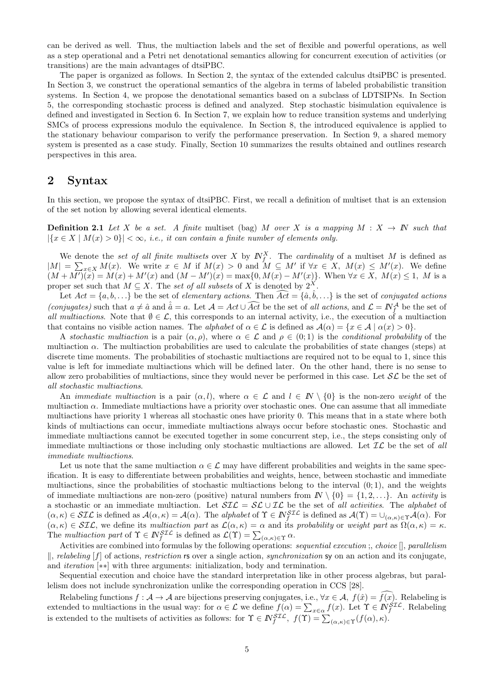can be derived as well. Thus, the multiaction labels and the set of flexible and powerful operations, as well as a step operational and a Petri net denotational semantics allowing for concurrent execution of activities (or transitions) are the main advantages of dtsiPBC.

The paper is organized as follows. In Section 2, the syntax of the extended calculus dtsiPBC is presented. In Section 3, we construct the operational semantics of the algebra in terms of labeled probabilistic transition systems. In Section 4, we propose the denotational semantics based on a subclass of LDTSIPNs. In Section 5, the corresponding stochastic process is defined and analyzed. Step stochastic bisimulation equivalence is defined and investigated in Section 6. In Section 7, we explain how to reduce transition systems and underlying SMCs of process expressions modulo the equivalence. In Section 8, the introduced equivalence is applied to the stationary behaviour comparison to verify the performance preservation. In Section 9, a shared memory system is presented as a case study. Finally, Section 10 summarizes the results obtained and outlines research perspectives in this area.

## **2 Syntax**

In this section, we propose the syntax of dtsiPBC. First, we recall a definition of multiset that is an extension of the set notion by allowing several identical elements.

**Definition 2.1** *Let X be a set.* A finite multiset (bag) *M over X is a mapping*  $M : X \to \mathbb{N}$  *such that*  $|{x \in X \mid M(x) > 0}| < \infty$ , *i.e., it can contain a finite number of elements only.* 

We denote the *set of all finite multisets* over *X* by  $N_f^X$ . The *cardinality* of a multiset *M* is defined as  $|M| = \sum_{x \in X} M(x)$ . We write  $x \in M$  if  $M(x) > 0$  and  $M \subseteq M'$  if  $\forall x \in X$ ,  $M(x) \leq M'(x)$ . We define  $(M + M')(\tilde{x}) = M(x) + M'(x)$  and  $(M - M')(x) = \max\{0, M(x) - M'(x)\}\.$  When  $\forall x \in X$ ,  $M(x) \leq 1$ , M is a proper set such that  $M \subseteq X$ . The *set of all subsets* of X is denoted by  $2^X$ . We denote the set of all finite multisets over X by  $N_f^{\lambda}$ . The card  $| = \sum_{x \in X} M(x)$ . We write  $x \in M$  if  $M(x) > 0$  and  $M \subseteq M'$  if  $+ M')(x) = M(x) + M'(x)$  and  $(M - M')(x) = \max\{0, M(x) - M'(x)$  per set such that  $M \subseteq X$ . The set of all sub  $(M + M')(x) = M(x) + M'(x)$  and  $(M - M')(x) = \max\{0, M(x) - M'(x)\}\$ . When  $\forall x \in X$ ,  $M(x) \le M'(x)$ . We define  $(M + M')(x) = M(x) + M'(x)$  and  $(M - M')(x) = \max\{0, M(x) - M'(x)\}\$ . When  $\forall x \in X$ ,  $M(x) \le 1$ , *M* is a proper set such that  $M \subseteq X$ . The *set of all subsets* 

Let  $Act = \{a, b, ...\}$  be the set of *elementary actions*. Then  $\widehat{Act} = \{\hat{a}, \hat{b}, ...\}$  is the set of *conjugated actions all multiactions*. Note that  $\emptyset \in \mathcal{L}$ , this corresponds to an internal activity, i.e., the execution of a multiaction that contains no visible action names. The *alphabet* of  $\alpha \in \mathcal{L}$  is defined as  $\mathcal{A}(\alpha) = \{x \in \mathcal{A} \mid \alpha(x) > 0\}$ .

A *stochastic multiaction* is a pair  $(\alpha, \rho)$ , where  $\alpha \in \mathcal{L}$  and  $\rho \in (0, 1)$  is the *conditional probability* of the multiaction  $\alpha$ . The multiaction probabilities are used to calculate the probabilities of state changes (steps) at discrete time moments. The probabilities of stochastic multiactions are required not to be equal to 1, since this value is left for immediate multiactions which will be defined later. On the other hand, there is no sense to allow zero probabilities of multiactions, since they would never be performed in this case. Let *SL* be the set of *all stochastic multiactions*.

An *immediate multiaction* is a pair  $(\alpha, l)$ , where  $\alpha \in \mathcal{L}$  and  $l \in \mathbb{N} \setminus \{0\}$  is the non-zero *weight* of the multiaction  $\alpha$ . Immediate multiactions have a priority over stochastic ones. One can assume that all immediate multiactions have priority 1 whereas all stochastic ones have priority 0. This means that in a state where both kinds of multiactions can occur, immediate multiactions always occur before stochastic ones. Stochastic and immediate multiactions cannot be executed together in some concurrent step, i.e., the steps consisting only of immediate multiactions or those including only stochastic multiactions are allowed. Let *IL* be the set of *all immediate multiactions*.

Let us note that the same multiaction  $\alpha \in \mathcal{L}$  may have different probabilities and weights in the same specification. It is easy to differentiate between probabilities and weights, hence, between stochastic and immediate multiactions, since the probabilities of stochastic multiactions belong to the interval  $(0, 1)$ , and the weights of immediate multiactions are non-zero (positive) natural numbers from  $\mathbb{N} \setminus \{0\} = \{1, 2, \ldots\}$ . An *activity* is a stochastic or an immediate multiaction. Let *SIL* = *SL ∪ IL* be the set of *all activities*. The *alphabet* of  $(\alpha,\kappa)\in SL\mathcal{L}$  is defined as  $\mathcal{A}(\alpha,\kappa)=\mathcal{A}(\alpha)$ . The *alphabet* of  $\Upsilon\in \mathbb{N}_{f}^{ST\mathcal{L}}$  is defined as  $\mathcal{A}(\Upsilon)=\cup_{(\alpha,\kappa)\in\Upsilon}\mathcal{A}(\alpha)$ . For  $(\alpha, \kappa) \in \mathcal{SIL}$ , we define its *multiaction part* as  $\mathcal{L}(\alpha, \kappa) = \alpha$  and its *probability* or *weight part* as  $\Omega(\alpha, \kappa) = \kappa$ . The *multiaction part* of  $\Upsilon \in \mathbb{N}_{f}^{STL}$  is defined as  $\mathcal{L}(\Upsilon) = \sum_{(\alpha,\kappa) \in \Upsilon} \alpha$ . zero (positive) natural<br>action. Let  $\mathcal{SIL} = \mathcal{SL}$ <br>*E*  $\mathcal{A}(\alpha)$ . The *alphabet* of<br>*tion part* as  $\mathcal{L}(\alpha, \kappa) = \alpha$ <br>is defined as  $\mathcal{L}(\Upsilon) = \sum$ 

Activities are combined into formulas by the following operations: *sequential execution* ;, *choice* [], *parallelism ∥*, *relabeling* [*f*] of actions, *restriction* rs over a single action, *synchronization* sy on an action and its conjugate, and *iteration* [*∗∗*] with three arguments: initialization, body and termination.

Sequential execution and choice have the standard interpretation like in other process algebras, but parallelism does not include synchronization unlike the corresponding operation in CCS [28].

and *iteration* [*x*] of actions, *restriction* **rs** over a single action, *synchronization* **sy** on an action and its conjugate, and *iteration* [\*\*] with three arguments: initialization, body and termination.<br>Sequential Sequential execution and choice have the standard interpretation like in other process alge<br>
lelism does not include synchronization unlike the corresponding operation in CCS [28].<br>
Relabeling functions *f* : *A* → *A*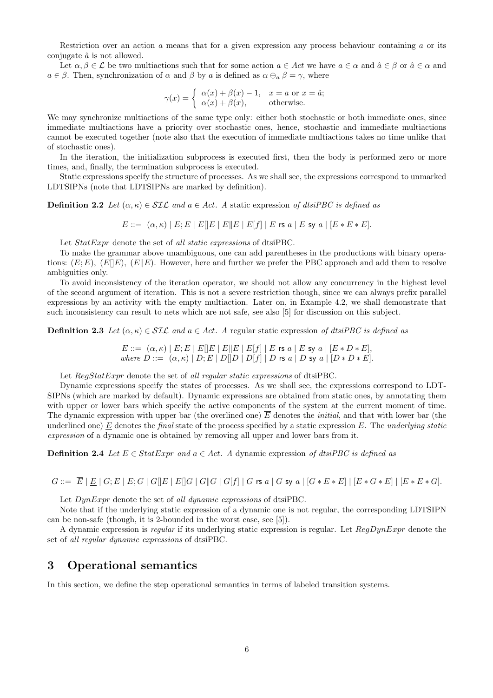Restriction over an action *a* means that for a given expression any process behaviour containing *a* or its conjugate  $\hat{a}$  is not allowed.

Let  $\alpha, \beta \in \mathcal{L}$  be two multiactions such that for some action  $a \in \mathcal{A}ct$  we have  $a \in \alpha$  and  $\hat{a} \in \beta$  or  $\hat{a} \in \alpha$  and  $a \in \beta$ . Then, synchronization of  $\alpha$  and  $\beta$  by  $a$  is defined as  $\alpha \oplus_{a} \beta = \gamma$ , where *γ*(*x*) = {<br>*γ*(*x*) = {

$$
\gamma(x) = \begin{cases} \alpha(x) + \beta(x) - 1, & x = a \text{ or } x = \hat{a}; \\ \alpha(x) + \beta(x), & \text{otherwise.} \end{cases}
$$

We may synchronize multiactions of the same type only: either both stochastic or both immediate ones, since immediate multiactions have a priority over stochastic ones, hence, stochastic and immediate multiactions cannot be executed together (note also that the execution of immediate multiactions takes no time unlike that of stochastic ones).

In the iteration, the initialization subprocess is executed first, then the body is performed zero or more times, and, finally, the termination subprocess is executed.

Static expressions specify the structure of processes. As we shall see, the expressions correspond to unmarked LDTSIPNs (note that LDTSIPNs are marked by definition).

**Definition 2.2** *Let*  $(\alpha, \kappa) \in \mathcal{SIL}$  *and*  $a \in Act$ *. A* static expression *of dtsiPBC is defined as* 

*E* ::= (*α, κ*) *| E*; *E | E*[]*E | E∥E | E*[*f*] *| E* rs *a | E* sy *a |* [*E ∗ E ∗ E*]*.*

Let *StatExpr* denote the set of *all static expressions* of dtsiPBC.

To make the grammar above unambiguous, one can add parentheses in the productions with binary operations:  $(E; E)$ ,  $(E||E)$ ,  $(E||E)$ . However, here and further we prefer the PBC approach and add them to resolve ambiguities only.

To avoid inconsistency of the iteration operator, we should not allow any concurrency in the highest level of the second argument of iteration. This is not a severe restriction though, since we can always prefix parallel expressions by an activity with the empty multiaction. Later on, in Example 4.2, we shall demonstrate that such inconsistency can result to nets which are not safe, see also [5] for discussion on this subject.

**Definition 2.3** *Let*  $(\alpha, \kappa) \in \mathcal{SIL}$  *and*  $a \in Act$ *. A* regular static expression of dtsiPBC is defined as

 $E ::= \left[\left. (\alpha, \kappa) \mid E ; E \mid E[]E \mid E[|E \mid E[f] \mid E$ rs  $a \mid E$  sy  $a \mid [E*D*E], \right.$ where  $D ::= (\alpha, \kappa) | D; E | D[ D | D[f] | D$  is  $a | D$  sy  $a | [D * D * E].$ 

Let *RegStatExpr* denote the set of *all regular static expressions* of dtsiPBC.

Dynamic expressions specify the states of processes. As we shall see, the expressions correspond to LDT-SIPNs (which are marked by default). Dynamic expressions are obtained from static ones, by annotating them with upper or lower bars which specify the active components of the system at the current moment of time. The dynamic expression with upper bar (the overlined one)  $\overline{E}$  denotes the *initial*, and that with lower bar (the underlined one) *E* denotes the *final* state of the process specified by a static expression *E*. The *underlying static expression* of a dynamic one is obtained by removing all upper and lower bars from it.

**Definition 2.4** *Let*  $E \in StatExpr$  *and*  $a \in Act$ *. A* dynamic expression of dtsiPBC is defined as

 $G ::= \overline{E} | E | G; E | E; G | G | E | E | G | G | G | G | G | G | G | G$  is a  $| G * E * E | [E * G * E] | [E * E * G].$ 

Let *DynExpr* denote the set of *all dynamic expressions* of dtsiPBC.

Note that if the underlying static expression of a dynamic one is not regular, the corresponding LDTSIPN can be non-safe (though, it is 2-bounded in the worst case, see [5]).

A dynamic expression is *regular* if its underlying static expression is regular. Let *RegDynExpr* denote the set of *all regular dynamic expressions* of dtsiPBC.

## **3 Operational semantics**

In this section, we define the step operational semantics in terms of labeled transition systems.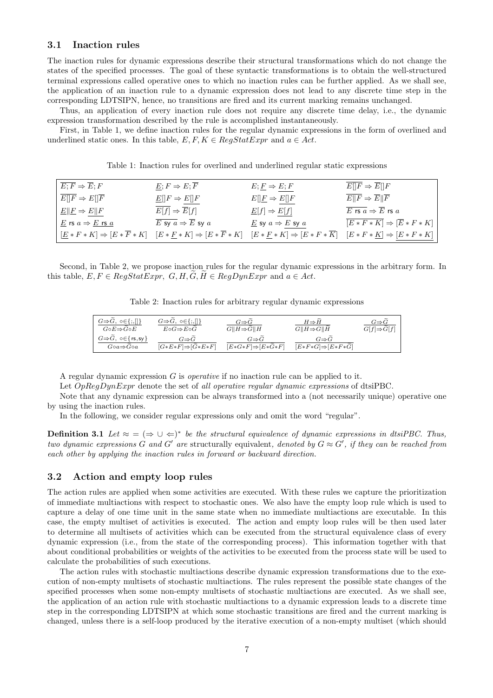#### **3.1 Inaction rules**

The inaction rules for dynamic expressions describe their structural transformations which do not change the states of the specified processes. The goal of these syntactic transformations is to obtain the well-structured terminal expressions called operative ones to which no inaction rules can be further applied. As we shall see, the application of an inaction rule to a dynamic expression does not lead to any discrete time step in the corresponding LDTSIPN, hence, no transitions are fired and its current marking remains unchanged.

Thus, an application of every inaction rule does not require any discrete time delay, i.e., the dynamic expression transformation described by the rule is accomplished instantaneously.

First, in Table 1, we define inaction rules for the regular dynamic expressions in the form of overlined and underlined static ones. In this table,  $E, F, K \in \text{RegStatExpr}$  and  $a \in \text{Act}$ .

| $E; F \Rightarrow E; F$                                                                                                       | $E; F \Rightarrow E; F$                                             | $E; E \Rightarrow E; F$                                                                                | $E  F \Rightarrow E  F$                                                     |
|-------------------------------------------------------------------------------------------------------------------------------|---------------------------------------------------------------------|--------------------------------------------------------------------------------------------------------|-----------------------------------------------------------------------------|
| $E[ F \Rightarrow E[ F]$                                                                                                      | $E[ F \Rightarrow E[ F$                                             | $E[\underline{F} \Rightarrow E[\overline{F}]$                                                          | $E  F \Rightarrow \overline{E}  \overline{F}$                               |
| $E  E \Rightarrow E  F$                                                                                                       | $E[f] \Rightarrow \overline{E}[f]$                                  | $\underline{E}[f] \Rightarrow E[f]$                                                                    | $\overline{E}$ rs $\overline{a} \Rightarrow \overline{E}$ rs $\overline{a}$ |
| $\underline{E}$ rs $a \Rightarrow \underline{E}$ rs $\underline{a}$                                                           | $\overline{E \text{ sy } a} \Rightarrow \overline{E} \text{ sy } a$ | $E$ sy $a \Rightarrow E$ sy $a$                                                                        | $\overline{[E*F*K]} \Rightarrow [\overline{E}*F*K]$                         |
| $[\underline{E} * F * K] \Rightarrow [E * \overline{F} * K] \quad [E * \underline{F} * K] \Rightarrow [E * \overline{F} * K]$ |                                                                     | $[E * F * K] \Rightarrow [E * F * \overline{K}] \quad [E * F * \underline{K}] \Rightarrow [E * F * K]$ |                                                                             |

Table 1: Inaction rules for overlined and underlined regular static expressions

Second, in Table 2, we propose inaction rules for the regular dynamic expressions in the arbitrary form. In this table,  $E, F \in RegStatExpr, G, H, G, H \in RegDynExpr$  and  $a \in Act$ .

Table 2: Inaction rules for arbitrary regular dynamic expressions

| $G \Rightarrow G, \neg \in \{ ; , \Box \}$                              | $G \Rightarrow G, \ o \in \{ ;, [] \}$ | $G \Rightarrow G$             | $H \Rightarrow H$             | $G {\Rightarrow} G$     |
|-------------------------------------------------------------------------|----------------------------------------|-------------------------------|-------------------------------|-------------------------|
| $G \circ E \Rightarrow G \circ E$                                       | $E \circ G \Rightarrow E \circ G$      | $G  H \Rightarrow G  H$       | $G  H \Rightarrow G  H$       | $G[f] \Rightarrow G[f]$ |
| $G \Rightarrow \widetilde{G}$ , $\circ \in \{ \text{ rs}, \text{sy} \}$ | $G \Rightarrow G$                      | $G \Rightarrow G$             | $G{\Rightarrow} G$            |                         |
| $G \circ a \Rightarrow G \circ a$                                       | $[G*E*F] \Rightarrow [G*E*F]$          | $[E*G*F] \Rightarrow [E*G*F]$ | $[E*F*G] \Rightarrow [E*F*G]$ |                         |

A regular dynamic expression *G* is *operative* if no inaction rule can be applied to it.

Let *OpRegDynExpr* denote the set of *all operative regular dynamic expressions* of dtsiPBC.

Note that any dynamic expression can be always transformed into a (not necessarily unique) operative one by using the inaction rules.

In the following, we consider regular expressions only and omit the word "regular".

**Definition 3.1** *Let*  $\approx$  =  $(\Rightarrow \cup \Leftarrow)^*$  *be the structural equivalence of dynamic expressions in dtsiPBC. Thus, two dynamic expressions G* and *G'* are structurally equivalent, denoted by  $G \approx G'$ , if they can be reached from *each other by applying the inaction rules in forward or backward direction.*

#### **3.2 Action and empty loop rules**

The action rules are applied when some activities are executed. With these rules we capture the prioritization of immediate multiactions with respect to stochastic ones. We also have the empty loop rule which is used to capture a delay of one time unit in the same state when no immediate multiactions are executable. In this case, the empty multiset of activities is executed. The action and empty loop rules will be then used later to determine all multisets of activities which can be executed from the structural equivalence class of every dynamic expression (i.e., from the state of the corresponding process). This information together with that about conditional probabilities or weights of the activities to be executed from the process state will be used to calculate the probabilities of such executions.

The action rules with stochastic multiactions describe dynamic expression transformations due to the execution of non-empty multisets of stochastic multiactions. The rules represent the possible state changes of the specified processes when some non-empty multisets of stochastic multiactions are executed. As we shall see, the application of an action rule with stochastic multiactions to a dynamic expression leads to a discrete time step in the corresponding LDTSIPN at which some stochastic transitions are fired and the current marking is changed, unless there is a self-loop produced by the iterative execution of a non-empty multiset (which should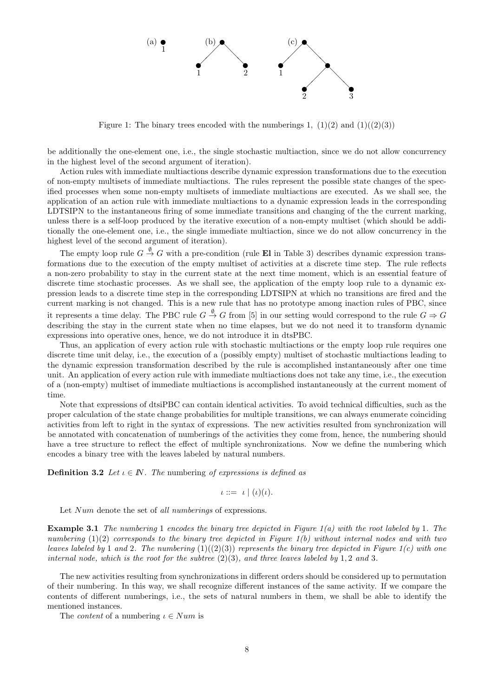

Figure 1: The binary trees encoded with the numberings 1,  $(1)(2)$  and  $(1)((2)(3))$ 

be additionally the one-element one, i.e., the single stochastic multiaction, since we do not allow concurrency in the highest level of the second argument of iteration).

Action rules with immediate multiactions describe dynamic expression transformations due to the execution of non-empty multisets of immediate multiactions. The rules represent the possible state changes of the specified processes when some non-empty multisets of immediate multiactions are executed. As we shall see, the application of an action rule with immediate multiactions to a dynamic expression leads in the corresponding LDTSIPN to the instantaneous firing of some immediate transitions and changing of the the current marking, unless there is a self-loop produced by the iterative execution of a non-empty multiset (which should be additionally the one-element one, i.e., the single immediate multiaction, since we do not allow concurrency in the highest level of the second argument of iteration).

The empty loop rule  $G \stackrel{\emptyset}{\to} G$  with a pre-condition (rule **El** in Table 3) describes dynamic expression transformations due to the execution of the empty multiset of activities at a discrete time step. The rule reflects a non-zero probability to stay in the current state at the next time moment, which is an essential feature of discrete time stochastic processes. As we shall see, the application of the empty loop rule to a dynamic expression leads to a discrete time step in the corresponding LDTSIPN at which no transitions are fired and the current marking is not changed. This is a new rule that has no prototype among inaction rules of PBC, since it represents a time delay. The PBC rule  $G \stackrel{\emptyset}{\to} G$  from [5] in our setting would correspond to the rule  $G \Rightarrow G$ describing the stay in the current state when no time elapses, but we do not need it to transform dynamic expressions into operative ones, hence, we do not introduce it in dtsPBC.

Thus, an application of every action rule with stochastic multiactions or the empty loop rule requires one discrete time unit delay, i.e., the execution of a (possibly empty) multiset of stochastic multiactions leading to the dynamic expression transformation described by the rule is accomplished instantaneously after one time unit. An application of every action rule with immediate multiactions does not take any time, i.e., the execution of a (non-empty) multiset of immediate multiactions is accomplished instantaneously at the current moment of time.

Note that expressions of dtsiPBC can contain identical activities. To avoid technical difficulties, such as the proper calculation of the state change probabilities for multiple transitions, we can always enumerate coinciding activities from left to right in the syntax of expressions. The new activities resulted from synchronization will be annotated with concatenation of numberings of the activities they come from, hence, the numbering should have a tree structure to reflect the effect of multiple synchronizations. Now we define the numbering which encodes a binary tree with the leaves labeled by natural numbers.

**Definition 3.2** *Let*  $\iota \in \mathbb{N}$ *. The* numbering *of expressions is defined as* 

$$
\iota ::= \iota \mid (\iota)(\iota).
$$

Let *Num* denote the set of *all numberings* of expressions.

**Example 3.1** *The numbering* 1 *encodes the binary tree depicted in Figure 1(a) with the root labeled by* 1*. The numbering* (1)(2) *corresponds to the binary tree depicted in Figure 1(b) without internal nodes and with two leaves labeled by* 1 *and* 2*. The numbering* (1)((2)(3)) *represents the binary tree depicted in Figure 1(c) with one internal node, which is the root for the subtree*  $(2)(3)$ *, and three leaves labeled by* 1*,* 2 *and* 3*.* 

The new activities resulting from synchronizations in different orders should be considered up to permutation of their numbering. In this way, we shall recognize different instances of the same activity. If we compare the contents of different numberings, i.e., the sets of natural numbers in them, we shall be able to identify the mentioned instances.

The *content* of a numbering *ι ∈ Num* is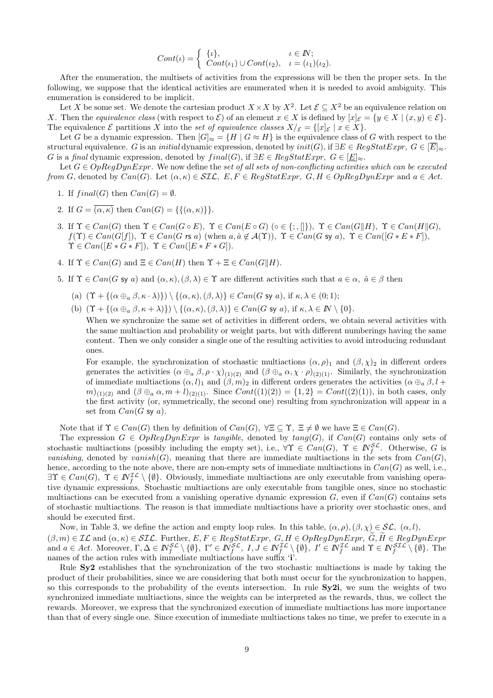$$
Cont(\iota) = \begin{cases} {\lbrace \iota \rbrace}, & \iota \in I\!\!N; \\ Cont(\iota_1) \cup Cont(\iota_2), & \iota = (\iota_1)(\iota_2). \end{cases}
$$

After the enumeration, the multisets of activities from the expressions will be then the proper sets. In the following, we suppose that the identical activities are enumerated when it is needed to avoid ambiguity. This enumeration is considered to be implicit.

Let *X* be some set. We denote the cartesian product  $X \times X$  by  $X^2$ . Let  $\mathcal{E} \subseteq X^2$  be an equivalence relation on *X*. Then the *equivalence class* (with respect to  $\mathcal{E}$ ) of an element  $x \in X$  is defined by  $[x]_{\mathcal{E}} = \{y \in X \mid (x, y) \in \mathcal{E}\}.$ The equivalence  $\mathcal{E}$  partitions *X* into the *set of equivalence classes*  $X/\varepsilon = \{ [x]_{\mathcal{E}} \mid x \in X \}.$ 

Let *G* be a dynamic expression. Then  $|G|_{\approx} = \{H \mid G \approx H\}$  is the equivalence class of *G* with respect to the structural equivalence. *G* is an *initial* dynamic expression, denoted by  $init(G)$ , if  $\exists E \in RegStatExpr$ ,  $G \in \overline{E}]_{\approx}$ . *G* is a *final* dynamic expression, denoted by  $final(G)$ , if  $\exists E \in RegStatExpr$ ,  $G \in [E]_{\approx}$ .

Let  $G \in OpRegDynExpr$ . We now define the *set of all sets of non-conflicting activities which can be executed from G*, denoted by  $Can(G)$ . Let  $(\alpha, \kappa) \in \mathcal{SIL}$ ,  $E, F \in RegStatexpr$ ,  $G, H \in OpRegDynExpr$  and  $a \in Act$ .

- 1. If  $final(G)$  then  $Can(G) = \emptyset$ .
- 2. If  $G = \overline{(\alpha, \kappa)}$  then  $Can(G) = \{\{(\alpha, \kappa)\}\}.$
- 3. If  $\Upsilon \in Can(G)$  then  $\Upsilon \in Can(G \circ E)$ ,  $\Upsilon \in Can(E \circ G)$  ( $\circ \in \{\, , \ldots \}$ ),  $\Upsilon \in Can(G||H)$ ,  $\Upsilon \in Can(H||G)$ ,  $f(\Upsilon) \in Can(G[f]), \ \Upsilon \in Can(G \text{ rs } a)$  (when  $a, \hat{a} \notin A(\Upsilon)$ ),  $\Upsilon \in Can(G \text{ sy } a)$ ,  $\Upsilon \in Can([G * E * F]),$  $\Upsilon \in Can([E * G * F]), \ \Upsilon \in Can([E * F * G]).$
- 4. If  $\Upsilon \in Can(G)$  and  $\Xi \in Can(H)$  then  $\Upsilon + \Xi \in Can(G||H)$ .
- 5. If  $\Upsilon \in Can(G \text{ sy } a)$  and  $(\alpha, \kappa), (\beta, \lambda) \in \Upsilon$  are different activities such that  $a \in \alpha$ ,  $\hat{a} \in \beta$  then
	- (a)  $(\Upsilon + {\{(\alpha \oplus_{\alpha} \beta, \kappa \cdot \lambda)\}}) \setminus {\{(\alpha, \kappa), (\beta, \lambda)\}} \in Can(G \text{ sv } a)$ , if  $\kappa, \lambda \in (0, 1)$ ;
	- (b)  $(\Upsilon + {\alpha \oplus_{a} \beta, \kappa + \lambda}) \ \ \} \ ( {\alpha, \kappa}, \beta, \lambda) \in Can(G \text{ sy } a), \text{ if } \kappa, \lambda \in \mathbb{N} \setminus \{0\}.$

When we synchronize the same set of activities in different orders, we obtain several activities with the same multiaction and probability or weight parts, but with different numberings having the same content. Then we only consider a single one of the resulting activities to avoid introducing redundant ones.

For example, the synchronization of stochastic multiactions  $(\alpha, \rho)$ <sub>1</sub> and  $(\beta, \chi)$ <sub>2</sub> in different orders generates the activities  $(\alpha \oplus_a \beta, \rho \cdot \chi)_{(1)(2)}$  and  $(\beta \oplus_a \alpha, \chi \cdot \rho)_{(2)(1)}$ . Similarly, the synchronization of immediate multiactions  $(\alpha, l)_1$  and  $(\beta, m)_2$  in different orders generates the activities  $(\alpha \oplus_{a} \beta, l +$ *m*)<sub>(1)(2)</sub> and  $(\beta \oplus_a \alpha, m+l)_{(2)(1)}$ . Since  $Cont((1)(2)) = \{1,2\} = Cont((2)(1))$ , in both cases, only the first activity (or, symmetrically, the second one) resulting from synchronization will appear in a set from  $Can(G \text{ sy } a)$ .

Note that if  $\Upsilon \in Can(G)$  then by definition of  $Can(G)$ ,  $\forall \Xi \subseteq \Upsilon$ ,  $\Xi \neq \emptyset$  we have  $\Xi \in Can(G)$ .

The expression  $G \in OpRegDynExpr$  is *tangible*, denoted by  $tang(G)$ , if  $Can(G)$  contains only sets of stochastic multiactions (possibly including the empty set), i.e.,  $\forall \Upsilon \in Can(G)$ ,  $\Upsilon \in N_f^{\mathcal{SL}}$ . Otherwise, *G* is *vanishing*, denoted by *vanish*(*G*), meaning that there are immediate multiactions in the sets from  $Can(G)$ , hence, according to the note above, there are non-empty sets of immediate multiactions in *Can*(*G*) as well, i.e., *∃*Υ *∈ Can*(*G*)*,* Υ *∈ INIL f \ {∅}*. Obviously, immediate multiactions are only executable from vanishing operative dynamic expressions. Stochastic multiactions are only executable from tangible ones, since no stochastic multiactions can be executed from a vanishing operative dynamic expression  $G$ , even if  $Can(G)$  contains sets of stochastic multiactions. The reason is that immediate multiactions have a priority over stochastic ones, and should be executed first. multiactions can be executed from a vanishing operative dynamic expression  $G$ , even if  $Can(G)$  contains sets<br>of stochastic multiactions. The reason is that immediate multiactions have a priority over stochastic ones, and<br>s

Now, in Table 3, we define the action and empty loop rules. In this table,  $(\alpha, \rho), (\beta, \chi) \in \mathcal{SL}, (\alpha, l)$ , and  $a \in Act$ . Moreover,  $\Gamma, \Delta \in \mathbb{N}_f^{\mathcal{SL}} \setminus \{\emptyset\}, \ \Gamma' \in \mathbb{N}_f^{\mathcal{SL}}, \ I, J \in \mathbb{N}_f^{\mathcal{IL}} \setminus \{\emptyset\}, \ I' \in \mathbb{N}_f^{\mathcal{IL}}$  and  $\Upsilon \in \mathbb{N}_f^{\mathcal{SL}} \setminus \{\emptyset\}.$  The names of the action rules with immediate multiactions have suffix '**i**'.

Rule **Sy2** establishes that the synchronization of the two stochastic multiactions is made by taking the product of their probabilities, since we are considering that both must occur for the synchronization to happen, so this corresponds to the probability of the events intersection. In rule **Sy2i**, we sum the weights of two synchronized immediate multiactions, since the weights can be interpreted as the rewards, thus, we collect the rewards. Moreover, we express that the synchronized execution of immediate multiactions has more importance than that of every single one. Since execution of immediate multiactions takes no time, we prefer to execute in a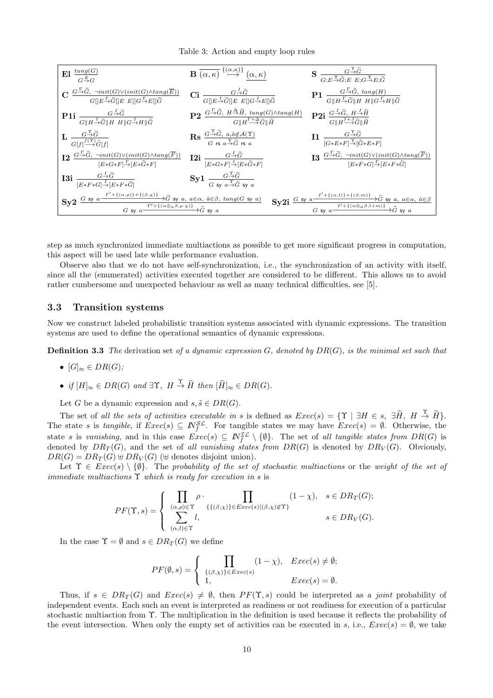Table 3: Action and empty loop rules



step as much synchronized immediate multiactions as possible to get more significant progress in computation, this aspect will be used late while performance evaluation.

Observe also that we do not have self-synchronization, i.e., the synchronization of an activity with itself, since all the (enumerated) activities executed together are considered to be different. This allows us to avoid rather cumbersome and unexpected behaviour as well as many technical difficulties, see [5].

#### **3.3 Transition systems**

Now we construct labeled probabilistic transition systems associated with dynamic expressions. The transition systems are used to define the operational semantics of dynamic expressions.

**Definition 3.3** *The* derivation set *of a dynamic expression G, denoted by DR*(*G*)*, is the minimal set such that*

- $[G]_{\approx} \in DR(G);$
- **•**  $[G]_{\approx} \in DR(G);$ <br>
  $if [H]_{\approx} \in DR(G) \text{ and } \exists \Upsilon, H \stackrel{\Upsilon}{\rightarrow} \tilde{H} \text{ then } [\tilde{H}]_{\approx} \in DR(G).$

Let *G* be a dynamic expression and  $s, \tilde{s} \in DR(G)$ .

 $\bullet$  *if*  $[H]_{\approx} \in DR(G)$  *and*  $\exists \Upsilon$ ,  $H \stackrel{\Upsilon}{\rightarrow} \tilde{H}$  *then*  $[\tilde{H}]_{\approx} \in DR(G)$ .<br>Let *G* be a dynamic expression and  $s, \tilde{s} \in DR(G)$ .<br>The set of *all the sets of activities executable <i>in s* is defined as  $Exec(s) = {\Upsilon \mid$ The state *s* is *tangible*, if  $Exec(s) \subseteq N_f^{\mathcal{SL}}$ . For tangible states we may have  $Exec(s) = \emptyset$ . Otherwise, the state *s* is *vanishing*, and in this case  $Exec(s) \subseteq N_f^{\mathcal{IL}} \setminus \{\emptyset\}$ . The set of *all tangible states from*  $DR(G)$  is denoted by  $DR<sub>T</sub>(G)$ , and the set of *all vanishing states from*  $DR(G)$  is denoted by  $DR<sub>V</sub>(G)$ . Obviously,  $DR(G) = DR_T(G) \oplus DR_V(G)$  ( $\oplus$  denotes disjoint union).

 $L(G) = \text{DR}_T(G) \oplus \text{DR}_V(G)$  ( $\oplus$  denotes disjoint union).<br>Let  $\Upsilon \in \text{Exec}(s) \setminus \{\emptyset\}$ . The *probability of the set of stochastic multiactions* or the *weight of the set of immediate multiactions*  $\Upsilon$  *which is ready for execution in s* is

$$
PF(\Upsilon, s) = \begin{cases} \prod_{(\alpha, \rho) \in \Upsilon} \rho \cdot \prod_{\{ \{ (\beta, \chi) \} \in E \text{vec}(s) | (\beta, \chi) \notin \Upsilon \}} (1 - \chi), & s \in DR_T(G); \\ \sum_{(\alpha, l) \in \Upsilon} l, & s \in DR_V(G). \end{cases}
$$

In the case  $\Upsilon = \emptyset$  and  $s \in DR_T(G)$  we define

$$
PF(\emptyset, s) = \begin{cases} \prod_{\{(\beta, \chi)\}\in \text{Exec}(s)} (1 - \chi), & \text{Exec}(s) \neq \emptyset; \\ 1, & \text{Exec}(s) = \emptyset. \end{cases}
$$

Thus, if  $s \in DR_T(G)$  and  $Exec(s) \neq \emptyset$ , then  $PF(\Upsilon, s)$  could be interpreted as a *joint* probability of independent events. Each such an event is interpreted as readiness or not readiness for execution of a particular stochastic multiaction from Υ. The multiplication in the definition is used because it reflects the probability of the event intersection. When only the empty set of activities can be executed in *s*, i.e.,  $Exec(s) = \emptyset$ , we take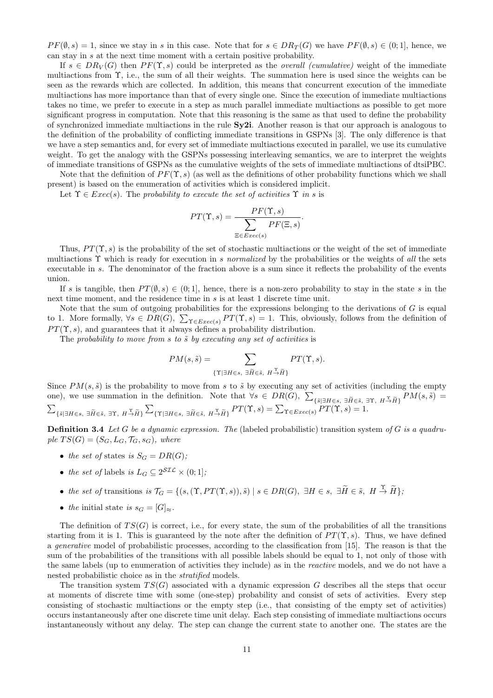$PF(\emptyset, s) = 1$ , since we stay in *s* in this case. Note that for  $s \in DR_T(G)$  we have  $PF(\emptyset, s) \in (0, 1]$ , hence, we can stay in *s* at the next time moment with a certain positive probability.

If  $s \in DR_V(G)$  then  $PF(\Upsilon, s)$  could be interpreted as the *overall (cumulative)* weight of the immediate multiactions from Υ, i.e., the sum of all their weights. The summation here is used since the weights can be seen as the rewards which are collected. In addition, this means that concurrent execution of the immediate multiactions has more importance than that of every single one. Since the execution of immediate multiactions takes no time, we prefer to execute in a step as much parallel immediate multiactions as possible to get more significant progress in computation. Note that this reasoning is the same as that used to define the probability of synchronized immediate multiactions in the rule **Sy2i**. Another reason is that our approach is analogous to the definition of the probability of conflicting immediate transitions in GSPNs [3]. The only difference is that we have a step semantics and, for every set of immediate multiactions executed in parallel, we use its cumulative weight. To get the analogy with the GSPNs possessing interleaving semantics, we are to interpret the weights of immediate transitions of GSPNs as the cumulative weights of the sets of immediate multiactions of dtsiPBC.

Note that the definition of  $PF(\Upsilon, s)$  (as well as the definitions of other probability functions which we shall present) is based on the enumeration of activities which is considered implicit.<br>
Let  $\Upsilon \in Exc(s)$ . The probability to execute the set of activities  $\Upsilon$  in s is<br>  $PT(\Upsilon, s) = \frac{PF(\Upsilon, s)}{\sqrt{P(\Upsilon, s)}}$ .

Let  $\Upsilon \in \text{Exec}(s)$ . The *probability to execute the set of activities*  $\Upsilon$  *in s* is

$$
PT(\Upsilon, s) = \frac{PF(\Upsilon, s)}{\sum_{\Xi \in \text{Exec}(s)} PF(\Xi, s)}.
$$

Thus,  $PT(\Upsilon, s)$  is the probability of the set of stochastic multiactions or the weight of the set of immediate multiactions Υ which is ready for execution in *s normalized* by the probabilities or the weights of *all* the sets executable in *s*. The denominator of the fraction above is a sum since it reflects the probability of the events union.

If *s* is tangible, then  $PT(\emptyset, s) \in (0, 1]$ , hence, there is a non-zero probability to stay in the state *s* in the next time moment, and the residence time in *s* is at least 1 discrete time unit.

Note that the sum of outgoing probabilities for the expressions belonging to the derivations of *G* is equal to 1. More formally,  $\forall s \in DR(G)$ ,  $\sum_{\Upsilon \in E \text{zero}(s)} PT(\Upsilon, s) = 1$ . This, obviously, follows from the definition of  $PT(\Upsilon, s)$ , and guarantees that it always defines a probability distribution.<br>The probability to move from s to  $PT(\Upsilon, s)$ , and guarantees that it always defines a probability distribution.

The *probability to move from s* to  $\tilde{s}$  by executing any set of activities is

$$
PM(s, \tilde{s}) = \sum_{\{\Upsilon \mid \exists H \in s, \ \exists \tilde{H} \in \tilde{s}, \ H \stackrel{\Upsilon}{\rightarrow} \tilde{H}\}} PT(\Upsilon, s).
$$

Since  $PM(s, \tilde{s})$  is the probability to move from *s* to  $\tilde{s}$  by executing any set of activities (including the empty one), we use summation in the definition. Note that  $\forall s \in DR(G), \sum_{\{\tilde{s}|\exists H \in s, \exists \tilde{H} \in \tilde{s}, \exists \Upsilon, H \stackrel{\Upsilon}{\to} \tilde{H}\}} PM(s, \tilde{s}) =$  $\{ \tilde{s} | \exists H \in s, \ \exists \widetilde{H} \in \tilde{s}, \ \exists \Upsilon, \ H \overset{\Upsilon}{\to} \widetilde{H} \} \sum_{\{\Upsilon | \exists H \in s, \ \exists \widetilde{H} \in \tilde{s}, \ H \overset{\Upsilon}{\to} \widetilde{H} \}} PT(\Upsilon, s) = \sum_{\Upsilon \in Exec(s)} PT(\Upsilon, s) = 1.$ *P P*  $H \in \mathcal{S}$ ,  $H \to \hat{H}$ <br> *P*  $\mathcal{S}$  by executified  $\forall s \in DR$ <br> *P*  $T(\Upsilon, s) = \sum_{s \in \mathcal{S}}$ 

**Definition 3.4** *Let G be a dynamic expression. The* (labeled probabilistic) transition system *of G is a quadru* $ple\, TS(G) = (S_G, L_G, \mathcal{T}_G, s_G),$  where

- *the set of* states *is*  $S_G = DR(G)$ ;
- *the set of* labels *is*  $L_G \subseteq 2^{STL} \times (0, 1]$ *;*

\n- the set of states is 
$$
S_G = DR(G);
$$
\n- the set of labels is  $L_G \subseteq 2^{STL} \times (0;1];$
\n- the set of transitions is  $\mathcal{T}_G = \{(s, (\Upsilon, PT(\Upsilon, s)), \tilde{s}) \mid s \in DR(G), \exists H \in s, \exists \tilde{H} \in \tilde{s}, H \stackrel{\Upsilon}{\to} \tilde{H}\};$
\n

• *the* initial state *is*  $s_G = [G]_{\approx}$ *.* 

The definition of  $TS(G)$  is correct, i.e., for every state, the sum of the probabilities of all the transitions starting from it is 1. This is guaranteed by the note after the definition of  $PT(\Upsilon, s)$ . Thus, we have defined a *generative* model of probabilistic processes, according to the classification from [15]. The reason is that the sum of the probabilities of the transitions with all possible labels should be equal to 1, not only of those with the same labels (up to enumeration of activities they include) as in the *reactive* models, and we do not have a nested probabilistic choice as in the *stratified* models.

The transition system  $TS(G)$  associated with a dynamic expression *G* describes all the steps that occur at moments of discrete time with some (one-step) probability and consist of sets of activities. Every step consisting of stochastic multiactions or the empty step (i.e., that consisting of the empty set of activities) occurs instantaneously after one discrete time unit delay. Each step consisting of immediate multiactions occurs instantaneously without any delay. The step can change the current state to another one. The states are the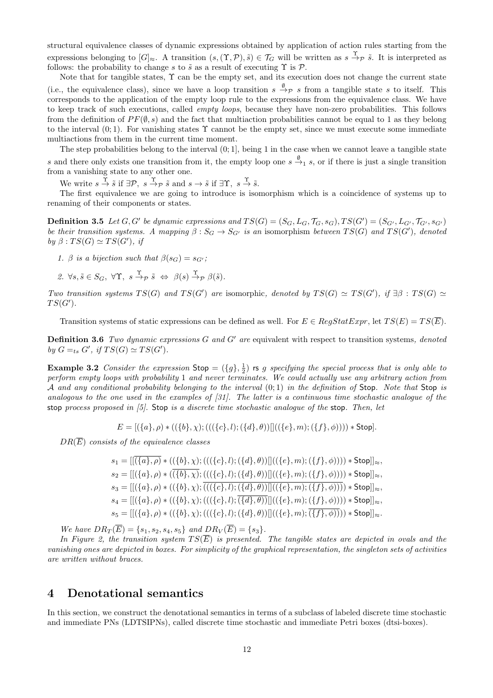structural equivalence classes of dynamic expressions obtained by application of action rules starting from the expressions belonging to  $[G]_{\approx}$ . A transition  $(s,(\Upsilon,\mathcal{P}),\tilde{s})\in\mathcal{T}_G$  will be written as  $s \stackrel{\Upsilon}{\rightarrow}_{\mathcal{P}} \tilde{s}$ . It is interpreted as follows: the probability to change  $s$  to  $\tilde{s}$  as a result of executing  $\Upsilon$  is  $\mathcal{P}$ .

Note that for tangible states,  $\Upsilon$  can be the empty set, and its execution does not change the current state (i.e., the equivalence class), since we have a loop transition  $s \stackrel{\emptyset}{\to} p s$  from a tangible state *s* to itself. This corresponds to the application of the empty loop rule to the expressions from the equivalence class. We have to keep track of such executions, called *empty loops*, because they have non-zero probabilities. This follows from the definition of  $PF(\emptyset, s)$  and the fact that multiaction probabilities cannot be equal to 1 as they belong to the interval  $(0, 1)$ . For vanishing states  $\Upsilon$  cannot be the empty set, since we must execute some immediate multiactions from them in the current time moment.

The step probabilities belong to the interval  $(0, 1]$ , being 1 in the case when we cannot leave a tangible state *s* and there only exists one transition from it, the empty loop one  $s \xrightarrow{\emptyset} s$ , or if there is just a single transition from a vanishing state to any other one.

We write  $s \stackrel{\Upsilon}{\to} \tilde{s}$  if  $\exists \mathcal{P}, s \stackrel{\Upsilon}{\to} \mathcal{P} \tilde{s}$  and  $s \to \tilde{s}$  if  $\exists \Upsilon, s \stackrel{\Upsilon}{\to} \tilde{s}$ .

The first equivalence we are going to introduce is isomorphism which is a coincidence of systems up to renaming of their components or states.

**Definition 3.5** Let  $G, G'$  be dynamic expressions and  $TS(G) = (S_G, L_G, \mathcal{T}_G, s_G), TS(G') = (S_{G'}, L_{G'}, \mathcal{T}_{G'}, s_{G'})$ be their transition systems. A mapping  $\beta: S_G \to S_{G'}$  is an isomorphism between  $TS(G)$  and  $TS(G')$ , denoted  $by \beta : TS(G) \simeq TS(G'), \textit{if}$ 

- *1.*  $\beta$  *is a bijection such that*  $\beta(s_G) = s_G$ *;*
- $2. \ \forall s, \tilde{s} \in S_G, \ \forall \Upsilon, \ s \stackrel{\Upsilon}{\rightarrow} p \ \tilde{s} \ \Leftrightarrow \ \beta(s) \stackrel{\Upsilon}{\rightarrow} p \ \beta(\tilde{s}).$

Two transition systems  $TS(G)$  and  $TS(G')$  are isomorphic, denoted by  $TS(G) \simeq TS(G')$ , if  $\exists \beta : TS(G) \simeq$ *T S*(*G′* )*.*

Transition systems of static expressions can be defined as well. For  $E \in RegStatExpr$ , let  $TS(E) = TS(\overline{E})$ .

**Definition 3.6** *Two dynamic expressions G and G′ are* equivalent with respect to transition systems*, denoted by*  $G =_{ts} G'$ , *if*  $TS(G) \simeq TS(G')$ *.* 

**Example 3.2** *Consider the expression*  $\text{Stop} = (\{g\}, \frac{1}{2})$  **rs** *g specifying the special process that is only able to perform empty loops with probability* 1 *and never terminates. We could actually use any arbitrary action from A and any conditional probability belonging to the interval* (0; 1) *in the definition of* Stop*. Note that* Stop *is analogous to the one used in the examples of [31]. The latter is a continuous time stochastic analogue of the* stop *process proposed in [5].* Stop *is a discrete time stochastic analogue of the* stop*. Then, let*

$$
E = [(\{a\}, \rho) * ((\{b\}, \chi); (((\{c\}, l); (\{d\}, \theta))]]((\{e\}, m); (\{f\}, \phi)))) * \mathsf{Stop}].
$$

*DR*(*E*) *consists of the equivalence classes*

$$
s_1 = [[(\{a\}, \rho) * ((\{b\}, \chi); (((\{c\}, l); (\{d\}, \theta))]]((\{e\}, m); (\{f\}, \phi)))))* \text{Stop}]]_{\approx},
$$
  
\n
$$
s_2 = [[(\{a\}, \rho) * ((\overline{\{b\}, \chi); (((\{c\}, l); (\{d\}, \theta))]]((\{e\}, m); (\{f\}, \phi)))))* \text{Stop}]]_{\approx},
$$
  
\n
$$
s_3 = [[(\{a\}, \rho) * ((\{b\}, \chi); (((\{c\}, l); (\{d\}, \theta))]]((\{e\}, m); (\{f\}, \phi)))))* \text{Stop}]]_{\approx},
$$
  
\n
$$
s_4 = [[(\{a\}, \rho) * ((\{b\}, \chi); (((\{c\}, l); (\{d\}, \theta))]]((\{e\}, m); (\{f\}, \phi)))))* \text{Stop}]]_{\approx},
$$
  
\n
$$
s_5 = [[(\{a\}, \rho) * ((\{b\}, \chi); (((\{c\}, l); (\{d\}, \theta))]]((\{e\}, m); (\overline{\{f\}, \phi)})))* \text{Stop}]]_{\approx}.
$$

*We have*  $DR_T(\overline{E}) = \{s_1, s_2, s_4, s_5\}$  *and*  $DR_V(\overline{E}) = \{s_3\}.$ 

In Figure 2, the transition system  $TS(\overline{E})$  is presented. The tangible states are depicted in ovals and the *vanishing ones are depicted in boxes. For simplicity of the graphical representation, the singleton sets of activities are written without braces.*

## **4 Denotational semantics**

In this section, we construct the denotational semantics in terms of a subclass of labeled discrete time stochastic and immediate PNs (LDTSIPNs), called discrete time stochastic and immediate Petri boxes (dtsi-boxes).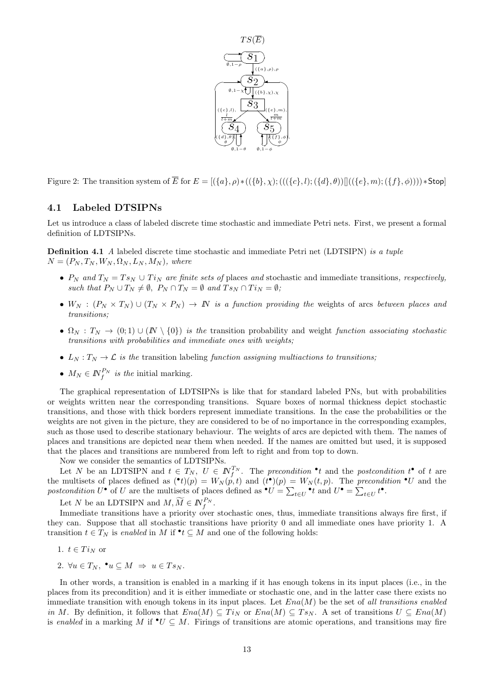

Figure 2: The transition system of  $\overline{E}$  for  $E = [(\{a\}, \rho) * ((\{b\}, \chi) ; (((\{c\}, l) ; (\{d\}, \theta)) || ((\{e\}, m) ; (\{f\}, \phi)))) * Stop]$ 

#### **4.1 Labeled DTSIPNs**

Let us introduce a class of labeled discrete time stochastic and immediate Petri nets. First, we present a formal definition of LDTSIPNs.

**Definition 4.1** *A* labeled discrete time stochastic and immediate Petri net (LDTSIPN) *is a tuple*  $N = (P_N, T_N, W_N, \Omega_N, L_N, M_N)$ , where

- $P_N$  *and*  $T_N = T s_N \cup T i_N$  *are finite sets of* places *and* stochastic and immediate transitions, *respectively*, *such that*  $P_N \cup T_N \neq \emptyset$ ,  $P_N \cap T_N = \emptyset$  and  $T_{SN} \cap T_{i_N} = \emptyset$ ;
- $W_N$  :  $(P_N \times T_N) \cup (T_N \times P_N) \rightarrow \mathbb{N}$  *is a function providing the* weights of arcs *between places and transitions;*
- $\Omega_N : T_N \to (0,1) \cup (N \setminus \{0\})$  *is the* transition probability and weight *function associating stochastic transitions with probabilities and immediate ones with weights;*
- $L_N: T_N \to \mathcal{L}$  *is the* transition labeling *function assigning multiactions to transitions;*
- $M_N \in \mathbb{N}_f^{P_N}$  *is the* initial marking.

The graphical representation of LDTSIPNs is like that for standard labeled PNs, but with probabilities or weights written near the corresponding transitions. Square boxes of normal thickness depict stochastic transitions, and those with thick borders represent immediate transitions. In the case the probabilities or the weights are not given in the picture, they are considered to be of no importance in the corresponding examples, such as those used to describe stationary behaviour. The weights of arcs are depicted with them. The names of places and transitions are depicted near them when needed. If the names are omitted but used, it is supposed that the places and transitions are numbered from left to right and from top to down. ∑∑

Now we consider the semantics of LDTSIPNs.

Now we consider the semantics of LD15IPNs.<br>
Let N be an LDTSIPN and  $t \in T_N$ ,  $U \in \mathbb{N}_f^{T_N}$ . The precondition  $\bullet t$  and the postcondition  $t^{\bullet}$  of t are<br>
multisets of places defined as  $(\bullet t)(p) = W_N(p, t)$  and  $(t^{\bullet})(p) = W_N(t$ the multisets of places defined as  $(\bullet t)(p) = W_N(p,t)$  and  $(t^{\bullet})(p) = W_N(t,p)$ . The *precondition*  $\bullet U$  and the *postcondition*  $U^{\bullet}$  of  $U$  are the multisets of places defined as  ${}^{\bullet}U = \sum_{t \in U} {}^{\bullet}t$  and  $U^{\bullet} = \sum_{t \in U} t^{\bullet}$ .

 $f^{P_N}.$ 

Immediate transitions have a priority over stochastic ones, thus, immediate transitions always fire first, if they can. Suppose that all stochastic transitions have priority 0 and all immediate ones have priority 1. A transition  $t \in T_N$  is *enabled* in  $M$  if  $\bullet t \subseteq M$  and one of the following holds:

- 1.  $t \in Ti_N$  or
- 2.  $\forall u \in T_N$ ,  $\bullet u \subseteq M \Rightarrow u \in Ts_N$ .

In other words, a transition is enabled in a marking if it has enough tokens in its input places (i.e., in the places from its precondition) and it is either immediate or stochastic one, and in the latter case there exists no immediate transition with enough tokens in its input places. Let *Ena*(*M*) be the set of *all transitions enabled in M*. By definition, it follows that  $Ena(M) \subseteq Ti_N$  or  $Ena(M) \subseteq Ts_N$ . A set of transitions  $U \subseteq Ena(M)$ is *enabled* in a marking *M* if  $\bullet U \subseteq M$ . Firings of transitions are atomic operations, and transitions may fire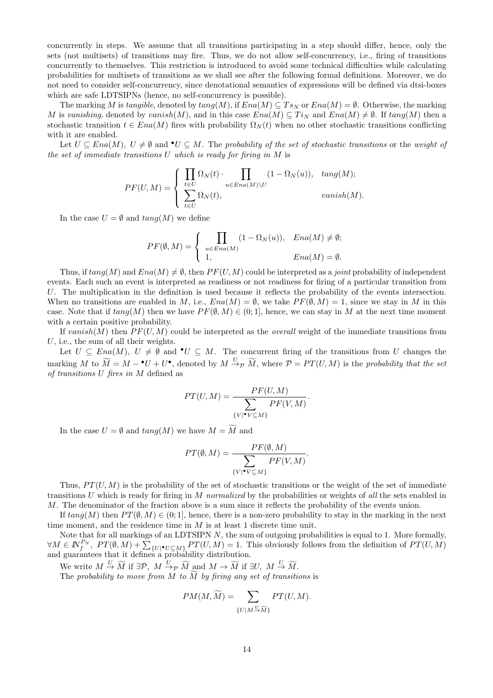concurrently in steps. We assume that all transitions participating in a step should differ, hence, only the sets (not multisets) of transitions may fire. Thus, we do not allow self-concurrency, i.e., firing of transitions concurrently to themselves. This restriction is introduced to avoid some technical difficulties while calculating probabilities for multisets of transitions as we shall see after the following formal definitions. Moreover, we do not need to consider self-concurrency, since denotational semantics of expressions will be defined via dtsi-boxes which are safe LDTSIPNs (hence, no self-concurrency is possible).

The marking *M* is *tangible*, denoted by  $tang(M)$ , if  $Ena(M) \subseteq Ts_N$  or  $Ena(M) = \emptyset$ . Otherwise, the marking *M* is *vanishing*, denoted by *vanish*(*M*), and in this case  $Ena(M) \subseteq Ti<sub>N</sub>$  and  $Ena(M) \neq \emptyset$ . If  $tang(M)$  then a stochastic transition  $t \in Ena(M)$  fires with probability  $\Omega_N(t)$  when no other stochastic transitions conflicting<br> with it are enabled.

 $L$  at  $U ⊆ Ena(M), U ≠ ∅$  and  $•U ⊆ M$ . The *probability of the set of stochastic transitions* or the *weight of the set of immediate transitions U which is ready for firing in M* is

$$
PF(U, M) = \begin{cases} \prod_{t \in U} \Omega_N(t) \cdot \prod_{u \in Ena(M) \setminus U} (1 - \Omega_N(u)), & \tan(g(M)); \\ \sum_{t \in U} \Omega_N(t), & \tanish(M). \end{cases}
$$

In the case  $U = \emptyset$  and  $tang(M)$  we define

$$
PF(\emptyset, M) = \begin{cases} \prod_{u \in Ena(M)} (1 - \Omega_N(u)), & Ena(M) \neq \emptyset; \\ 1, & Ena(M) = \emptyset. \end{cases}
$$

Thus, if  $tan(qM)$  and  $Ena(M) \neq \emptyset$ , then  $PF(U, M)$  could be interpreted as a *joint* probability of independent events. Each such an event is interpreted as readiness or not readiness for firing of a particular transition from *U*. The multiplication in the definition is used because it reflects the probability of the events intersection. When no transitions are enabled in *M*, i.e.,  $Ena(M) = \emptyset$ , we take  $PF(\emptyset, M) = 1$ , since we stay in *M* in this case. Note that if  $tan q(M)$  then we have  $PF(\emptyset, M) \in (0, 1]$ , hence, we can stay in M at the next time moment with a certain positive probability.

If  $vanish(M)$  then  $PF(U, M)$  could be interpreted as the *overall* weight of the immediate transitions from *U*, i.e., the sum of all their weights.

Let  $U \subseteq Ena(M)$ ,  $U \neq \emptyset$  and  $\bullet U \subseteq M$ . The concurrent firing of the transitions from *U* changes the If vanish(M) then  $PF(U, M)$  could be interpreted as the *overall* weight of the immediate transitions from  $U$ , i.e., the sum of all their weights.<br>
Let  $U \subseteq Ena(M)$ ,  $U \neq \emptyset$  and  $\bullet U \subseteq M$ . The concurrent firing of the transi *of transitions U fires in M* defined as anoted by  $M \xrightarrow{U} \widetilde{M}$ <br> $PT(U, M) = \frac{F}{\sqrt{M}}$ 

$$
PT(U,M)=\frac{PF(U,M)}{\displaystyle\sum_{\{V\} \bullet V \subseteq M\}}PF(V,M).
$$
 In the case  
  $U=\emptyset$  and  $tang(M)$  we have  
  $M=\widetilde{M}$  and

$$
\{V|\bullet V \subseteq M\}
$$
  
the have  $M = \widetilde{M}$  and  

$$
PT(\emptyset, M) = \frac{PF(\emptyset, M)}{\sum_{\{V|\bullet V \subseteq M\}} PF(V, M)}.
$$

Thus,  $PT(U, M)$  is the probability of the set of stochastic transitions or the weight of the set of immediate transitions *U* which is ready for firing in *M normalized* by the probabilities or weights of *all* the sets enabled in *M*. The denominator of the fraction above is a sum since it reflects the probability of the events union.

If  $tang(M)$  then  $PT(\emptyset, M) \in (0, 1]$ , hence, there is a non-zero probability to stay in the marking in the next time moment, and the residence time in *M* is at least 1 discrete time unit.

Note that for all markings of an LDTSIPN  $N$ , the sum of outgoing probabilities is equal to 1. More formally, M. The denominator of the fraction above is a sum since it reflects the probability of the events union.<br>If  $\text{tang}(M)$  then  $PT(\emptyset, M) \in (0, 1]$ , hence, there is a non-zero probability to stay in the marking in the next<br>time and guarantees that it defines a probability distribution. We write *M* is at least 1 discrete time<br>
Note that for all markings of an LDTSIPN *N*, the sum of outgoing<br>  $\in \mathbb{N}_{f}^{P_N}$ ,  $PT(\emptyset, M) + \sum_{\{U \mid \bullet U \subseteq M\}} PT(U, M) = 1$ . This obviously<br>  $\downarrow$  guarantees that it defines a probabi Note that for all markings of an LDTSIPN N, the sum of outgoing probability  $\in \mathbb{N}_{f}^{P_N}$ ,  $PT(\emptyset, M) + \sum_{\{U\}|\bullet U \subseteq M\}} PT(U, M) = 1$ . This obviously following probability distribution.<br>We write  $M \xrightarrow{U} \widetilde{M}$  if  $\exists \mathcal{P}, M \$ 

ability distribution.  
\n
$$
\widetilde{M}
$$
 and  $M \to \widetilde{M}$  if  $\exists U, M \stackrel{U}{\to} \widetilde{M}$ .  
\nto  $\widetilde{M}$  by firing any set of transitions  
\n $PM(M, \widetilde{M}) = \sum_{\{U \mid M \stackrel{U}{\to} \widetilde{M}\}} PT(U, M).$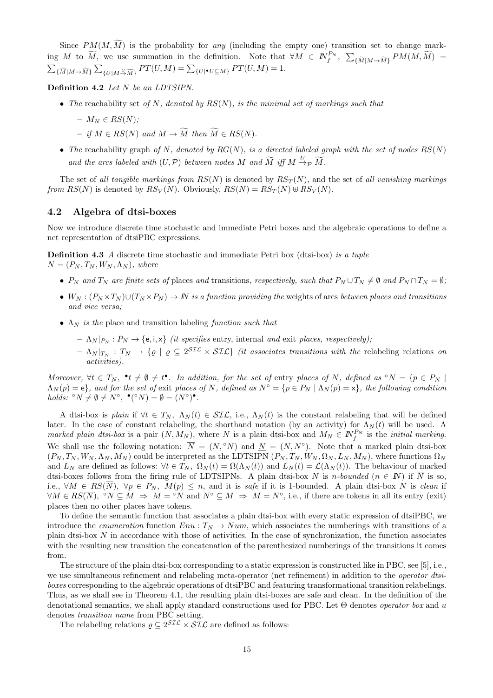Since  $PM(M, \widetilde{M})$  is the probability for *any* (including the empty one) transition set to change mark-Since  $PM(M, \widetilde{M})$  is the probability for *any* (including the empty one) transition set to change mark-<br>ing  $M$  to  $\widetilde{M}$ , we use summation in the definition. Note that  $\forall M \in \mathbb{N}_f^{P_N}$ ,  $\sum_{\{\widetilde{M}|M \to \widetilde{M}\}} PM(M, \wid$ 

**Definition 4.2** *Let N be an LDTSIPN.*

*• The* reachability set *of N, denoted by RS*(*N*)*, is the minimal set of markings such that*

$$
- M_N \in RS(N);
$$

- $-$  *if*  $M \in RS(N)$  and  $M \to \widetilde{M}$  then  $\widetilde{M} \in RS(N)$ .
- *The* reachability graph *of N, denoted by*  $RG(N)$ *, is a directed labeled graph with the set of nodes*  $RS(N)$ *a a a a a d A and M*  $\rightarrow \widetilde{M}$  *then*  $\widetilde{M} \in RS(N)$ .<br>*The* reachability graph *of N*, *denoted by*  $RG(N)$ , *is a directed labeled g and the arcs labeled with*  $(U, \mathcal{P})$  *between nodes M and*  $\$

The set of *all tangible markings from*  $RS(N)$  is denoted by  $RS_T(N)$ , and the set of *all vanishing markings from*  $RS(N)$  is denoted by  $RS_V(N)$ . Obviously,  $RS(N) = RS_T(N) \oplus RS_V(N)$ .

#### **4.2 Algebra of dtsi-boxes**

Now we introduce discrete time stochastic and immediate Petri boxes and the algebraic operations to define a net representation of dtsiPBC expressions.

**Definition 4.3** *A* discrete time stochastic and immediate Petri box (dtsi-box) *is a tuple*  $N = (P_N, T_N, W_N, \Lambda_N)$ , where

- $P_N$  and  $T_N$  are finite sets of places and transitions, respectively, such that  $P_N \cup T_N \neq \emptyset$  and  $P_N \cap T_N = \emptyset$ ;
- $W_N : (P_N \times T_N) \cup (T_N \times P_N) \to \mathbb{N}$  is a function providing the weights of arcs between places and transitions *and vice versa;*
- *•* Λ*<sup>N</sup> is the* place and transition labeling *function such that*
	- $\Lambda_N |_{P_N} : P_N \to \{e, i, x\}$  *(it specifies entry, internal and exit places, respectively);*
	- $\Lambda_N |_{T_N} : T_N \to \{ \varrho \mid \varrho \subseteq 2^{\mathcal{SIL}} \times \mathcal{SIL} \}$  *(it associates transitions with the* relabeling relations *on activities).*

Moreover,  $\forall t \in T_N$ ,  $\bullet t \neq \emptyset \neq t \bullet$ . In addition, for the set of entry places of N, defined as  $\circ N = \{p \in P_N \mid$  $\Lambda_N(p) = e$ , and for the set of exit places of N, defined as  $N^{\circ} = \{p \in P_N \mid \Lambda_N(p) = x\}$ , the following condition *holds:*  $\circ N \neq \emptyset \neq N^{\circ}, \bullet (\circ N) = \emptyset = (N^{\circ})^{\bullet}.$ 

A dtsi-box is *plain* if  $∀t ∈ T_N$ ,  $Λ_N(t) ∈ \mathcal{SIL}$ , i.e.,  $Λ_N(t)$  is the constant relabeling that will be defined later. In the case of constant relabeling, the shorthand notation (by an activity) for  $\Lambda_N(t)$  will be used. A *marked plain dtsi-box* is a pair  $(N, M_N)$ , where *N* is a plain dtsi-box and  $M_N \in \mathbb{N}^{P_N}$  is the *initial marking*. We shall use the following notation:  $\overline{N} = (N, \circ N)$  and  $\underline{N} = (N, N^{\circ})$ . Note that a marked plain dtsi-box  $(P_N, T_N, W_N, \Lambda_N, M_N)$  could be interpreted as the LDTSIPN  $(P_N, T_N, W_N, \Omega_N, L_N, M_N)$ , where functions  $\Omega_N$ and  $L_N$  are defined as follows:  $\forall t \in T_N$ ,  $\Omega_N(t) = \Omega(\Lambda_N(t))$  and  $L_N(t) = \mathcal{L}(\Lambda_N(t))$ . The behaviour of marked dtsi-boxes follows from the firing rule of LDTSIPNs. A plain dtsi-box *N* is *n*-bounded  $(n \in N)$  if  $\overline{N}$  is so, i.e.,  $\forall M \in RS(\overline{N})$ ,  $\forall p \in P_N$ ,  $M(p) \leq n$ , and it is safe if it is 1-bounded. A plain dtsi-box N is clean if  $\forall M \in RS(\overline{N}), \ ^{\circ}N \subseteq M \Rightarrow M = ^{\circ}N \text{ and } N^{\circ} \subseteq M \Rightarrow M = N^{\circ}, \text{ i.e., if there are tokens in all its entry (exit) }$ places then no other places have tokens.

To define the semantic function that associates a plain dtsi-box with every static expression of dtsiPBC, we introduce the *enumeration* function  $Env : T_N \rightarrow Num$ , which associates the numberings with transitions of a plain dtsi-box *N* in accordance with those of activities. In the case of synchronization, the function associates with the resulting new transition the concatenation of the parenthesized numberings of the transitions it comes from.

The structure of the plain dtsi-box corresponding to a static expression is constructed like in PBC, see [5], i.e., we use simultaneous refinement and relabeling meta-operator (net refinement) in addition to the *operator dtsiboxes* corresponding to the algebraic operations of dtsiPBC and featuring transformational transition relabelings. Thus, as we shall see in Theorem 4.1, the resulting plain dtsi-boxes are safe and clean. In the definition of the denotational semantics, we shall apply standard constructions used for PBC. Let Θ denotes *operator box* and *u* denotes *transition name* from PBC setting.

The relabeling relations  $\rho \subseteq 2^{STL} \times STL$  are defined as follows: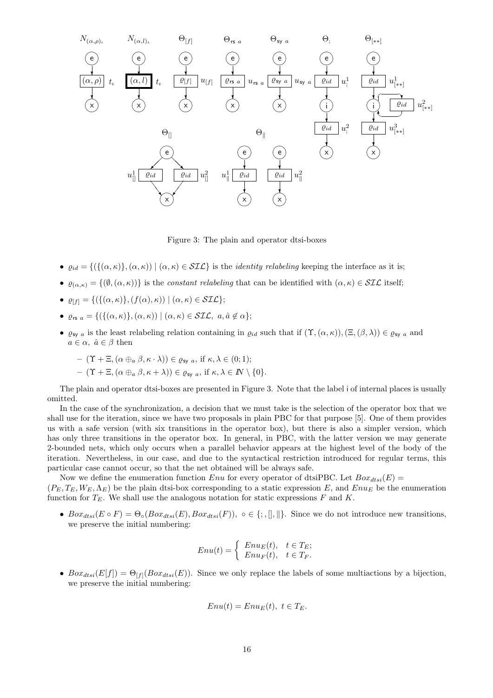

Figure 3: The plain and operator dtsi-boxes

- $\varrho_{id} = \{ (\{(\alpha, \kappa)\}, (\alpha, \kappa)) \mid (\alpha, \kappa) \in \mathcal{SIL} \}$  is the *identity relabeling* keeping the interface as it is;
- $\bullet$  *e*<sub>(*α,κ*)</sub> = {( $\emptyset$ , (*α, κ*))} is the *constant relabeling* that can be identified with (*α, κ*)  $\in$  *SIL* itself;
- $\bullet$   $\varrho_{[f]} = \{ (\{ (\alpha, \kappa) \}, (f(\alpha), \kappa)) \mid (\alpha, \kappa) \in \mathcal{SIL} \};$
- *•*  $\varrho_{rs\ a} = \{ (\{ (\alpha, \kappa) \}, (\alpha, \kappa)) | (\alpha, \kappa) \in \mathcal{SIL}, \ a, \hat{a} \notin \alpha \};$
- $\varrho_{\text{sy }a}$  is the least relabeling relation containing in  $\varrho_{id}$  such that if  $(\Upsilon, (\alpha, \kappa)), (\Xi, (\beta, \lambda)) \in \varrho_{\text{sy }a}$  and  $a \in \alpha$ ,  $\hat{a} \in \beta$  then

$$
- (\Upsilon + \Xi, (\alpha \oplus_a \beta, \kappa \cdot \lambda)) \in \varrho_{\text{sy } a}, \text{ if } \kappa, \lambda \in (0; 1);
$$
  
- (\Upsilon + \Xi, (\alpha \oplus\_a \beta, \kappa + \lambda)) \in \varrho\_{\text{sy } a}, \text{ if } \kappa, \lambda \in I\!N \setminus \{0\}.

The plain and operator dtsi-boxes are presented in Figure 3. Note that the label i of internal places is usually omitted.

In the case of the synchronization, a decision that we must take is the selection of the operator box that we shall use for the iteration, since we have two proposals in plain PBC for that purpose [5]. One of them provides us with a safe version (with six transitions in the operator box), but there is also a simpler version, which has only three transitions in the operator box. In general, in PBC, with the latter version we may generate 2-bounded nets, which only occurs when a parallel behavior appears at the highest level of the body of the iteration. Nevertheless, in our case, and due to the syntactical restriction introduced for regular terms, this particular case cannot occur, so that the net obtained will be always safe.

Now we define the enumeration function *Enu* for every operator of dtsiPBC. Let  $Box_{dtsi}(E)$  =

 $(P_E, T_E, W_E, \Lambda_E)$  be the plain dtsi-box corresponding to a static expression *E*, and *Enu<sub>E</sub>* be the enumeration function for  $T_E$ . We shall use the analogous notation for static expressions  $F$  and  $K$ .

•  $Box_{dtsi}(E \circ F) = \Theta_{\circ}(Box_{dtsi}(E),Box_{dtsi}(F)), \circ \in \{ ; , \| , \| \}.$  Since we do not introduce new transitions, we preserve the initial numbering:  $\begin{aligned} \textit{invariant},\\ \textit{for} \textit{dts}_i(F)),\\ \textit{Enu}(t) = \Big\{ \end{aligned}$ 

$$
Enu(t) = \begin{cases} Enu_E(t), & t \in T_E; \\ Enu_F(t), & t \in T_F. \end{cases}
$$

•  $Box_{dtsi}(E[f]) = \Theta_{[f]}(Box_{dtsi}(E)).$  Since we only replace the labels of some multiactions by a bijection, we preserve the initial numbering:

$$
Enu(t) = EnuE(t), t \in TE.
$$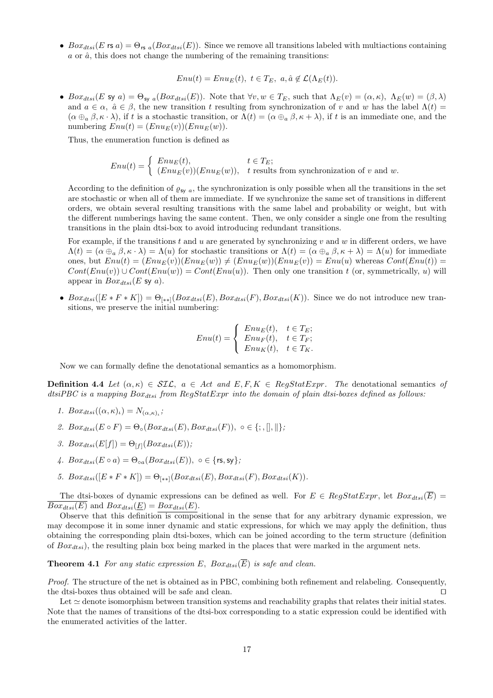•  $Box_{dtsi}(E \text{ is } a) = \Theta_{\text{rs} a}(Box_{dtsi}(E)).$  Since we remove all transitions labeled with multiactions containing  $a$  or  $\hat{a}$ , this does not change the numbering of the remaining transitions:

 $Enu(t) = Enu<sub>E</sub>(t), t \in T<sub>E</sub>, a, \hat{a} \notin \mathcal{L}(\Lambda_E(t)).$ 

•  $Box_{dtsi}(E \text{ sy } a) = \Theta_{\text{sy } a}(Box_{dtsi}(E)).$  Note that  $\forall v, w \in T_E$ , such that  $\Lambda_E(v) = (\alpha, \kappa), \Lambda_E(w) = (\beta, \lambda)$ and  $a \in \alpha$ ,  $\hat{a} \in \beta$ , the new transition *t* resulting from synchronization of *v* and *w* has the label  $\Lambda(t)$  =  $(\alpha \oplus_{a} \beta, \kappa \cdot \lambda)$ , if *t* is a stochastic transition, or  $\Lambda(t) = (\alpha \oplus_{a} \beta, \kappa + \lambda)$ , if *t* is an immediate one, and the numbering  $Env(t) = (Env<sub>E</sub>(v))(Env<sub>E</sub>(w)).$  $\lambda$ ), if t is a<br>  $Enu(t) = (H$ <br>
numeration<br>  $Enu(t) = \begin{cases}$ 

Thus, the enumeration function is defined as

$$
Enu(t) = \begin{cases} Enu_E(t), & t \in T_E; \\ (Enu_E(v))(Enu_E(w)), & t \text{ results from synchronization of } v \text{ and } w. \end{cases}
$$

According to the definition of  $\varrho_{sy}$  *a*, the synchronization is only possible when all the transitions in the set are stochastic or when all of them are immediate. If we synchronize the same set of transitions in different orders, we obtain several resulting transitions with the same label and probability or weight, but with the different numberings having the same content. Then, we only consider a single one from the resulting transitions in the plain dtsi-box to avoid introducing redundant transitions.

For example, if the transitions *t* and *u* are generated by synchronizing *v* and *w* in different orders, we have  $\Lambda(t) = (\alpha \oplus_{a} \beta, \kappa \cdot \lambda) = \Lambda(u)$  for stochastic transitions or  $\Lambda(t) = (\alpha \oplus_{a} \beta, \kappa + \lambda) = \Lambda(u)$  for immediate ones, but  $Env(t) = (Env(v))(Env(w)) \neq (Env(w))(Env(v)) = Env(u)$  whereas  $Cont(Env(t))$  $Cont(Enu(v)) \cup Cont(Enu(w)) = Cont(Enu(u))$ . Then only one transition *t* (or, symmetrically, *u*) will appear in  $Box_{dtsi}(E \text{ sy } a)$ .

•  $Box_{dtsi}([E * F * K]) = \Theta_{[**]}(Box_{dtsi}(E),Box_{dtsi}(F),Box_{dtsi}(K)).$  Since we do not introduce new transitions, we preserve the initial numbering:

$$
Enu(t) = \begin{cases} Enu_E(t), & t \in T_E; \\ Enu_F(t), & t \in T_F; \\ Enu_K(t), & t \in T_K. \end{cases}
$$

Now we can formally define the denotational semantics as a homomorphism.

**Definition 4.4** *Let*  $(\alpha, \kappa) \in \mathcal{SLC}$ ,  $a \in \text{Act}$  *and*  $E, F, K \in \text{RegStatExpr}$ . The denotational semantics of *dtsiPBC is a mapping Boxdtsi from RegStatExpr into the domain of plain dtsi-boxes defined as follows:*

- 1.  $Box_{dtsi}((\alpha,\kappa)_{\iota})=N_{(\alpha,\kappa)_{\iota}};$
- *2.*  $Box_{dtsi}(E \circ F) = \Theta_{\circ}(Box_{dtsi}(E),Box_{dtsi}(F)), \circ \in \{; , , \| , \| \};$
- *3.*  $Box_{dtsi}(E[f]) = \Theta_{[f]}(Box_{dtsi}(E));$
- $4.$   $Box_{dtsi}(E \circ a) = \Theta_{oa}(Box_{dtsi}(E)), o \in \{rs, sy\};$
- *5.*  $Box_{dtsi}([E * F * K]) = \Theta_{(**]}(Box_{dtsi}(E), Box_{dtsi}(F), Box_{dtsi}(K)).$

The dtsi-boxes of dynamic expressions can be defined as well. For  $E \in \text{RegStatexpr}$ , let  $\text{Box}_{dist}(\overline{E})$  =  $\overline{Box_{dtsi}(E)}$  and  $Box_{dtsi}(E) = Box_{dtsi}(E)$ .

Observe that this definition is compositional in the sense that for any arbitrary dynamic expression, we may decompose it in some inner dynamic and static expressions, for which we may apply the definition, thus obtaining the corresponding plain dtsi-boxes, which can be joined according to the term structure (definition of *Boxdtsi*), the resulting plain box being marked in the places that were marked in the argument nets.

**Theorem 4.1** For any static expression E,  $Box_{dtsi}(\overline{E})$  is safe and clean.

*Proof.* The structure of the net is obtained as in PBC, combining both refinement and relabeling. Consequently, the dtsi-boxes thus obtained will be safe and clean. *⊓⊔*

Let ≃ denote isomorphism between transition systems and reachability graphs that relates their initial states. Note that the names of transitions of the dtsi-box corresponding to a static expression could be identified with the enumerated activities of the latter.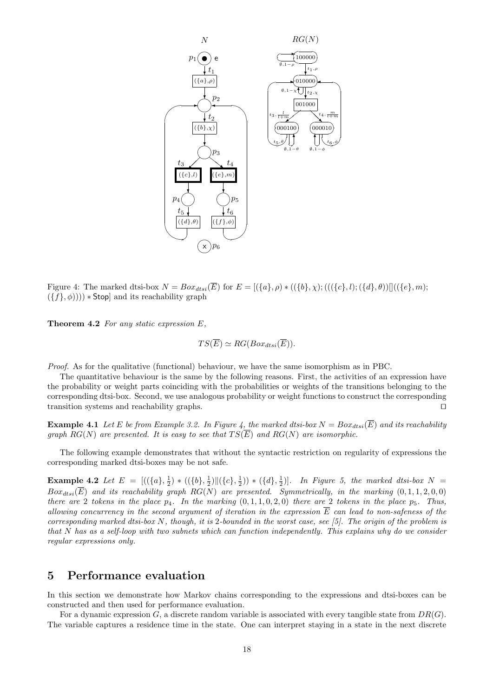

Figure 4: The marked dtsi-box  $N = Box_{dtsi}(\overline{E})$  for  $E = [(\lbrace a \rbrace, \rho) * ((\lbrace b \rbrace, \chi); (((\lbrace c \rbrace, l); (\lbrace d \rbrace, \theta))]((\lbrace e \rbrace, m);$  $(\{f\}, \phi)))$   $*$  Stop] and its reachability graph

**Theorem 4.2** *For any static expression E,*

$$
TS(\overline{E}) \simeq RG(Box_{dtsi}(\overline{E})).
$$

*Proof.* As for the qualitative (functional) behaviour, we have the same isomorphism as in PBC.

The quantitative behaviour is the same by the following reasons. First, the activities of an expression have the probability or weight parts coinciding with the probabilities or weights of the transitions belonging to the corresponding dtsi-box. Second, we use analogous probability or weight functions to construct the corresponding transition systems and reachability graphs. *⊓⊔*

**Example 4.1** Let *E* be from Example 3.2. In Figure 4, the marked dtsi-box  $N = Box_{dts}(\overline{E})$  and its reachability *graph*  $RG(N)$  *are presented. It is easy to see that*  $TS(\overline{E})$  *and*  $RG(N)$  *are isomorphic.* 

The following example demonstrates that without the syntactic restriction on regularity of expressions the corresponding marked dtsi-boxes may be not safe.

**Example 4.2** Let  $E = [((\{a\}, \frac{1}{2}) * ((\{b\}, \frac{1}{2}) || (\{c\}, \frac{1}{2})) * (\{d\}, \frac{1}{2})].$  In Figure 5, the marked dtsi-box  $N =$  $Box_{dtsi}(\overline{E})$  and its reachability graph  $RG(N)$  are presented. Symmetrically, in the marking  $(0,1,1,2,0,0)$ *there are* 2 *tokens in the place*  $p_4$ *. In the marking*  $(0,1,1,0,2,0)$  *there are* 2 *tokens in the place*  $p_5$ *. Thus, allowing concurrency in the second argument of iteration in the expression E can lead to non-safeness of the corresponding marked dtsi-box N, though, it is* 2*-bounded in the worst case, see [5]. The origin of the problem is that N has as a self-loop with two subnets which can function independently. This explains why do we consider regular expressions only.*

## **5 Performance evaluation**

In this section we demonstrate how Markov chains corresponding to the expressions and dtsi-boxes can be constructed and then used for performance evaluation.

For a dynamic expression *G*, a discrete random variable is associated with every tangible state from *DR*(*G*). The variable captures a residence time in the state. One can interpret staying in a state in the next discrete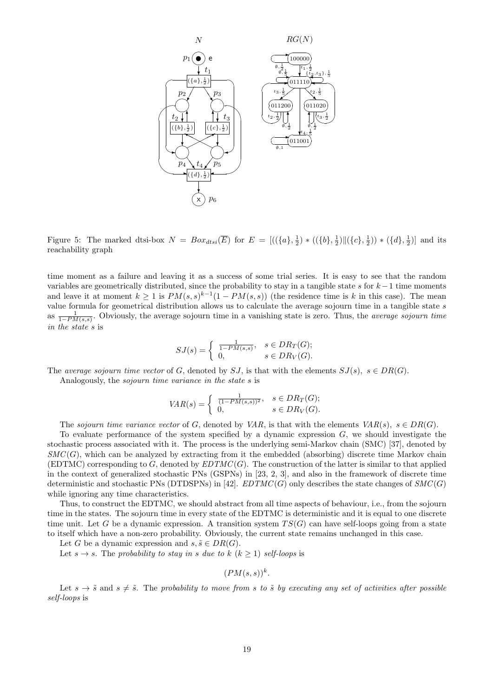

Figure 5: The marked dtsi-box  $N = Box_{dtsi}(\overline{E})$  for  $E = [((\{a\}, \frac{1}{2}) * ((\{b\}, \frac{1}{2}) || (\{c\}, \frac{1}{2})) * (\{d\}, \frac{1}{2})]$  and its reachability graph

time moment as a failure and leaving it as a success of some trial series. It is easy to see that the random variables are geometrically distributed, since the probability to stay in a tangible state *s* for *k−*1 time moments and leave it at moment  $k \geq 1$  is  $PM(s, s)^{k-1}(1 - PM(s, s))$  (the residence time is k in this case). The mean value formula for geometrical distribution allows us to calculate the average sojourn time in a tangible state *s* as <sup>1</sup> 1*−PM*(*s,s*) . Obviously, the average sojourn time in a vanishing state is zero. Thus, the *average sojourn time in the state s* is bution allows us to<br>ge sojourn time in<br> $SJ(s) = \begin{cases} \frac{1}{1 - P M} \end{cases}$ 

$$
SJ(s) = \begin{cases} \frac{1}{1 - PM(s, s)}, & s \in DR_T(G); \\ 0, & s \in DR_V(G). \end{cases}
$$

The *average sojourn time vector* of *G*, denoted by *SJ*, is that with the elements  $SJ(s)$ ,  $s \in DR(G)$ .

Analogously, the *sojourn time variance in the state s* is

$$
s \in DR_V(G).
$$
  
of *G*, denoted by *SJ*, is that with the elem:  
*variance in the state s* is  

$$
VAR(s) = \begin{cases} \frac{1}{(1 - PM(s, s))^2}, & s \in DR_T(G); \\ 0, & s \in DR_V(G). \end{cases}
$$

The *sojourn time variance vector* of *G*, denoted by *VAR*, is that with the elements  $VAR(s)$ ,  $s \in DR(G)$ .

To evaluate performance of the system specified by a dynamic expression *G*, we should investigate the stochastic process associated with it. The process is the underlying semi-Markov chain (SMC) [37], denoted by *SMC* (*G*), which can be analyzed by extracting from it the embedded (absorbing) discrete time Markov chain (EDTMC) corresponding to  $G$ , denoted by  $EDTMC(G)$ . The construction of the latter is similar to that applied in the context of generalized stochastic PNs (GSPNs) in [23, 2, 3], and also in the framework of discrete time deterministic and stochastic PNs (DTDSPNs) in [42]. *EDTMC*(*G*) only describes the state changes of  $SMC(G)$ while ignoring any time characteristics.

Thus, to construct the EDTMC, we should abstract from all time aspects of behaviour, i.e., from the sojourn time in the states. The sojourn time in every state of the EDTMC is deterministic and it is equal to one discrete time unit. Let *G* be a dynamic expression. A transition system  $TS(G)$  can have self-loops going from a state to itself which have a non-zero probability. Obviously, the current state remains unchanged in this case.

Let *G* be a dynamic expression and  $s, \tilde{s} \in DR(G)$ .

Let  $s \to s$ . The *probability to stay in s due to*  $k$  ( $k \ge 1$ ) *self-loops* is

 $(PM(s, s))^{k}$ .

Let  $s \to \tilde{s}$  and  $s \neq \tilde{s}$ . The *probability to move from s* to  $\tilde{s}$  by executing any set of activities after possible *self-loops* is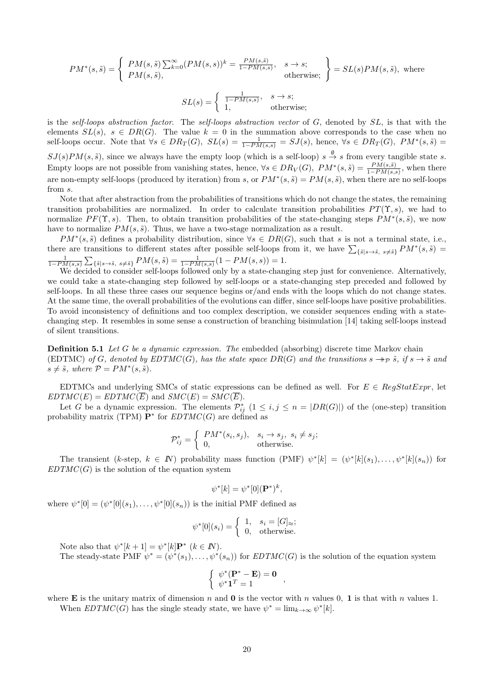$$
PM^*(s, \tilde{s}) = \begin{cases} PM(s, \tilde{s}) \sum_{k=0}^{\infty} (PM(s, s))^k = \frac{PM(s, \tilde{s})}{1 - PM(s, s)}, & s \to s; \\ PM(s, \tilde{s}), & \text{otherwise}; \end{cases} = SL(s)PM(s, \tilde{s}), \text{ where}
$$

$$
SL(s) = \begin{cases} \frac{1}{1 - PM(s, s)}, & s \to s; \\ \frac{1}{1 - PM(s, s)}, & s \to s; \end{cases}
$$

$$
SL(s) = \begin{cases} \frac{1 - PM(s,s)}{1,} & s \to s, \\ 1, & \text{otherwise}; \end{cases}
$$

is the *self-loops abstraction factor*. The *self-loops abstraction vector* of *G*, denoted by *SL*, is that with the elements  $SL(s)$ ,  $s \in DR(G)$ . The value  $k=0$  in the summation above corresponds to the case when no self-loops occur. Note that  $\forall s \in DR_T(G)$ ,  $SL(s) = \frac{1}{1 - PM(s,s)} = SJ(s)$ , hence,  $\forall s \in DR_T(G)$ ,  $PM^*(s, \tilde{s}) =$  $SJ(s)PM(s, \tilde{s})$ , since we always have the empty loop (which is a self-loop)  $s \stackrel{\emptyset}{\rightarrow} s$  from every tangible state *s*. Empty loops are not possible from vanishing states, hence,  $\forall s \in DR_V(G)$ ,  $PM^*(s, \tilde{s}) = \frac{PM(s, \tilde{s})}{1 - PM(s, s)}$ , when there are non-empty self-loops (produced by iteration) from *s*, or  $PM^*(s, \tilde{s}) = PM(s, \tilde{s})$ , when there are no self-loops from *s*.

Note that after abstraction from the probabilities of transitions which do not change the states, the remaining transition probabilities are normalized. In order to calculate transition probabilities  $PT(\Upsilon, s)$ , we had to normalize  $PF(\Upsilon, s)$ . Then, to obtain transition probabilities of the state-changing steps  $PM^*(s, \tilde{s})$ , we now have to normalize  $PM(s, \tilde{s})$ . Thus, we have a two-stage normalization as a result. transition probabilities are normalized. In order to calculate transition probabilities  $PT(\Upsilon, s)$ , we had to normalize  $PF(\Upsilon, s)$ . Then, to obtain transition probabilities of the state-changing steps  $PM^*(s, \tilde{s})$ , we now h

 $PM^*(s, \tilde{s})$  defines a probability distribution, since  $\forall s \in DR(G)$ , such that *s* is not a terminal state, i.e.,  $\frac{1}{1-PM(s,s)}\sum_{\{\tilde{s}\mid s\to \tilde{s}, \ s\neq \tilde{s}\}}PM(s,\tilde{s}) = \frac{1}{1-PM(s,s)}(1-PM(s,s)) = 1.$ 

We decided to consider self-loops followed only by a state-changing step just for convenience. Alternatively, we could take a state-changing step followed by self-loops or a state-changing step preceded and followed by self-loops. In all these three cases our sequence begins or/and ends with the loops which do not change states. At the same time, the overall probabilities of the evolutions can differ, since self-loops have positive probabilities. To avoid inconsistency of definitions and too complex description, we consider sequences ending with a statechanging step. It resembles in some sense a construction of branching bisimulation [14] taking self-loops instead of silent transitions.

**Definition 5.1** *Let G be a dynamic expression. The* embedded (absorbing) discrete time Markov chain (EDTMC) *of G*, denoted by EDTMC(*G*), has the state space  $DR(G)$  and the transitions  $s \rightarrow p \tilde{s}$ , if  $s \rightarrow \tilde{s}$  and  $s \neq \tilde{s}$ *, where*  $\mathcal{P} = PM^*(s, \tilde{s})$ *.* 

EDTMCs and underlying SMCs of static expressions can be defined as well. For  $E \in \text{RegStatExpr}$ , let *EDTMC*(*E*) = *EDTMC*(*E*) and *SMC*(*E*) = *SMC*(*E*).

Let *G* be a dynamic expression. The elements  $P_{ij}^*$  ( $1 \le i, j \le n = |DR(G)|$ ) of the (one-step) transition probability matrix (TPM)  $\mathbf{P}^*$  for  $EDTMC(G)$  are defined as

$$
\mathcal{P}_{ij}^* = \begin{cases} PM^*(s_i, s_j), & s_i \to s_j, \ s_i \neq s_j; \\ 0, & \text{otherwise.} \end{cases}
$$

The transient  $(k$ -step,  $k \in \mathbb{N}$ ) probability mass function  $(PMF) \psi^*[k] = (\psi^*[k](s_1), \ldots, \psi^*[k](s_n))$  for  $EDTMC(G)$  is the solution of the equation system

$$
\psi^*[k] = \psi^*[0](\mathbf{P}^*)^k,
$$

where  $\psi^*[0] = (\psi^*[0](s_1), \ldots, \psi^*[0](s_n))$  is the initial PMF defined as

$$
\psi^*[k] = \psi^*[0](\mathbf{P}^*)^k,
$$
  
is the initial PMF defined as  

$$
\psi^*[0](s_i) = \begin{cases} 1, & s_i = [G]_{\approx}; \\ 0, & \text{otherwise}. \end{cases}
$$

Note also that  $\psi^*[k+1] = \psi^*[k]$ **P**<sup>\*</sup>  $(k \in \mathbb{N})$ .

The steady-state PMF  $\psi^* = (\psi^*(s_1), \dots, \psi^*(s_n))$  for  $EDTMC(G)$  is the solution of the equation system

$$
\begin{cases}\n\psi^*(\mathbf{P}^* - \mathbf{E}) = \mathbf{0} \\
\psi^*\mathbf{1}^T = 1\n\end{cases}
$$

where **E** is the unitary matrix of dimension *n* and **0** is the vector with *n* values 0, 1 is that with *n* values 1. When  $EDTMC(G)$  has the single steady state, we have  $\psi^* = \lim_{k \to \infty} \psi^*[k]$ .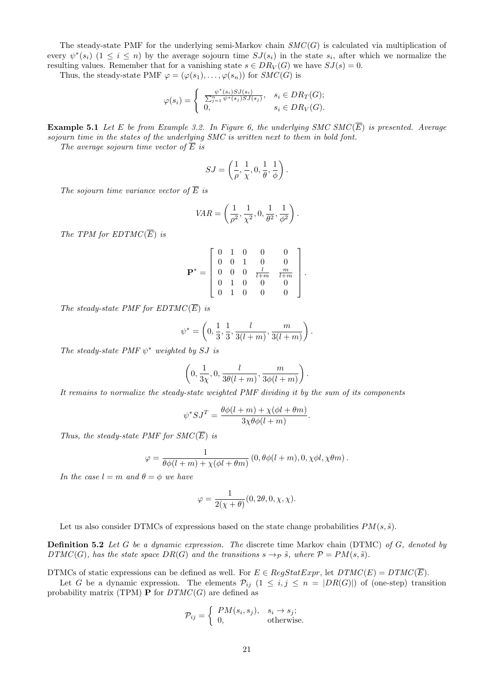The steady-state PMF for the underlying semi-Markov chain  $SMC(G)$  is calculated via multiplication of For every  $\psi^*(s_i)$   $(1 \le i \le n)$  by the average sojourn time  $SJ(s_i)$  in the state  $s_i$ , after which we normalize the resulting values. Remember that for a vanishing state  $s \in DR_V(G)$  we have  $SJ(s) = 0$ .<br>Thus, the steady-state resulting values. Remember that for a vanishing state  $s \in DR_V(G)$  we have  $SJ(s) = 0$ .

Thus, the steady-state PMF  $\varphi = (\varphi(s_1), \ldots, \varphi(s_n))$  for *SMC*(*G*) is

$$
\varphi(s_i) = \begin{cases} \frac{\psi^*(s_i)SJ(s_i)}{\sum_{j=1}^n \psi^*(s_j)SJ(s_j)}, & s_i \in DR_T(G); \\ 0, & s_i \in DR_V(G). \end{cases}
$$

**Example 5.1** *Let*  $E$  *be from Example 3.2.* In Figure 6, the underlying SMC SMC( $\overline{E}$ ) is presented. Average *sojourn time in the states of the underlying SMC is written next to them in bold font.*

*The average sojourn time vector of*  $\overline{E}$  *is* 

$$
SJ = \left(\frac{1}{\rho}, \frac{1}{\chi}, 0, \frac{1}{\theta}, \frac{1}{\phi}\right).
$$

*The sojourn time variance vector of*  $\overline{E}$  *is* 

$$
VAR = \left(\frac{1}{\rho^2}, \frac{1}{\chi^2}, 0, \frac{1}{\theta^2}, \frac{1}{\phi^2}\right).
$$

*The TPM for EDTMC*( $\overline{E}$ ) *is* 

$$
\mathbf{P}^* = \left[ \begin{array}{cccccc} 0 & 1 & 0 & 0 & 0 \\ 0 & 0 & 1 & 0 & 0 \\ 0 & 0 & 0 & \frac{l}{l+m} & \frac{m}{l+m} \\ 0 & 1 & 0 & 0 & 0 \\ 0 & 1 & 0 & 0 & 0 \end{array} \right].
$$

*The steady-state PMF for EDTMC*( $\overline{E}$ ) *is* 

$$
\psi^* = \left(0, \frac{1}{3}, \frac{1}{3}, \frac{l}{3(l+m)}, \frac{m}{3(l+m)}\right).
$$

*The steady-state PMF*  $\psi^*$  *weighted by SJ is* 

$$
\left(0, \frac{1}{3\chi}, 0, \frac{l}{3\theta(l+m)}, \frac{m}{3\phi(l+m)}\right).
$$

*It remains to normalize the steady-state weighted PMF dividing it by the sum of its components*

$$
\psi^* SJ^T = \frac{\theta \phi(l+m) + \chi(\phi l + \theta m)}{3\chi \theta \phi(l+m)}.
$$

*Thus, the steady-state PMF for*  $SMC(\overline{E})$  *<i>is* 

$$
\varphi = \frac{1}{\theta \phi(l+m) + \chi(\phi l + \theta m)} (0, \theta \phi(l+m), 0, \chi \phi l, \chi \theta m).
$$

*In the case*  $l = m$  *and*  $\theta = \phi$  *we have* 

$$
\varphi = \frac{1}{2(\chi + \theta)}(0, 2\theta, 0, \chi, \chi).
$$

Let us also consider DTMCs of expressions based on the state change probabilities  $PM(s, \tilde{s})$ .

**Definition 5.2** *Let G be a dynamic expression. The* discrete time Markov chain (DTMC) *of G, denoted by DTMC*(*G*)*, has the state space DR*(*G*) *and the transitions*  $s \rightarrow_{\mathcal{P}} \tilde{s}$ *, where*  $\mathcal{P} = PM(s, \tilde{s})$ *.* 

DTMCs of static expressions can be defined as well. For  $E \in RegStatExpr$ , let  $DTMC(E) = DTMC(\overline{E})$ .

Let *G* be a dynamic expression. The elements  $\mathcal{P}_{ij}$  ( $1 \leq i, j \leq n = |DR(G)|$ ) of (one-step) transition probability matrix (TPM) **P** for  $DTMC(G)$  are defined as

$$
\mathcal{P}_{ij} = \begin{cases} PM(s_i, s_j), & s_i \to s_j; \\ 0, & \text{otherwise.} \end{cases}
$$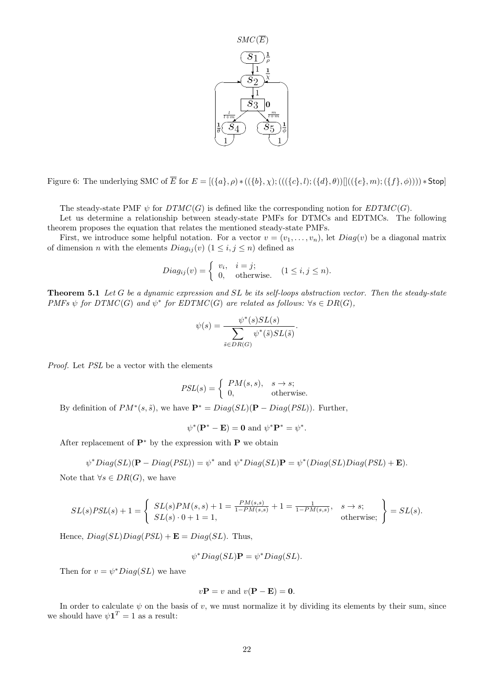

Figure 6: The underlying SMC of  $\overline{E}$  for  $E = [(\{a\}, \rho) * ((\{b\}, \chi) ; (((\{c\}, l) ; (\{d\}, \theta))]((\{e\}, m) ; (\{f\}, \phi)))) * Stop]$ 

The steady-state PMF  $\psi$  for  $DTMC(G)$  is defined like the corresponding notion for  $EDTMC(G)$ .

Let us determine a relationship between steady-state PMFs for DTMCs and EDTMCs. The following theorem proposes the equation that relates the mentioned steady-state PMFs.

First, we introduce some helpful notation. For a vector  $v = (v_1, \ldots, v_n)$ , let  $Diag(v)$  be a diagonal matrix of dimension *n* with the elements  $Diag_{ij}(v)$   $(1 \leq i, j \leq n)$  defined as  $\Delta$ <br>that relates the<br>pful notation.<br>ts  $Diag_{ij}(v)$  (1<br> $Diag_{ij}(v) = \begin{cases}$ 

$$
Diag_{ij}(v) = \begin{cases} v_i, & i = j; \\ 0, & \text{otherwise.} \end{cases} (1 \le i, j \le n).
$$

**Theorem 5.1** *Let G be a dynamic expression and SL be its self-loops abstraction vector. Then the steady-state PMFs*  $\psi$  *for DTMC*(*G*) *and*  $\psi^*$  *for EDTMC*(*G*) *are related as follows:*  $\forall s \in DR(G)$ *, SL l*<br>re re<br>∗/,\*

$$
\psi(s) = \frac{\psi^*(s)SL(s)}{\sum_{\tilde{s} \in DR(G)} \psi^*(\tilde{s})SL(\tilde{s})}.
$$

*Proof.* Let *PSL* be a vector with the elements

$$
\tilde{s} \in DR(G)
$$
\nelements\n
$$
PSL(s) = \begin{cases} PM(s, s), & s \to s; \\ 0, & \text{otherwise.} \end{cases}
$$

By definition of  $PM^*(s, \tilde{s})$ , we have  $\mathbf{P}^* = Diag(SL)(\mathbf{P} - Diag(PSL))$ . Further,

$$
\psi^*(\mathbf{P}^* - \mathbf{E}) = \mathbf{0} \text{ and } \psi^* \mathbf{P}^* = \psi^*.
$$

After replacement of  $P^*$  by the expression with  $P$  we obtain

$$
\psi^*Diag(SL)(\mathbf{P} - Diag(PSL)) = \psi^* \text{ and } \psi^*Diag(SL)\mathbf{P} = \psi^*(Diag(SL)Diag(PSL) + \mathbf{E}).
$$

Note that  $\forall s \in DR(G)$ , we have

$$
\psi^*Diag(SL)(\mathbf{P} - Diag(PSL)) = \psi^* \text{ and } \psi^*Diag(SL)\mathbf{P} = \psi^*(Diag(SL)Diag(PSL) + \mathbf{E}).
$$
  
te that  $\forall s \in DR(G)$ , we have  

$$
SL(s)PSL(s) + 1 = \begin{cases} SL(s)PM(s, s) + 1 = \frac{PM(s, s)}{1 - PM(s, s)} + 1 = \frac{1}{1 - PM(s, s)}, & s \to s; \\ SL(s) \cdot 0 + 1 = 1, & \text{otherwise}; \end{cases} = SL(s).
$$

Hence,  $Diag(SL)Diag(PSL) + \mathbf{E} = Diag(SL)$ . Thus,

$$
\psi^*Diag(SL)\mathbf{P}=\psi^*Diag(SL).
$$

Then for  $v = \psi^* Diag(SL)$  we have

$$
v\mathbf{P} = v
$$
 and  $v(\mathbf{P} - \mathbf{E}) = \mathbf{0}$ .

In order to calculate  $\psi$  on the basis of *v*, we must normalize it by dividing its elements by their sum, since we should have  $\psi \mathbf{1}^T = 1$  as a result: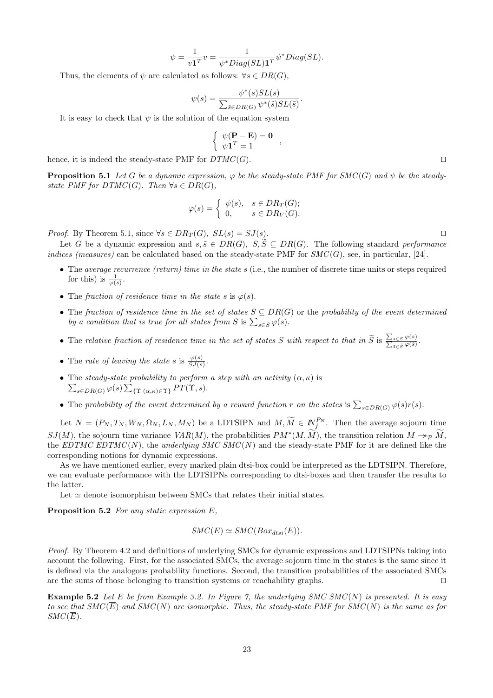$$
\psi = \frac{1}{v\mathbf{1}^T}v = \frac{1}{\psi^*Diag(SL)\mathbf{1}^T}\psi^*Diag(SL).
$$

Thus, the elements of  $\psi$  are calculated as follows:  $\forall s \in DR(G)$ ,

$$
\psi(s) = \frac{\psi^*(s)SL(s)}{\sum_{\tilde{s} \in DR(G)} \psi^*(\tilde{s})SL(\tilde{s})}
$$

*.*

It is easy to check that  $\psi$  is the solution of the equation system

$$
\left\{ \begin{array}{c} \psi(\mathbf{P} - \mathbf{E}) = \mathbf{0} \\ \psi \mathbf{1}^T = 1 \end{array} \right.,
$$

hence, it is indeed the steady-state PMF for *DTMC* (*G*). *⊓⊔*

**Proposition 5.1** Let G be a dynamic expression,  $\varphi$  be the steady-state PMF for SMC(G) and  $\psi$  be the steady*state PMF for DTMC*(*G*)*. Then*  $\forall s \in DR(G)$ *, F* for *DT*<br>*expression*<br> $DR(G)$ ,<br> $\varphi(s) = \begin{cases}$ 

$$
\varphi(s) = \begin{cases} \psi(s), & s \in DR_T(G); \\ 0, & s \in DR_V(G). \end{cases}
$$

*Proof.* By Theorem 5.1, since  $\forall s \in DR_T(G)$ ,  $SL(s) = SJ(s)$ .  $\Box$ 

Let *G* be a dynamic expression and  $s, \tilde{s} \in DR(G), S, \tilde{S} \subseteq DR(G)$ . The following standard *performance indices (measures)* can be calculated based on the steady-state PMF for  $SMC(G)$ , see, in particular, [24].

- *•* The *average recurrence (return) time in the state s* (i.e., the number of discrete time units or steps required for this) is  $\frac{1}{\varphi(s)}$ .
- The *fraction of residence time in the state*  $s$  is  $\varphi(s)$ .
- *•* The *fraction of residence time in the set of states S ⊆ DR*(*G*) or the *probability of the event determined by*  $\frac{1}{\varphi(s)}$ *.*<br>The *fraction of residence time in the states* is  $\varphi(s)$ .<br>The *fraction of residence time in the set of states S by a condition that is true for all states from S* is  $\sum$ *by a condition that is true for all states from S is*  $\sum_{s \in S} \varphi(s)$ . • The *fraction of residence time in the set of states*  $S \subseteq DR(G)$  or the *probability of the*<br>*by a condition that is true for all states from S* is  $\sum_{s \in S} \varphi(s)$ .<br>• The *relative fraction of residence time in the set*
- The relative fraction of residence time in the set of states S with respect to that in  $\widetilde{S}$  is  $\frac{\sum_{s \in S} \varphi(s)}{\sum_{\tilde{s} \in \tilde{S}} \varphi(\tilde{s})}$ .
- The *rate of leaving the state s* is  $\frac{\varphi(s)}{SJ(s)}$ .
- The *steady-state probability to perform a step with an activity*  $(\alpha, \kappa)$  is  $\mathcal{L}_{s \in DR(G)} \varphi(s) \sum_{\{\Upsilon | (\alpha,\kappa) \in \Upsilon\}} PT(\Upsilon, s).$ *•* The *rate of leaving the state s* is  $\frac{\varphi(s)}{SJ(s)}$ .<br> *•* The *steady-state probability to perform a step with an activity* ( $\alpha, \kappa$ ) is  $\sum_{s \in DR(G)} \varphi(s) \sum_{\{\Upsilon | (\alpha, \kappa) \in \Upsilon\}} PT(\Upsilon, s)$ .<br> *•* The *probability of the e*
- 

 $\sum_{s \in DR(G)} \varphi(s) \sum_{\{\Upsilon | (\alpha, \kappa) \in \Upsilon\}} PT(\Upsilon, s).$ <br>• The probability of the event determined by a reward function r on the states is  $\sum_{s \in DR(G)} \varphi(s)r(s).$ <br>Let  $N = (P_N, T_N, W_N, \Omega_N, L_N, M_N)$  be a LDTSIPN and  $M, \widetilde{M} \in \mathbb{N}_f^{P_N}$ . Th *SJ*(*M*), the sojourn time variance *VAR*(*M*), the probabilities  $PM^*(M, \tilde{M})$ , the transition relation  $M \rightarrow_{\mathcal{P}} \tilde{M}$ , for  $m$  *the states* is  $\sum_{s \in DR(G)} \varphi(s)r(s)$ .<br> $\widetilde{M} \in \mathbb{N}_f^{P_N}$ . Then the average sojourn time  $(M, \widetilde{M})$ , the transition relation  $M \rightarrow_{\mathcal{P}} \widetilde{M}$ , the *EDTMC EDTMC* (*N*), the *underlying SMC SMC*(*N*) and the steady-state PMF for it are defined like the corresponding notions for dynamic expressions.

As we have mentioned earlier, every marked plain dtsi-box could be interpreted as the LDTSIPN. Therefore, we can evaluate performance with the LDTSIPNs corresponding to dtsi-boxes and then transfer the results to the latter.

Let  $\simeq$  denote isomorphism between SMCs that relates their initial states.

**Proposition 5.2** *For any static expression E,*

$$
SMC(\overline{E}) \simeq SMC(Box_{dtsi}(\overline{E})).
$$

*Proof.* By Theorem 4.2 and definitions of underlying SMCs for dynamic expressions and LDTSIPNs taking into account the following. First, for the associated SMCs, the average sojourn time in the states is the same since it is defined via the analogous probability functions. Second, the transition probabilities of the associated SMCs are the sums of those belonging to transition systems or reachability graphs. *⊓⊔*

**Example 5.2** *Let E be from Example 3.2. In Figure 7, the underlying SMC SMC*(*N*) *is presented. It is easy to see that*  $SMC(\overline{E})$  *and*  $SMC(N)$  *are isomorphic. Thus, the steady-state PMF for SMC(N) is the same as for*  $SMC(\overline{E})$ .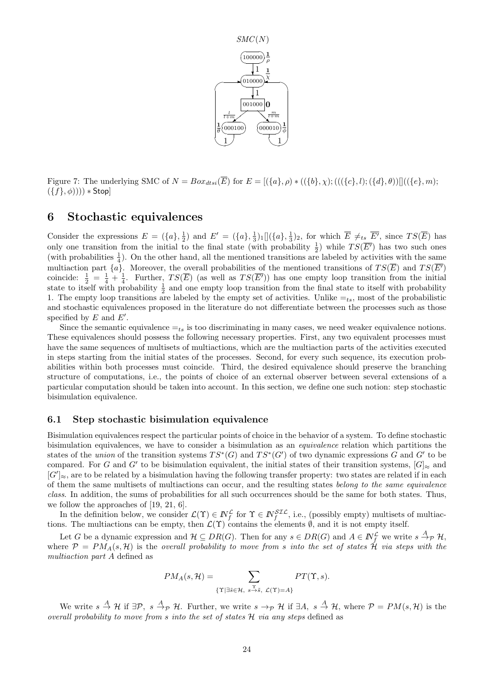

Figure 7: The underlying SMC of  $N = Box_{dtsi}(\overline{E})$  for  $E = [(\lbrace a \rbrace, \rho) * ((\lbrace b \rbrace, \chi) ; (((\lbrace c \rbrace, l) ; (\lbrace d \rbrace, \theta))] ((\lbrace e \rbrace, m);$ (*{f}, ϕ*)))) *∗* Stop]

## **6 Stochastic equivalences**

Consider the expressions  $E = (\{a\}, \frac{1}{2})$  and  $E' = (\{a\}, \frac{1}{3})_1 [(\{a\}, \frac{1}{3})_2]$ , for which  $\overline{E} \neq_{ts} \overline{E'}$ , since  $TS(\overline{E})$  has only one transition from the initial to the final state (with probability  $\frac{1}{2}$ ) while  $TS(\overline{E'})$  has two such ones (with probabilities  $\frac{1}{4}$ ). On the other hand, all the mentioned transitions are labeled by activities with the same multiaction part  $\{a\}$ . Moreover, the overall probabilities of the mentioned transitions of  $TS(\overline{E})$  and  $TS(\overline{E'})$ coincide:  $\frac{1}{2} = \frac{1}{4} + \frac{1}{4}$ . Further,  $TS(\overline{E})$  (as well as  $TS(\overline{E'})$ ) has one empty loop transition from the initial state to itself with probability  $\frac{1}{2}$  and one empty loop transition from the final state to itself with probability 1. The empty loop transitions are labeled by the empty set of activities. Unlike  $=$ <sub>ts</sub>, most of the probabilistic and stochastic equivalences proposed in the literature do not differentiate between the processes such as those specified by *E* and *E′* .

Since the semantic equivalence  $=$ ts is too discriminating in many cases, we need weaker equivalence notions. These equivalences should possess the following necessary properties. First, any two equivalent processes must have the same sequences of multisets of multiactions, which are the multiaction parts of the activities executed in steps starting from the initial states of the processes. Second, for every such sequence, its execution probabilities within both processes must coincide. Third, the desired equivalence should preserve the branching structure of computations, i.e., the points of choice of an external observer between several extensions of a particular computation should be taken into account. In this section, we define one such notion: step stochastic bisimulation equivalence.

#### **6.1 Step stochastic bisimulation equivalence**

Bisimulation equivalences respect the particular points of choice in the behavior of a system. To define stochastic bisimulation equivalences, we have to consider a bisimulation as an *equivalence* relation which partitions the states of the *union* of the transition systems  $TS^*(G)$  and  $TS^*(G')$  of two dynamic expressions *G* and *G'* to be compared. For *G* and *G'* to be bisimulation equivalent, the initial states of their transition systems,  $[G]_{\approx}$  and  $[G']_{\approx}$ , are to be related by a bisimulation having the following transfer property: two states are related if in each of them the same multisets of multiactions can occur, and the resulting states *belong to the same equivalence class*. In addition, the sums of probabilities for all such occurrences should be the same for both states. Thus, we follow the approaches of [19, 21, 6].

In the definition below, we consider  $\mathcal{L}(\Upsilon) \in \mathbb{N}_{f}^{\mathcal{L}}$  for  $\Upsilon \in \mathbb{N}_{f}^{SL}$ , i.e., (possibly empty) multisets of multiactions. The multiactions can be empty, then *L*(Υ) contains the elements *∅*, and it is not empty itself.

Let G be a dynamic expression and  $\mathcal{H} \subseteq DR(G)$ . Then for any  $s \in DR(G)$  and  $A \in \mathbb{N}_{f}^{\mathcal{L}}$  we write  $s \stackrel{A}{\rightarrow} p \mathcal{H}$ , where  $P = PM_A(s, H)$  is the *overall probability to move from s into the set of states*  $H$  *via steps with the multiaction part A* defined as *PM*<sub>*A*</sub>(*s*, *H*) =  $\sum_{n=1}^{n} P M_A(s, H) = \sum_{n=1}^{n} P M_A(s, H) = \sum_{n=1}^{n} P M_A(s, H)$ 

$$
PM_A(s, \mathcal{H}) = \sum_{\{\Upsilon \mid \exists \tilde{s} \in \mathcal{H}, \ s \stackrel{\Upsilon}{\to} \tilde{s}, \ \mathcal{L}(\Upsilon) = A\}} PT(\Upsilon, s).
$$

We write  $s \stackrel{A}{\to} H$  if  $\exists \mathcal{P}, s \stackrel{A}{\to} p$  H. Further, we write  $s \to p$  H if  $\exists A, s \stackrel{A}{\to} H$ , where  $\mathcal{P} = PM(s, \mathcal{H})$  is the *overall probability to move from s into the set of states H via any steps* defined as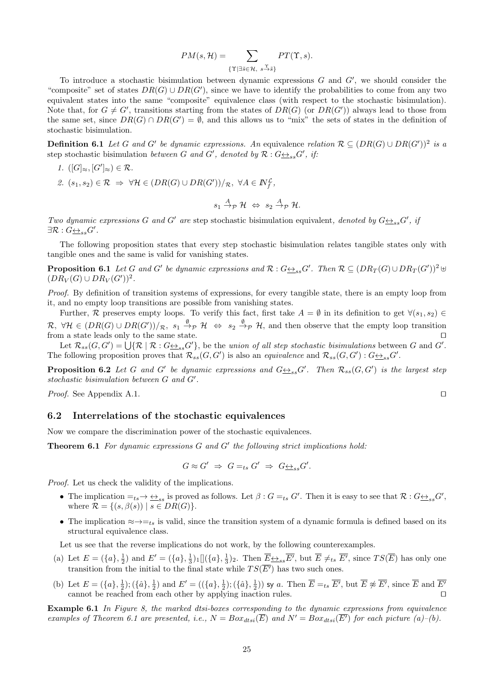$$
PM(s, \mathcal{H}) = \sum_{\{\Upsilon \mid \exists \tilde{s} \in \mathcal{H}, \ s \stackrel{\Upsilon}{\rightarrow} \tilde{s}\}} PT(\Upsilon, s).
$$

To introduce a stochastic bisimulation between dynamic expressions *G* and *G′* , we should consider the "composite" set of states  $DR(G) \cup DR(G')$ , since we have to identify the probabilities to come from any two equivalent states into the same "composite" equivalence class (with respect to the stochastic bisimulation). Note that, for  $G \neq G'$ , transitions starting from the states of  $DR(G)$  (or  $DR(G')$ ) always lead to those from the same set, since  $DR(G) \cap DR(G') = \emptyset$ , and this allows us to "mix" the sets of states in the definition of stochastic bisimulation.

**Definition 6.1** Let G and G' be dynamic expressions. An equivalence relation  $\mathcal{R} \subseteq (DR(G) \cup DR(G'))^2$  is a step stochastic bisimulation *between G* and *G'*, denoted by  $\mathcal{R}: G \underline{\leftrightarrow}_{ss} G'$ , if:

- *1.*  $([G]_{\approx}, [G']_{\approx}) \in \mathcal{R}$ *.*
- *2.*  $(s_1, s_2) \in \mathcal{R} \Rightarrow \forall \mathcal{H} \in (DR(G) \cup DR(G'))/R, \forall A \in \mathbb{N}^{\mathcal{L}}_f$ ,

$$
s_1 \stackrel{A}{\rightarrow} p \mathcal{H} \Leftrightarrow s_2 \stackrel{A}{\rightarrow} p \mathcal{H}.
$$

*Two dynamic expressions G* and *G'* are step stochastic bisimulation equivalent, denoted by  $G \leftrightarrow_{ss} G'$ , if  $\exists \mathcal{R}: G \underline{\leftrightarrow}_{ss} G'$ .

The following proposition states that every step stochastic bisimulation relates tangible states only with tangible ones and the same is valid for vanishing states.

**Proposition 6.1** Let G and G' be dynamic expressions and  $\mathcal{R}: G \rightarrow S_{ss}G'$ . Then  $\mathcal{R} \subseteq (DR_T(G) \cup DR_T(G'))^2$  $(DR_V(G) \cup DR_V(G'))^2$ .

*Proof.* By definition of transition systems of expressions, for every tangible state, there is an empty loop from it, and no empty loop transitions are possible from vanishing states.

Further, *R* preserves empty loops. To verify this fact, first take  $A = \emptyset$  in its definition to get  $\forall (s_1, s_2) \in$  $\mathcal{R}, \ \forall \mathcal{H} \in (DR(G) \cup DR(G'))/_{\mathcal{R}}, \ s_1 \stackrel{\emptyset}{\rightarrow}_{\mathcal{P}} \mathcal{H} \Leftrightarrow s_2 \stackrel{\emptyset}{\rightarrow}_{\mathcal{P}} \mathcal{H}$ , and then observe that the empty loop transition from a state leads only to the same state. *⊓⊔* loop t<br>
eserve<br>
()  $\cup$  *D*<br>  $\in$  0nly<br>
() =  $\bigcup$ 

Let  $\mathcal{R}_{ss}(G, G') = \bigcup \{ \mathcal{R} \mid \mathcal{R} : G \underline{\leftrightarrow}_{ss} G' \}$ , be the *union of all step stochastic bisimulations* between *G* and *G'*. The following proposition proves that  $\mathcal{R}_{ss}(G, G')$  is also an *equivalence* and  $\mathcal{R}_{ss}(G, G') : G \rightarrow_{ss} G'$ .

**Proposition 6.2** Let G and G' be dynamic expressions and  $G_{\frac{\leftrightarrow}{2}s}G'$ . Then  $\mathcal{R}_{ss}(G,G')$  is the largest step *stochastic bisimulation between G and G′ .*

*Proof.* See Appendix A.1. *⊓⊔*

#### **6.2 Interrelations of the stochastic equivalences**

Now we compare the discrimination power of the stochastic equivalences.

**Theorem 6.1** *For dynamic expressions G and G′ the following strict implications hold:*

$$
G \approx G' \Rightarrow G =_{ts} G' \Rightarrow G \underline{\leftrightarrow}_{ss} G'.
$$

*Proof.* Let us check the validity of the implications.

- The implication  $=$ <sub>ts</sub>  $\rightarrow \leftrightarrow$ <sub>ss</sub> is proved as follows. Let  $\beta$  :  $G =$ <sub>ts</sub>  $G'$ . Then it is easy to see that  $\mathcal{R}$  :  $G \leftrightarrow$ <sub>ss</sub> $G'$ , where  $\mathcal{R} = \{(s, \beta(s)) \mid s \in DR(G)\}.$
- The implication  $\approx \rightarrow =_{ts}$  is valid, since the transition system of a dynamic formula is defined based on its structural equivalence class.

Let us see that the reverse implications do not work, by the following counterexamples.

- (a) Let  $E = (\{a\}, \frac{1}{2})$  and  $E' = (\{a\}, \frac{1}{3})_1 [(\{a\}, \frac{1}{3})_2]$ . Then  $\overline{E} \underline{\leftrightarrow}_{ss} \overline{E'}$ , but  $\overline{E} \neq_{ts} \overline{E'}$ , since  $TS(\overline{E})$  has only one transition from the initial to the final state while  $TS(\overline{E'})$  has two such ones.
- (b) Let  $E = (\{a\}, \frac{1}{2}); (\{\hat{a}\}, \frac{1}{2})$  and  $E' = ((\{a\}, \frac{1}{2}); (\{\hat{a}\}, \frac{1}{2}))$  sy a. Then  $\overline{E} =_{ts} \overline{E'}$ , but  $\overline{E} \not\approx \overline{E'}$ , since  $\overline{E}$  and  $\overline{E'}$ cannot be reached from each other by applying inaction rules. *⊓⊔*

**Example 6.1** *In Figure 8, the marked dtsi-boxes corresponding to the dynamic expressions from equivalence examples of Theorem 6.1 are presented, i.e.,*  $N = Box_{dtsi}(\overline{E})$  and  $N' = Box_{dtsi}(\overline{E'})$  for each picture (a)–(b).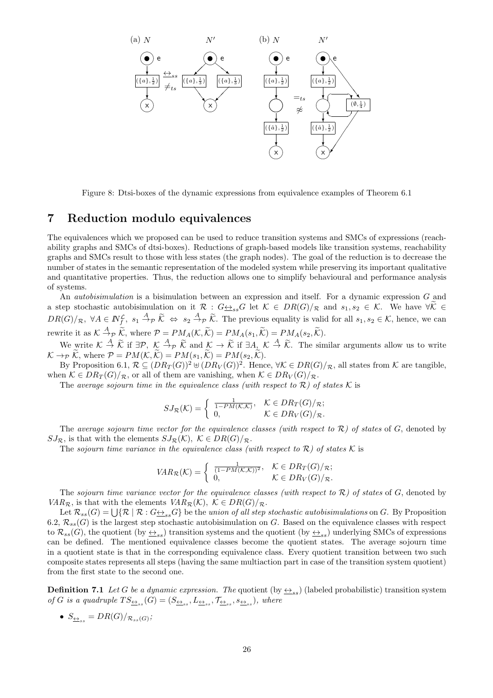

Figure 8: Dtsi-boxes of the dynamic expressions from equivalence examples of Theorem 6.1

## **7 Reduction modulo equivalences**

The equivalences which we proposed can be used to reduce transition systems and SMCs of expressions (reachability graphs and SMCs of dtsi-boxes). Reductions of graph-based models like transition systems, reachability graphs and SMCs result to those with less states (the graph nodes). The goal of the reduction is to decrease the number of states in the semantic representation of the modeled system while preserving its important qualitative and quantitative properties. Thus, the reduction allows one to simplify behavioural and performance analysis of systems.

An *autobisimulation* is a bisimulation between an expression and itself. For a dynamic expression *G* and a step stochastic autobisimulation on it  $\mathcal{R}: G \rightarrow_{ss} G$  let  $\mathcal{K} \in DR(G)/_{\mathcal{R}}$  and  $s_1, s_2 \in \mathcal{K}$ . We have  $\forall \mathcal{K} \in$ and quantitative properties. Thus, the reduction allows one to simplify behavioural and performance analysis<br>of systems.<br>An *autobisimulation* is a bisimulation between an expression and itself. For a dynamic expression G rewrite it as  $K \stackrel{A}{\rightarrow}$ *mulation* is a bisimulation between an expression and itself.<br>
ic autobisimulation on it  $\mathcal{R} : G_{\frac{\leftrightarrow}{2}s}G$  let  $\mathcal{K} \in DR(G)/_{\mathcal{R}}$   $\in$   $N_f^{\mathcal{L}}, s_1 \stackrel{A}{\rightarrow}_{\mathcal{P}} \widetilde{\mathcal{K}} \Leftrightarrow s_2 \stackrel{A}{\rightarrow}_{\mathcal{P}} \widetilde{\mathcal{K}}$ . The pr  $\mathbb{R} \in \mathbb{N}_f^{\mathcal{L}}, s_1 \stackrel{A}{\to} p \widetilde{K} \Leftrightarrow s_2 \stackrel{A}{\to} p \widetilde{K}$ *. The previous equality is valid for all*  $s_1, s_2 \in \mathcal{K}$ *, hence, we can*  $\stackrel{A}{\to} p \widetilde{K}$ *, where \mathcal{P} = PM\_A(\mathcal{K}, \widetilde{\mathcal{K}}) = PM\_A(s\_1, \widetilde{\mathcal{K}}) = PM\_A(s* 

We write  $K \stackrel{A}{\to} \widetilde{K}$  if  $\exists \mathcal{P}, \ K \stackrel{A}{\to} \mathcal{P}$   $\widetilde{K}$  and  $K \to \widetilde{K}$  if  $\exists A, \ K \stackrel{A}{\to}$  $K \rightarrow_{\mathcal{P}} \widetilde{K}$ , where  $\mathcal{P} = PM(K, \widetilde{K}) = PM(s_1, \widetilde{K}) = PM(s_2, \widetilde{K}).$ 

By Proposition 6.1,  $\mathcal{R} \subseteq (DR_T(G))^2 \oplus (DR_V(G))^2$ . Hence,  $\forall K \in DR(G)/\pi$ , all states from  $K$  are tangible,<br>en  $K \in DR_T(G)/\pi$ , or all of them are vanishing, when  $K \in DR_V(G)/\pi$ .<br>The *average sojourn time in the equivalence class (wit* when  $K \in DR_T(G)/_{\mathcal{R}}$ , or all of them are vanishing, when  $K \in DR_V(G)/_{\mathcal{R}}$ .

The *average sojourn time in the equivalence class (with respect to*  $\mathcal{R}$ *)* of states  $\mathcal{K}$  is

$$
SJ_{\mathcal{R}}(\mathcal{K}) = \begin{cases} \frac{1}{1 - PM(\mathcal{K}, \mathcal{K})}, & \mathcal{K} \in DR_T(G)/_{\mathcal{R}}; \\ 0, & \mathcal{K} \in DR_V(G)/_{\mathcal{R}}. \end{cases}
$$

The *average sojourn time vector for the equivalence classes (with respect to*  $R$ *) of states* of *G*, denoted by<br> *z*, is that with the elements  $SJ_{R}(\mathcal{K})$ ,  $K \in DR(G)/R$ .<br> *VAR*<sub>*R*</sub>( $K$ ) = { $\frac{1}{(1-P_{M}(\mathcal{K},\mathcal{K}))^{2}}$ , *SJ*<sub>*R*</sub>, is that with the elements  $SJ_{\mathcal{R}}(\mathcal{K})$ ,  $\mathcal{K} \in DR(G)/_{\mathcal{R}}$ .

The *sojourn time variance in the equivalence class (with respect to*  $\mathcal{R}$ *)* of states  $\mathcal{K}$  is

$$
VAR_{\mathcal{R}}(\mathcal{K}) = \begin{cases} \frac{1}{(1 - PM(\mathcal{K}, \mathcal{K}))^2}, & \mathcal{K} \in DR_T(G)/_{\mathcal{R}}; \\ 0, & \mathcal{K} \in DR_V(G)/_{\mathcal{R}}. \end{cases}
$$

The *sojourn time variance vector for the equivalence classes (with respect to R) of states* of *G*, denoted by *VAR*<sub>*R*</sub>, is that with the elements *VAR*<sub>*R*</sub>(*K*)*,*  $K \in DR(G)/R$ . The *sojourn tim*<br> $R_{\mathcal{R}}$ , is that with<br>Let  $\mathcal{R}_{ss}(G) = \bigcup$ 

Let  $\mathcal{R}_{ss}(G) = \bigcup \{ \mathcal{R} \mid \mathcal{R} : G \rightarrow_{ss} G \}$  be the *union of all step stochastic autobisimulations* on *G*. By Proposition 6.2,  $\mathcal{R}_{ss}(G)$  is the largest step stochastic autobisimulation on  $G$ . Based on the equivalence classes with respect to  $\mathcal{R}_{ss}(G)$ , the quotient (by  $\leftrightarrow_{ss}$ ) transition systems and the quotient (by  $\leftrightarrow_{ss}$ ) underlying SMCs of expressions can be defined. The mentioned equivalence classes become the quotient states. The average sojourn time in a quotient state is that in the corresponding equivalence class. Every quotient transition between two such composite states represents all steps (having the same multiaction part in case of the transition system quotient) from the first state to the second one.

**Definition 7.1** *Let G be a dynamic expression. The* quotient (by  $\leftrightarrow$ <sub>ss</sub>) (labeled probabilistic) transition system *of G is a quadruple*  $TS_{\frac{\leftrightarrow}{\pm s}}(G) = (S_{\frac{\leftrightarrow}{\pm ss}}, L_{\frac{\leftrightarrow}{\pm ss}}, \mathcal{T}_{\frac{\leftrightarrow}{\pm ss}}, s_{\frac{\leftrightarrow}{\pm ss}})$ *, where* 

• 
$$
S_{\underline{\leftrightarrow}_{ss}} = DR(G)/_{\mathcal{R}_{ss}(G)}
$$
;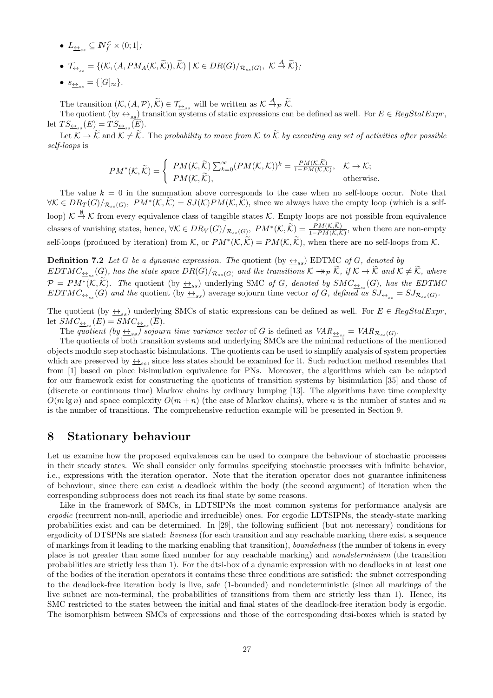- $\bullet$   $L_{\underline{\leftrightarrow}_{ss}} \subseteq \mathbb{N}_{f}^{\mathcal{L}} \times (0;1],$
- $L_{\underline{\leftrightarrow}_{ss}} \subseteq \mathbb{N}_f^{\mathcal{L}} \times (0; 1];$ <br>
  $\mathcal{T}_{\underline{\leftrightarrow}_{ss}} = \{ (\mathcal{K}, (A, PM_A(\mathcal{K}, \widetilde{\mathcal{K}})), \widetilde{\mathcal{K}}) \mid \mathcal{K} \in DR(G)/_{\mathcal{R}_{ss}(G)}, \ \mathcal{K} \stackrel{A}{\rightarrow} \widetilde{\mathcal{K}} \},\$
- $s_{\underline{\leftrightarrow}_{ss}} = \{[G]_{\approx}\}.$

•  $\mathcal{T}_{\underline{\leftrightarrow}_{ss}} = \{(\mathcal{K}, (A, PM_A(\mathcal{K}, \mathcal{K})), \mathcal{K}) \mid \mathcal{K} \in DR(G)/_{\mathcal{R}_{ss}(G)}, \mathcal{K} \stackrel{A}{\rightarrow} \mathcal{K}$ <br>●  $s_{\underline{\leftrightarrow}_{ss}} = \{[G]_{\approx}\}.$ <br>The transition  $(\mathcal{K}, (A, \mathcal{P}), \widetilde{\mathcal{K}}) \in \mathcal{T}_{\underline{\leftrightarrow}_{ss}}$  will be written as  $\mathcal{K} \stackrel{A}{\rightarrow} p \widetilde{\math$ 

The quotient (by  $\leq_{ss}$ ) transition systems of static expressions can be defined as well. For  $E \in RegStatExpr$ , let  $TS_{\underline{\leftrightarrow}_{ss}}(E) = TS_{\underline{\leftrightarrow}_{ss}}(E)$ . The transition  $(K, (A, \mathcal{P}), \widetilde{K}) \in \mathcal{T}_{\leq \lambda_{ss}}$  will be written as  $K \xrightarrow{A} \mathcal{P} \widetilde{K}$ .<br>The quotient  $(\text{by } \leq_{ss})$  transition systems of static expressions can be defined as well. For  $E \in RegStatexpr$ ,<br> $TS_{\leq \lambda_{ss}}(E) = TS_{\leq \$ 

*self-loops* is  $\begin{aligned} &\sum_{s\in \mathcal{K}}^{s}(\overline{E}). \ &\neq \widetilde{\mathcal{K}}. \text{ The probability to } \ &\text{(}\mathcal{K},\widetilde{\mathcal{K}}\text{)}=\left\{ \begin{array}{ll} PM(\mathcal{K},\widetilde{\mathcal{K}}) \end{array} \right. \end{aligned}$ 

$$
PM^*(K, \widetilde{K}) = \begin{cases} PM(K, \widetilde{K}) \sum_{k=0}^{\infty} (PM(K, K))^k = \frac{PM(K, \widetilde{K})}{1 - PM(K, K)}, & K \to K; \\ PM(K, \widetilde{K}), & \text{otherwise.} \end{cases}
$$

The value  $k = 0$  in the summation above corresponds to the case when no self-loops occur. Note that  $PM^*(\mathcal{K}, \widetilde{\mathcal{K}}) = \begin{cases} PM(\mathcal{K}, \widetilde{\mathcal{K}}) \sum_{k=0}^{\infty} (PM(\mathcal{K}, \mathcal{K}))^k = \frac{PM(\mathcal{K}, \mathcal{K})}{1 - PM(\mathcal{K}, \mathcal{K})}, & \mathcal{K} \to \mathcal{K}; \\ PM(\mathcal{K}, \widetilde{\mathcal{K}}), & \text{otherwise.} \end{cases}$ <br>The value  $k = 0$  in the summation above corresponds to the case wh loop)  $K \stackrel{\emptyset}{\to} K$  from every equivalence class of tangible states  $K$ . Empty loops are not possible from equivalence classes of vanishing states, hence,  $\forall K \in DR_V(G)/_{\mathcal{R}_{ss}(G)}$ ,  $PM^*(K,\hat{K}) = \frac{PM(K,\mathcal{K})}{1-PM(K,\mathcal{K})}$ , when there are non-empty the case when no<br>we always have the<br>*K*<sub>*K*</sub>*K*<sub>*K*</sub>*K*<sub>*K*</sub>*K*<sub>*K*</sub>*K*<sub>*K*</sub>*K*<sub>*K*</sub>*K*<sub>*K*</sub>*K*<sub>*K*</sub>*K*<sub>*K*</sub>*K*<sub>*K*</sub>*K*<sub>*K*</sub>*K*<sub>*K*</sub>*K*<sub>*K*</sub>*K*<sub>*K*</sub>*K*<sub>*K*</sub>*K*<sub>*K*</sub>*K*<sub>*K*</sub>*K*<sub>*K*</sub>*K*<sub>*K*</sub>*K*<sub>*K*</sub>*K*<sub>*K*</sub>*K*<sub>*K*</sub>*K*<sub>*K*</sub> self-loops (produced by iteration) from *K*, or  $PM^*(K, \widetilde{K}) = PM(K, \widetilde{K})$ , when there are no self-loops from *K*.  $(K, K)$ , since we always have the empty loop (which is a se<br>ble states  $K$ . Empty loops are not possible from equivalen<br> $k_{ss}(G)$ ,  $PM^*(K, \widetilde{K}) = \frac{PM(K, \widetilde{K})}{1 - PM(K, \widetilde{K})}$ , when there are non-emp<br> $(K, \widetilde{K}) = PM(K, \widetilde{K})$ , w

**Definition 7.2** *Let G be a dynamic expression. The quotient* (by  $\leftrightarrow$ <sub>ss</sub>) EDTMC *of G, denoted by* classes of valusting states, hence,  $v \mathcal{K} \in \text{DR}_V(G)/\mathcal{R}_{ss}(G)$ ,  $F M^*(\mathcal{K}, \mathcal{K}) = \frac{1}{1 - PM(\mathcal{K}, \mathcal{K})}$ , when there are non-empty self-loops (produced by iteration) from  $\mathcal{K}$ , or  $PM^*(\mathcal{K}, \widetilde{\mathcal{K}}) = PM(\mathcal{K}, \widetilde{\$ **Paramage 3** ELECT As the state space  $DR(G)/_{\mathcal{R}_{ss}(G)}$  and the transitions  $K \rightarrow_{\mathcal{P}} \widetilde{K}$ , if  $K \rightarrow \widetilde{K}$  and  $K \neq \widetilde{K}$ , where  $\mathcal{P} = PM^*(K, \widetilde{K})$ . The quotient  $\left(\text{by } \frac{\leftrightarrow}{\leftrightarrow_{s}}\right)$  EDTMC of *G*, denoted by  $EDTMC_{\underline{\leftrightarrow}_{ss}}(G)$  and the quotient (by  $\underline{\leftrightarrow}_{ss}$ ) average sojourn time vector of G, defined as  $SJ_{\underline{\leftrightarrow}_{ss}} = SJ_{\mathcal{R}_{ss}(G)}$ .

The quotient (by  $\leq_{ss}$ ) underlying SMCs of static expressions can be defined as well. For  $E \in RegStatExpr$ , let  $SMC_{\underline{\leftrightarrow}_{ss}}(E) = SMC_{\underline{\leftrightarrow}_{ss}}(E)$ .

The *quotient* (by  $\leftrightarrow$ <sub>ss</sub>) sojourn time variance vector of *G* is defined as  $VAR_{\leftrightarrow_{ss}} = VAR_{\mathcal{R}_{ss}(G)}$ .

The quotients of both transition systems and underlying SMCs are the minimal reductions of the mentioned objects modulo step stochastic bisimulations. The quotients can be used to simplify analysis of system properties which are preserved by  $\leftrightarrow$ <sub>ss</sub>, since less states should be examined for it. Such reduction method resembles that from [1] based on place bisimulation equivalence for PNs. Moreover, the algorithms which can be adapted for our framework exist for constructing the quotients of transition systems by bisimulation [35] and those of (discrete or continuous time) Markov chains by ordinary lumping [13]. The algorithms have time complexity  $O(m \lg n)$  and space complexity  $O(m+n)$  (the case of Markov chains), where *n* is the number of states and *m* is the number of transitions. The comprehensive reduction example will be presented in Section 9.

## **8 Stationary behaviour**

Let us examine how the proposed equivalences can be used to compare the behaviour of stochastic processes in their steady states. We shall consider only formulas specifying stochastic processes with infinite behavior, i.e., expressions with the iteration operator. Note that the iteration operator does not guarantee infiniteness of behaviour, since there can exist a deadlock within the body (the second argument) of iteration when the corresponding subprocess does not reach its final state by some reasons.

Like in the framework of SMCs, in LDTSIPNs the most common systems for performance analysis are *ergodic* (recurrent non-null, aperiodic and irreducible) ones. For ergodic LDTSIPNs, the steady-state marking probabilities exist and can be determined. In [29], the following sufficient (but not necessary) conditions for ergodicity of DTSPNs are stated: *liveness* (for each transition and any reachable marking there exist a sequence of markings from it leading to the marking enabling that transition), *boundedness* (the number of tokens in every place is not greater than some fixed number for any reachable marking) and *nondeterminism* (the transition probabilities are strictly less than 1). For the dtsi-box of a dynamic expression with no deadlocks in at least one of the bodies of the iteration operators it contains these three conditions are satisfied: the subnet corresponding to the deadlock-free iteration body is live, safe (1-bounded) and nondeterministic (since all markings of the live subnet are non-terminal, the probabilities of transitions from them are strictly less than 1). Hence, its SMC restricted to the states between the initial and final states of the deadlock-free iteration body is ergodic. The isomorphism between SMCs of expressions and those of the corresponding dtsi-boxes which is stated by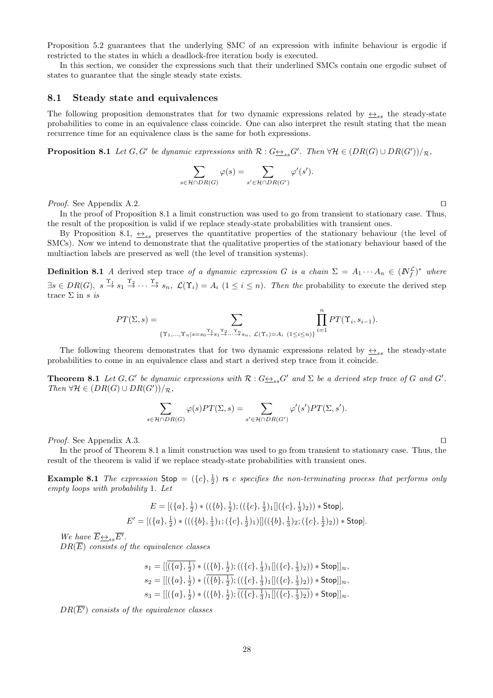Proposition 5.2 guarantees that the underlying SMC of an expression with infinite behaviour is ergodic if restricted to the states in which a deadlock-free iteration body is executed.

In this section, we consider the expressions such that their underlined SMCs contain one ergodic subset of states to guarantee that the single steady state exists.

#### **8.1 Steady state and equivalences**

The following proposition demonstrates that for two dynamic expressions related by  $\leftrightarrow_{ss}$  the steady-state probabilities to come in an equivalence class coincide. One can also interpret the result stating that the mean recurrence time for an equivalence class is the same for both expressions.  $\phi(s) = \sum_{\varphi(s)}$ 

**Proposition 8.1** Let  $G, G'$  be dynamic expressions with  $\mathcal{R}: G \rightarrow S_{ss} G'$ . Then  $\forall \mathcal{H} \in (DR(G) \cup DR(G'))/R$ ,

$$
\sum_{s \in \mathcal{H} \cap DR(G)} \varphi(s) = \sum_{s' \in \mathcal{H} \cap DR(G')} \varphi'(s').
$$

*Proof.* See Appendix A.2. *⊓⊔*

In the proof of Proposition 8.1 a limit construction was used to go from transient to stationary case. Thus, the result of the proposition is valid if we replace steady-state probabilities with transient ones.

By Proposition 8.1,  $\leftrightarrow$ <sub>ss</sub> preserves the quantitative properties of the stationary behaviour (the level of SMCs). Now we intend to demonstrate that the qualitative properties of the stationary behaviour based of the multiaction labels are preserved as well (the level of transition systems).

**Definition 8.1** *A* derived step trace of a dynamic expression *G* is a chain  $\Sigma = A_1 \cdots A_n \in (I\!N_f^{\mathcal{L}})^*$  where  $\exists s \in DR(G), s \stackrel{\Upsilon_1}{\rightarrow} s_1 \stackrel{\Upsilon_2}{\rightarrow} \cdots \stackrel{\Upsilon_n}{\rightarrow} s_n, \mathcal{L}(\Upsilon_i) = A_i \ (1 \leq i \leq n).$  Then the probability to execute the derived step trace Σ in *s is* derived step trace *of a agramme*  $s_1 \stackrel{\Upsilon_2}{\rightarrow} \cdots \stackrel{\Upsilon_n}{\rightarrow} s_n$ ,  $\mathcal{L}(\Upsilon_i) = A_i$  ( $1 \leq i$ )<br> $PT(\Sigma, s) = \sum$ 

$$
PT(\Sigma,s)=\sum_{\{\Upsilon_1,\ldots,\Upsilon_n|s=s_0\stackrel{\Upsilon_1}{\to}s_1\stackrel{\Upsilon_2}{\to}\ldots\stackrel{\Upsilon_n}{\to}s_n,\ \mathcal{L}(\Upsilon_i)=A_i}\prod_{(1\leq i\leq n)\}}^n PT(\Upsilon_i,s_{i-1}).
$$

The following theorem demonstrates that for two dynamic expressions related by  $\leftrightarrow$ <sub>ss</sub> the steady-state probabilities to come in an equivalence class and start a derived step trace from it coincide.

**Theorem 8.1** Let  $G, G'$  be dynamic expressions with  $\mathcal{R}: G \rightarrow S_{ss} G'$  and  $\Sigma$  be a derived step trace of G and G'.  $Then \forall \mathcal{H} \in (DR(G) \cup DR(G'))/\mathcal{R}$ *, φ*(*s*)*PT*( $\Sigma$ *, s*) =  $\sum$ 

$$
\sum_{s \in \mathcal{H} \cap DR(G)} \varphi(s) PT(\Sigma, s) = \sum_{s' \in \mathcal{H} \cap DR(G')} \varphi'(s') PT(\Sigma, s').
$$

*Proof.* See Appendix A.3. *⊓⊔*

In the proof of Theorem 8.1 a limit construction was used to go from transient to stationary case. Thus, the result of the theorem is valid if we replace steady-state probabilities with transient ones.

**Example 8.1** *The expression* Stop =  $(\{c\}, \frac{1}{2})$  **rs** *c specifies the non-terminating process that performs only empty loops with probability* 1*. Let*

$$
E = [(\{a\}, \frac{1}{2}) * ((\{b\}, \frac{1}{2}); ((\{c\}, \frac{1}{3})_1 || (\{c\}, \frac{1}{3})_2)) * \text{Stop}],
$$
  

$$
E' = [(\{a\}, \frac{1}{2}) * (((\{b\}, \frac{1}{3})_1; (\{c\}, \frac{1}{2})_1) || ((\{b\}, \frac{1}{3})_2; (\{c\}, \frac{1}{2})_2)) * \text{Stop}].
$$

*We have*  $\overline{E} \underline{\leftrightarrow}_{ss} \overline{E'}$ *. DR*(*E*) *consists of the equivalence classes*

$$
s_1 = [[({a}, \frac{1}{2}) * (({b}, \frac{1}{2}); (({{c}, \frac{1}{3}})_1 ||({{c}, \frac{1}{3}})_2)) * Stop]]_{\approx},
$$
  
\n
$$
s_2 = [[({a}, \frac{1}{2}) * (({\overline{b}}, \frac{1}{2}); (({{c}, \frac{1}{3}})_1 ||({{c}, \frac{1}{3}})_2)) * Stop]]_{\approx},
$$
  
\n
$$
s_3 = [[({a}, \frac{1}{2}) * (({{b}, \frac{1}{2}}); (({{c}, \frac{1}{3}})_1 ||({{c}, \frac{1}{3}})_2)) * Stop]]_{\approx}.
$$

 $DR(\overline{E'})$  *consists of the equivalence classes*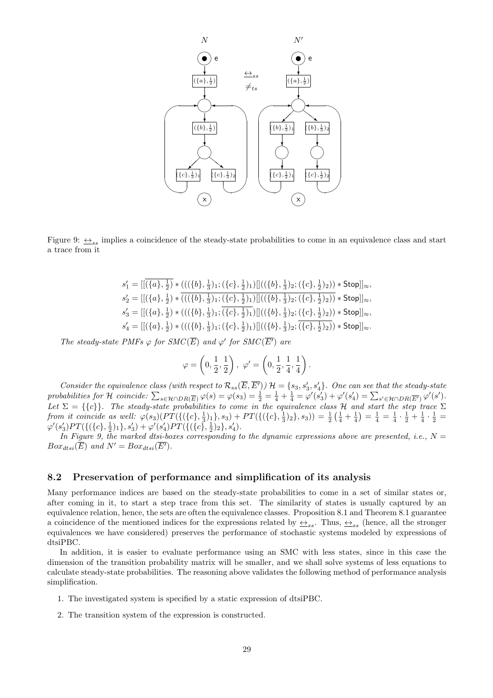

Figure 9:  $\leftrightarrow$ <sub>ss</sub> implies a coincidence of the steady-state probabilities to come in an equivalence class and start a trace from it

$$
\begin{array}{l} s_1' = [[(\{a\},\tfrac{1}{2}) * (((\{b\},\tfrac{1}{3})_1;(\{c\},\tfrac{1}{2})_1)][((\{b\},\tfrac{1}{3})_2;(\{c\},\tfrac{1}{2})_2)) * \mathsf{Stop}]]_{\approx},\\ s_2' = [[(\{a\},\tfrac{1}{2}) * \overline{(((\{b\},\tfrac{1}{3})_1;(\{c\},\tfrac{1}{2})_1)][((\{b\},\tfrac{1}{3})_2;(\{c\},\tfrac{1}{2})_2))} * \mathsf{Stop}]]_{\approx},\\ s_3' = [[(\{a\},\tfrac{1}{2}) * (((\{b\},\tfrac{1}{3})_1;(\{c\},\tfrac{1}{2})_1)][((\{b\},\tfrac{1}{3})_2;(\{c\},\tfrac{1}{2})_2)) * \mathsf{Stop}]]_{\approx},\\ s_4' = [[(\{a\},\tfrac{1}{2}) * (((\{b\},\tfrac{1}{3})_1;(\{c\},\tfrac{1}{2})_1)][((\{b\},\tfrac{1}{3})_2;(\{c\},\tfrac{1}{2})_2)) * \mathsf{Stop}]]_{\approx}. \end{array}
$$

*The steady-state PMFs*  $\varphi$  *for SMC*( $\overline{E}$ ) *and*  $\varphi'$  *for SMC*( $\overline{E'}$ ) *are* 

$$
\varphi = \left(0, \frac{1}{2}, \frac{1}{2}\right), \ \varphi' = \left(0, \frac{1}{2}, \frac{1}{4}, \frac{1}{4}\right).
$$

Consider the equivalence class (with respect to  $\mathcal{R}_{ss}(\overline{E}, \overline{E'})$ )  $\mathcal{H} = \{s_3, s_3', s_4'\}$ . One can see that the steady-state  $\varphi = \left(0, \frac{1}{2}, \frac{1}{2}\right), \varphi' = \left(0, \frac{1}{2}, \frac{1}{4}, \frac{1}{4}\right).$ <br>Consider the equivalence class (with respect to  $\mathcal{R}_{ss}(\overline{E}, \overline{E'})$ )  $\mathcal{H} = \{s_3, s'_3, s'_4\}.$  One can see that the steady-state probabilities for  $\mathcal{H}$  co  $\binom{n}{n}$ <br>  $= \sum_{n=1}^{n}$ Let  $\Sigma = \{\{c\}\}\$ . The steady-state probabilities to come in the equivalence class  $H$  and start the step trace  $\Sigma$ from it coincide as well:  $\varphi(s_3)(PT(\{(c), \frac{1}{3})_1\}, s_3) + PT(\{(\{c\}, \frac{1}{3})_2\}, s_3)) = \frac{1}{2}(\frac{1}{4} + \frac{1}{4}) = \frac{1}{4} = \frac{1}{4} \cdot \frac{1}{2} + \frac{1}{4} \cdot \frac{1}{2} =$  $\varphi'(s'_3)PT(\{(\{c\},\frac{1}{2})_1\},s'_3)+\varphi'(s'_4)PT(\{(\{c\},\frac{1}{2})_2\},s'_4).$ 

In Figure 9, the marked dtsi-boxes corresponding to the dynamic expressions above are presented, i.e.,  $N =$  $Box_{dtsi}(\overline{E})$  *and*  $N' = Box_{dtsi}(\overline{E'})$ *.* 

## **8.2 Preservation of performance and simplification of its analysis**

Many performance indices are based on the steady-state probabilities to come in a set of similar states or, after coming in it, to start a step trace from this set. The similarity of states is usually captured by an equivalence relation, hence, the sets are often the equivalence classes. Proposition 8.1 and Theorem 8.1 guarantee a coincidence of the mentioned indices for the expressions related by  $\leftrightarrow$ <sub>ss</sub>. Thus,  $\leftrightarrow$ <sub>ss</sub> (hence, all the stronger equivalences we have considered) preserves the performance of stochastic systems modeled by expressions of dtsiPBC.

In addition, it is easier to evaluate performance using an SMC with less states, since in this case the dimension of the transition probability matrix will be smaller, and we shall solve systems of less equations to calculate steady-state probabilities. The reasoning above validates the following method of performance analysis simplification.

- 1. The investigated system is specified by a static expression of dtsiPBC.
- 2. The transition system of the expression is constructed.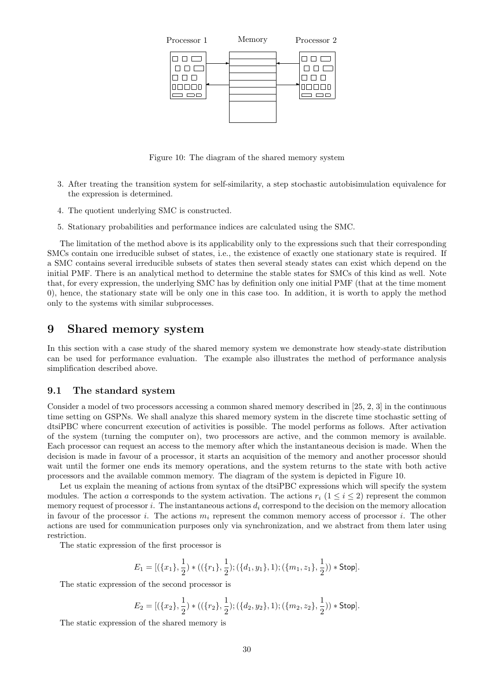

Figure 10: The diagram of the shared memory system

- 3. After treating the transition system for self-similarity, a step stochastic autobisimulation equivalence for the expression is determined.
- 4. The quotient underlying SMC is constructed.
- 5. Stationary probabilities and performance indices are calculated using the SMC.

The limitation of the method above is its applicability only to the expressions such that their corresponding SMCs contain one irreducible subset of states, i.e., the existence of exactly one stationary state is required. If a SMC contains several irreducible subsets of states then several steady states can exist which depend on the initial PMF. There is an analytical method to determine the stable states for SMCs of this kind as well. Note that, for every expression, the underlying SMC has by definition only one initial PMF (that at the time moment 0), hence, the stationary state will be only one in this case too. In addition, it is worth to apply the method only to the systems with similar subprocesses.

## **9 Shared memory system**

In this section with a case study of the shared memory system we demonstrate how steady-state distribution can be used for performance evaluation. The example also illustrates the method of performance analysis simplification described above.

#### **9.1 The standard system**

Consider a model of two processors accessing a common shared memory described in [25, 2, 3] in the continuous time setting on GSPNs. We shall analyze this shared memory system in the discrete time stochastic setting of dtsiPBC where concurrent execution of activities is possible. The model performs as follows. After activation of the system (turning the computer on), two processors are active, and the common memory is available. Each processor can request an access to the memory after which the instantaneous decision is made. When the decision is made in favour of a processor, it starts an acquisition of the memory and another processor should wait until the former one ends its memory operations, and the system returns to the state with both active processors and the available common memory. The diagram of the system is depicted in Figure 10.

Let us explain the meaning of actions from syntax of the dtsiPBC expressions which will specify the system modules. The action *a* corresponds to the system activation. The actions  $r_i$  ( $1 \le i \le 2$ ) represent the common memory request of processor  $i$ . The instantaneous actions  $d_i$  correspond to the decision on the memory allocation in favour of the processor *i*. The actions *m<sup>i</sup>* represent the common memory access of processor *i*. The other actions are used for communication purposes only via synchronization, and we abstract from them later using restriction.

The static expression of the first processor is

$$
E_1 = [(\{x_1\}, \frac{1}{2}) * ((\{r_1\}, \frac{1}{2}); (\{d_1, y_1\}, 1); (\{m_1, z_1\}, \frac{1}{2})) * \text{Stop}].
$$

The static expression of the second processor is

$$
E_2 = [(\{x_2\}, \frac{1}{2}) * ((\{r_2\}, \frac{1}{2}); (\{d_2, y_2\}, 1); (\{m_2, z_2\}, \frac{1}{2})) * \text{Stop}].
$$

The static expression of the shared memory is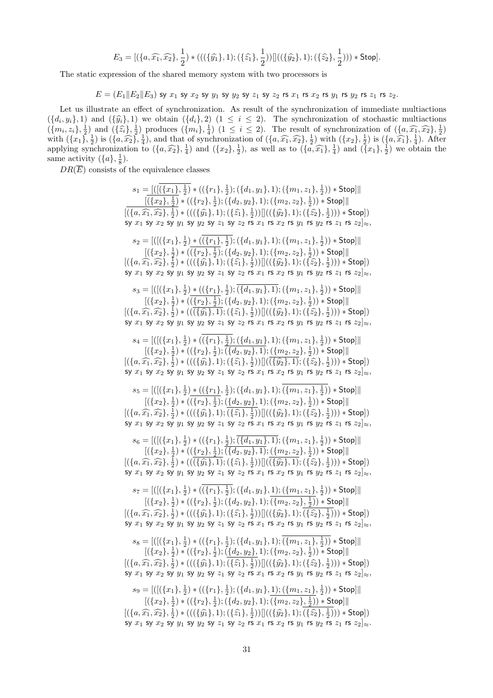$$
E_3 = [(\{a, \widehat{x_1}, \widehat{x_2}\}, \frac{1}{2}) * (((\{\widehat{y_1}\}, 1); (\{\widehat{z_1}\}, \frac{1}{2})) ]((\{\widehat{y_2}\}, 1); (\{\widehat{z_2}\}, \frac{1}{2}))) * Stop].
$$

The static expression of the shared memory system with two processors is

 $E = (E_1||E_2||E_3)$  sy  $x_1$  sy  $x_2$  sy  $y_1$  sy  $y_2$  sy  $z_1$  sy  $z_2$  rs  $x_1$  rs  $x_2$  rs  $y_1$  rs  $y_2$  rs  $z_1$  rs  $z_2$ .

Let us illustrate an effect of synchronization. As result of the synchronization of immediate multiactions  $E = (E_1 || E_2 || E_3)$  sy  $x_1$  sy  $x_2$  sy  $y_1$  sy  $y_2$  sy  $z_1$  sy  $z_2$  rs  $x_1$  rs  $x_2$  rs  $y_1$  rs  $y_2$  rs  $z_1$  rs  $z_2$ .<br>Let us illustrate an effect of synchronization. As result of the synchronization of immediate  $E = (E_1 || E_2 || E_3)$  sy  $x_1$  sy  $x_2$  sy  $y_1$  sy  $y_2$  sy  $z_1$  sy  $z_2$  rs  $x_1$  rs  $x_2$  rs  $y_1$  rs  $y_2$  rs  $z_1$  rs  $z_2$ .<br>
Let us illustrate an effect of synchronization. As result of the synchronization of immediate Let us illustrate an effect of synchronization. As result of the synchronization of immediate multiactions  $(\{d_i, y_i\}, 1)$  and  $(\{\hat{y}_i\}, 1)$  we obtain  $(\{d_i\}, 2)$   $(1 \le i \le 2)$ . The synchronization of stochastic multiactio Let us inustrate an enect of synchronization. As result of the synchroniz  $(\{d_i, y_i\}, 1)$  and  $(\{\hat{y}_i\}, 1)$  we obtain  $(\{d_i\}, 2)$   $(1 \le i \le 2)$ . The synchroniz  $(\{m_i, z_i\}, \frac{1}{2})$  and  $(\{\hat{z}_i\}, \frac{1}{2})$  produces  $(\{m_i\}, \frac{1$  $(\{x_2\}, \frac{1}{2})$ , as well as to  $(\{a, \widehat{x_1}\}, \frac{1}{4})$  and  $(\{x_1\}, \frac{1}{2})$  we obtain the same activity  $(\lbrace a \rbrace, \frac{1}{8})$ .

 $DR(\overline{E})$  consists of the equivalence classes

 $s_1 = \underline{[([(\{x_1\},\tfrac{1}{2})*((\{r_1\},\tfrac{1}{2});(\{d_1,y_1\},1);(\{m_1,z_1\},\tfrac{1}{2})) * \mathsf{Stop}]]|$ [(*{x*2*},* 1 2 ) *∗* ((*{r*2*},* 1 2 ); (*{d*2*, y*2*},* 1); (*{m*2*, z*2*},* 1 2 )) *∗* Stop]*∥*  $s_1 = \frac{\left(\left[\overline{\left(\{x_1\}, \frac{1}{2}\right)\ast\left(\left(\{r_1\}, \frac{1}{2}\right);\left(\{d_1, y_1\}, 1\right);\left(\{m_1, z_1\}, \frac{1}{2}\right)\right)\ast \mathsf{Stop}\right]\right)}{\left[\overline{\left(\{x_2\}, \frac{1}{2}\right)\ast\left(\left(\{r_2\}, \frac{1}{2}\right);\left(\{d_2, y_2\}, 1\right);\left(\{m_2, z_2\}, \frac{1}{2}\right)\right)\ast \mathsf{Stop}\right]\right]}$ <br> $\left[\overline{\left(\{a, \widehat{x_1}, \$ sy  $x_1$  sy  $x_2$  sy  $y_1$  sy  $y_2$  sy  $z_1$  sy  $z_2$  rs  $x_1$  rs  $x_2$  rs  $y_1$  rs  $y_2$  rs  $z_1$  rs  $z_2|_{\infty}$ ,  $s_2 = [([(\{x_1\},\tfrac{1}{2})\ast((\{r_1\},\tfrac{1}{2});(\{d_1,y_1\},1);(\{m_1,z_1\},\tfrac{1}{2}))\ast \mathsf{Stop}]]$ [(*{x*2*},* 1 2 ) *∗* ((*{r*2*},* 1 2 ); (*{d*2*, y*2*},* 1); (*{m*2*, z*2*},* 1 2 )) *∗* Stop]*∥*  $s_2 = [([({{x_1}, \frac{1}{2}})*((\overline{{{x_1}, \frac{1}{2}}});({{a_1}, y_1}, 1);({{m_1}, z_1}, \frac{1}{2}))*Stop]]|$ <br>  $[({x_2}, \frac{1}{2})*(((\overline{{{x_1}, \frac{1}{2}}});({{a_1}, y_1}, 1);({{m_1}, z_1}, \frac{1}{2}))*Stop]]|$ <br>  $[({x_2}, \frac{1}{2})*(((\overline{{x_2}, \frac{1}{2}});({{a_2}, y_2}, 1);({{m_2}, z_2}, \frac{1}{2}))*stop]]|$ <br>  $[({a, \$  $y_1$  (*sy*  $y_2$  (*sy*  $z_1$  (*sy*  $z_2$  (*s x<sub>1</sub>* (*sy*  $x_2$  (*sy*  $y_1$  (*sy*  $y_2$ )), <br>  $\frac{1}{2}$ ) \* (({*r*<sub>1</sub>),  $\frac{1}{2}$ ); ({*d*<sub>1</sub>,  $y_1$ }, 1); ({*m*<sub>1</sub>,  $z_1$ },  $\frac{1}{2}$ )) \* (({*r*<sub>2</sub>},  $\frac{1}{2}$ )); ({*d*<sub>2</sub>,  $y$ sy  $x_1$  sy  $x_2$  sy  $y_1$  sy  $y_2$  sy  $z_1$  sy  $z_2$  rs  $x_1$  rs  $x_2$  rs  $y_1$  rs  $y_2$  rs  $z_1$  rs  $z_2|_{\approx}$ ,  $s_3=[([(\{x_1\},\tfrac{1}{2})\ast ((\{r_1\},\tfrac{1}{2});\overline{(\{d_1,y_1\},1)};(\{m_1,z_1\},\tfrac{1}{2}))\ast {\sf Stop}] \|$  $[(\{x_2\}, \frac{1}{2}) * ((\{\underline{r_2}\}, \frac{1}{2}) ; (\{d_2, y_2\}, 1) ; (\{m_2, z_2\}, \frac{1}{2})) * \mathsf{Stop}]\|$  $s_3 = [([({{x_1}, \frac{1}{2}})*(({{{r_1}, \frac{1}{2}}});({{{a_1}, y_1}, 1});({{m_1, z_1}, \frac{1}{2}})*{Stop}]]$ <br>  $[{({{x_2}, \frac{1}{2}})*(({{{r_1}, \frac{1}{2}}});({{{a_2}, y_2}, 1});({{m_1, z_1}, \frac{1}{2}})*{Stop}]]$ <br>  $[({{x_2}, \frac{1}{2}})*(({{{r_2}, \frac{1}{2}}};({{d_2, y_2}, 1});({{m_2, z_2}, \frac{1}{2}}))*{Stop}]]$ <br>  $[({{a, \widehat{x$  $y_1$  (*sy*  $y_2$  sy  $z_1$  (*sy*  $z_2$  is  $x_1$  is  $x_2$  is  $y_1$  is  $y_2$ )<br>  $\}$ ,  $\frac{1}{2}$ ) \* (({*r*<sub>1</sub>},  $\frac{1}{2}$ ); ({*d*<sub>1</sub>,  $y_1$ }, 1); ({*m*<sub>1</sub>,  $z_1$ },  $\frac{1}{2}$ ) \* (({*r*<sub>2</sub>},  $\frac{1}{2}$ )); ({*d*<sub>2</sub>,  $y_2$ }, 1); ( sy  $x_1$  sy  $x_2$  sy  $y_1$  sy  $y_2$  sy  $z_1$  sy  $z_2$  rs  $x_1$  rs  $x_2$  rs  $y_1$  rs  $y_2$  rs  $z_1$  rs  $z_2$  $\ket{\approx}$  $s_4 = [([(\{x_1\},\tfrac{1}{2})*((\{r_1\},\tfrac{1}{2});(\{d_1,y_1\},1);(\{m_1,z_1\},\tfrac{1}{2})) * \mathsf{Stop}]]$  $[(\{x_2\}, \frac{1}{2}) * ((\{r_2\}, \frac{1}{2}) ; \overline{(\{d_2, y_2\}, 1)}; \underline{(\{m_2, z_2\}, \frac{1}{2})}) * {\sf Stop}]\|$  $s_4 = [([({{x_1}, \frac{1}{2}})*(({{{r_1}, \frac{1}{2}}});({{d_1}, y_1}, 1);({{m_1}, z_1}, \frac{1}{2})) * Stop]]|$ <br>  $[({{x_2}, \frac{1}{2}})*(({{{r_2}, \frac{1}{2}}};({{d_2}, y_2}, 1);({{m_2}, z_2}, \frac{1}{2})) * Stop]]|$ <br>  $[({{x_2}, \frac{1}{2}})*((({{r_2}, \frac{1}{2}});({{d_2}, y_2}, 1);({{m_2}, z_2}, \frac{1}{2})) * Stop]]|$ <br>  $[({{a, \widehat{x_1},$  $y_1$  (*sy*  $y_2$  (*sy*  $z_1$  (*sy*  $z_2$  (*s x*<sub>1</sub> (*sy*  $x_2$  (*sy*  $y_1$  (*sy*  $y_2$ )), <br>  $\frac{1}{2}$ ) \* (({*r*<sub>1</sub>,  $\frac{1}{2}$ ); ({*d*<sub>1</sub>,  $y_1$ }, 1); ({*m*<sub>1</sub>,  $z_1$ },  $\frac{1}{2}$ )) \* (({*r*<sub>2</sub>},  $\frac{1}{2}$ )), ({*x*<sub>1</sub>}, 1) sy  $x_1$  sy  $x_2$  sy  $y_1$  sy  $y_2$  sy  $z_1$  sy  $z_2$  rs  $x_1$  rs  $x_2$  rs  $y_1$  rs  $y_2$  rs  $z_1$  rs  $z_2|_{\infty}$ ,  $s_5=[([(\{x_1\},\tfrac{1}{2})\ast((\{r_1\},\tfrac{1}{2});(\{d_1,y_1\},1);(\{m_1,z_1\},\tfrac{1}{2}))\ast \mathsf{Stop}]]$  $[(\{x_2\}, \frac{1}{2}) * ((\{r_2\}, \frac{1}{2}) ; (\{d_2, y_2\}, 1) ; (\{m_2, z_2\}, \frac{1}{2})) * \mathsf{Stop}]]$  $s_5 = [([({x_1}, \frac{1}{2}) * (({r_1}, \frac{1}{2}) ; ({d_1}, y_1), 1); (\overline{\{m_1, z_1\}, \frac{1}{2}}) * Stop]]$ <br>  $[({x_2}, \frac{1}{2}) * (({r_2}, \frac{1}{2}) ; ({d_2}, y_2), 1); (\overline{\{m_2, z_2\}, \frac{1}{2}}) * Stop]]$ <br>  $[({x_2}, \frac{1}{2}) * (({r_2}, \frac{1}{2}) ; ({d_2}, y_2), 1); ({m_2}, z_2, \frac{1}{2})) * Stop]]$  $\sup x_1$  sy  $x_2$  sy  $y_1$  sy  $y_2$  sy  $z_1$  sy  $z_2$  rs  $x_1$  rs  $x_2$  rs  $y_1$  rs  $y_2$  rs  $z_1$  rs  $z_2]_{\approx}$ ,  $s_6=[([(\{x_1\},\tfrac{1}{2})*((\{r_1\},\tfrac{1}{2});\overline{(\{d_1,y_1\},1)};(\{m_1,z_1\},\tfrac{1}{2})) * {\sf Stop}]]$  $[(\{x_2\}, \frac{1}{2}) * ((\{\underline{r_2}\}, \frac{1}{2}) ; (\overline{\{d_2, y_2\}}, 1) ; (\{\underline{m_2, z_2}\}, \frac{1}{2})) * \mathsf{Stop}]\|$  $s_6 = [([{(\{x_1\}, \frac{1}{2}) * (({\{r_1\}, \frac{1}{2}) ; \overline{(\{d_1, y_1\}, 1)}; {(\{m_1, z_1\}, \frac{1}{2}) * \text{Stop}]]\}\{((\{x_2\}, \frac{1}{2}) * ((\{r_2\}, \frac{1}{2}) ; \overline{(\{d_2, y_2\}, 1)}; {(\{m_2, z_2\}, \frac{1}{2}) * \text{Stop}]]\}\{((\{a, \widehat{x_1}, \widehat{x_2}\}, \frac{1}{2}) * ((\overline{(\{g_1\}, 1)}; {(\{x_2\}, \frac$  $y_1$  sy  $y_2$  sy  $z_1$  sy  $z_2$  is  $x_1$  is  $x_2$  is  $y_1$  is  $y_2$ <br>},  $\frac{1}{2}$ ) \* (({ $r_1$ },  $\frac{1}{2}$ ); ({ $d_1$ ,  $y_1$ }, 1); ({ $m_1$ ,  $z_1$ },  $\frac{1}{2}$ )<br>) \* (({ $r_2$ },  $\frac{1}{2}$ ); ({ $d_2$ ,  $y_2$ }, 1); ({ $m_2$ ,  $z_2$ }, sy *x*<sub>1</sub> sy *x*<sub>2</sub> sy *y*<sub>1</sub> sy *y*<sub>2</sub> sy *z*<sub>1</sub> sy *z*<sub>2</sub> rs *x*<sub>1</sub> rs *x*<sub>2</sub> rs *y*<sub>1</sub> rs *y*<sub>2</sub> rs *z*<sub>1</sub> rs *z*<sub>2</sub> $]_{\approx}$ *,*  $s_7=[([(\{x_1\},\tfrac{1}{2})*((\{r_1\},\tfrac{1}{2});(\{d_1,y_1\},\underline{1});(\{m_1,z_1\},\tfrac{1}{2})) * \mathsf{Stop}]]$  $[(\{x_2\}, \frac{1}{2}) * ((\{r_2\}, \frac{1}{2}) ; (\{d_2, y_2\}, 1) ; (\{m_2, z_2\}, \frac{1}{2})) * \text{Stop}]\|$  $s_7 = [([({x_1}, \frac{1}{2}) * (({r_1}, \frac{1}{2}) ; ({d_1}, y_1), 1); ({m_1}, z_1), \frac{1}{2} ]\n= [([({x_2}, \frac{1}{2}) * (({r_2}, \frac{1}{2}) ; ({d_2}, y_2), 1); ({m_2}, z_2), \frac{1}{2}) *$ <br>  $[({a, \widehat{x_1}, \widehat{x_2}}, \frac{1}{2}) * ((({\widehat{y_1}}, 1); ({\widehat{z_1}}, \frac{1}{2}) )]](({\widehat{y_2}}, 1); ({\widehat{z_2}}, \frac{1}{2})$  $(\{(\{\hat{y_1}\},1);(\{\hat{z_1}\},\frac{1}{2}))|(((\{\hat{y_2}\},1);(\{\hat{z_2}\},\frac{1}{2}))) * \textsf{Stop}])$ sy  $x_1$  sy  $x_2$  sy  $y_1$  sy  $y_2$  sy  $z_1$  sy  $z_2$  rs  $x_1$  rs  $x_2$  rs  $y_1$  rs  $y_2$  rs  $z_1$  rs  $z_2|_{\approx}$ ,  $s_{8}=[([(\{x_1\},\tfrac{1}{2})*((\{r_1\},\tfrac{1}{2});(\{d_1,y_1\},1);(\{m_1,z_1\},\tfrac{1}{2}))\ast {\sf Stop}]\|$  $[(\{x_2\}, \frac{1}{2}) * (((\{r_2\}, \frac{1}{2}) ; (\overline{(\{d_2, y_2\}, 1)}); (\{m_2, z_2\}, \frac{1}{2})) * Stop]$ ∥ sy  $x_1$  sy  $x_2$  sy  $y_1$  sy  $y_2$  sy  $z_1$  sy  $z_2$  is  $x_1$  is  $x_2$  is  $y_1$  is  $y_2$ <br>  $s_8 = [([({x_1}, \frac{1}{2}) * (({r_1}, \frac{1}{2}) ; ({d_1, y_1}), 1); \overline{({m_1, z_1}, \frac{1}{2})}$ <br>  $[({x_2}, \frac{1}{2}) * (({r_2}, \frac{1}{2}) ; (\frac{d_2, y_2}{2}), 1); ({m_2, z_2}, \frac{1}{2$  $\frac{1}{2}$ ) \* ((( $\{\widehat{y_1}\},1$ ); ( $\{\widehat{z_1}\},\frac{1}{2})$ )[](( $\{\widehat{y_2}\},1$ ); ( $\{\widehat{z_2}\},\frac{1}{2})$ )) \* Stop]) sy  $x_1$  sy  $x_2$  sy  $y_1$  sy  $y_2$  sy  $z_1$  sy  $z_2$  rs  $x_1$  rs  $x_2$  rs  $y_1$  rs  $y_2$  rs  $z_1$  rs  $z_2$  $\ket{\approx}$  $s_9=[([(\{x_1\},\tfrac{1}{2})*((\{r_1\},\tfrac{1}{2});(\{d_1,y_1\},\underline{1});(\{m_1,z_1\},\tfrac{1}{2})) * \mathsf{Stop}]]$  $[(\{x_2\}, \frac{1}{2}) * ((\{r_2\}, \frac{1}{2}) ; (\{d_2, y_2\}, 1) ; (\{m_2, z_2\}, \frac{1}{2})) * \text{Stop}]\|$ [(*{a, x*c1*, x*c2*},* 1 2 1 2 1 2 ))) *∗* Stop])  $y_1$  sy  $y_2$  sy  $z_1$  sy  $z_2$  is  $x_1$  is  $x_2$  is  $y_1$  is  $y_2$ <br>},  $\frac{1}{2}$ ) \* (({ $r_1$ },  $\frac{1}{2}$ );({ $d_1$ ,  $y_1$ }, 1);({ $m_1$ ,  $z_1$ },  $\frac{1}{2}$ )<br>) \* (({ $r_2$ },  $\frac{1}{2}$ );({ $d_2$ ,  $y_2$ }, 1);({ $m_2$ ,  $z_2$ },  $\frac$ sy  $x_1$  sy  $x_2$  sy  $y_1$  sy  $y_2$  sy  $z_1$  sy  $z_2$  rs  $x_1$  rs  $x_2$  rs  $y_1$  rs  $y_2$  rs  $z_1$  rs  $z_2$  $\approx$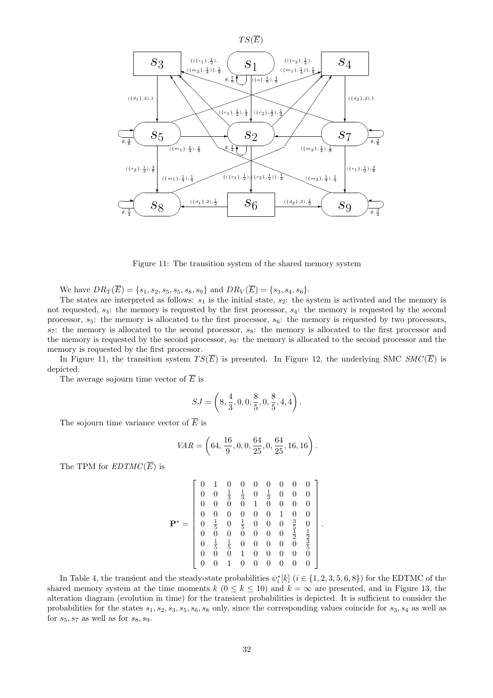

Figure 11: The transition system of the shared memory system

We have  $DR_T(\overline{E}) = \{s_1, s_2, s_5, s_5, s_8, s_9\}$  and  $DR_V(\overline{E}) = \{s_3, s_4, s_6\}.$ 

The states are interpreted as follows:  $s_1$  is the initial state,  $s_2$ : the system is activated and the memory is not requested, *s*3: the memory is requested by the first processor, *s*4: the memory is requested by the second processor,  $s_5$ : the memory is allocated to the first processor,  $s_6$ : the memory is requested by two processors, *s*<sub>7</sub>: the memory is allocated to the second processor, *s*<sub>8</sub>: the memory is allocated to the first processor and the memory is requested by the second processor, *s*9: the memory is allocated to the second processor and the memory is requested by the first processor.

In Figure 11, the transition system  $TS(\overline{E})$  is presented. In Figure 12, the underlying SMC  $SMC(\overline{E})$  is depicted.

The average sojourn time vector of  $\overline{E}$  is

$$
SJ = \left(8, \frac{4}{3}, 0, 0, \frac{8}{5}, 0, \frac{8}{5}, 4, 4\right).
$$

The sojourn time variance vector of  $\overline{E}$  is

$$
SJ = \left(8, \frac{4}{3}, 0, 0, \frac{8}{5}, 0, \frac{8}{5}, 4, 4\right).
$$
  
r of  $\overline{E}$  is  

$$
VAR = \left(64, \frac{16}{9}, 0, 0, \frac{64}{25}, 0, \frac{64}{25}, 16, 16\right).
$$

The TPM for  $EDTMC(\overline{E})$  is

$$
\mathbf{P}^* = \left[ \begin{array}{cccccccc} 0 & 1 & 0 & 0 & 0 & 0 & 0 & 0 & 0 \\ 0 & 0 & \frac{1}{3} & \frac{1}{3} & 0 & \frac{1}{3} & 0 & 0 & 0 \\ 0 & 0 & 0 & 0 & 1 & 0 & 0 & 0 & 0 \\ 0 & 0 & 0 & 0 & 0 & 0 & 1 & 0 & 0 \\ 0 & \frac{1}{5} & 0 & \frac{1}{5} & 0 & 0 & 0 & \frac{3}{5} & 0 \\ 0 & 0 & 0 & 0 & 0 & 0 & 0 & \frac{1}{2} & \frac{1}{2} \\ 0 & \frac{1}{5} & \frac{1}{5} & 0 & 0 & 0 & 0 & 0 & \frac{3}{5} \\ 0 & 0 & 0 & 1 & 0 & 0 & 0 & 0 & 0 \\ 0 & 0 & 1 & 0 & 0 & 0 & 0 & 0 & 0 \end{array} \right]
$$

*.*

In Table 4, the transient and the steady-state probabilities  $\psi_i^*[k]$   $(i \in \{1, 2, 3, 5, 6, 8\})$  for the EDTMC of the shared memory system at the time moments  $k$  ( $0 \le k \le 10$ ) and  $k = \infty$  are presented, and in Figure 13, the alteration diagram (evolution in time) for the transient probabilities is depicted. It is sufficient to consider the probabilities for the states *s*1*, s*2*, s*3*, s*5*, s*6*, s*<sup>8</sup> only, since the corresponding values coincide for *s*3*, s*<sup>4</sup> as well as for  $s_5, s_7$  as well as for  $s_8, s_9$ .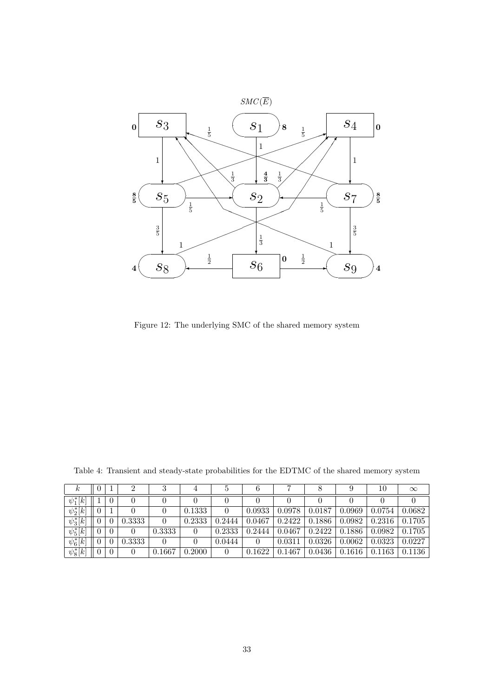

Figure 12: The underlying SMC of the shared memory system

| $\kappa$      | $\theta$ |          |        | 3      | 4      |        | O      |        |        |        | 10     | $\infty$ |
|---------------|----------|----------|--------|--------|--------|--------|--------|--------|--------|--------|--------|----------|
| $\psi_1^*[k]$ |          | $\theta$ | 0      |        |        |        |        |        |        |        |        |          |
| $\psi_2^*[k]$ | $\theta$ |          |        |        | 0.1333 |        | 0.0933 | 0.0978 | 0.0187 | 0.0969 | 0.0754 | 0.0682   |
| $\psi_3^*[k]$ |          |          | 0.3333 | 0      | 0.2333 | 0.2444 | 0.0467 | 0.2422 | 0.1886 | 0.0982 | 0.2316 | 0.1705   |
| $\psi_5^*[k]$ | 0        | $\theta$ | 0      | 0.3333 |        | 0.2333 | 0.2444 | 0.0467 | 0.2422 | 0.1886 | 0.0982 | 0.1705   |
| $\psi_6^*[k]$ |          |          | 0.3333 | 0      |        | 0.0444 |        | 0.0311 | 0.0326 | 0.0062 | 0.0323 | 0.0227   |
| $\psi_8^*[k]$ | $\theta$ | $\theta$ | 0      | 0.1667 | 0.2000 |        | 0.1622 | 0.1467 | 0.0436 | 0.1616 | 0.1163 | 0.1136   |

Table 4: Transient and steady-state probabilities for the EDTMC of the shared memory system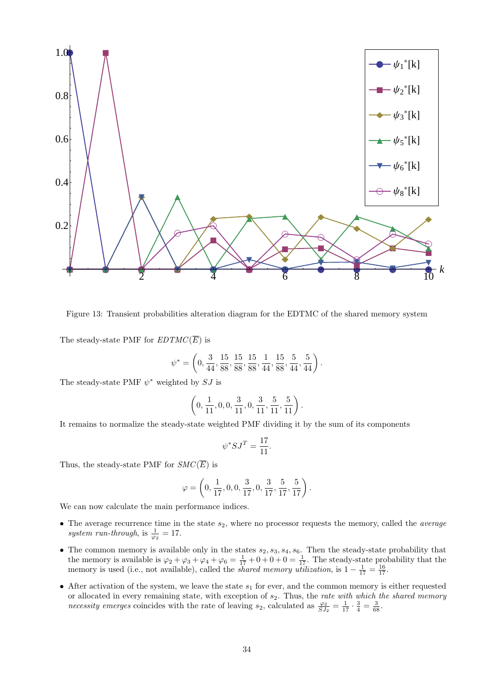

Figure 13: Transient probabilities alteration diagram for the EDTMC of the shared memory system

The steady-state PMF for  $EDTMC(\overline{E})$  is

lities alteration diagram for the EDTMC of 
$$
TMC(\overline{E})
$$
 is\n
$$
\psi^* = \left(0, \frac{3}{44}, \frac{15}{88}, \frac{15}{88}, \frac{15}{88}, \frac{1}{44}, \frac{15}{88}, \frac{5}{44}, \frac{5}{44}\right).
$$

The steady-state PMF *ψ <sup>∗</sup>* weighted by *SJ* is

$$
\left(0, \frac{3}{44}, \frac{15}{88}, \frac{15}{88}, \frac{15}{88}, \frac{1}{44}, \frac{15}{88}, \frac{5}{44}\right)
$$
\nby *SJ* is\n
$$
\left(0, \frac{1}{11}, 0, 0, \frac{3}{11}, 0, \frac{3}{11}, \frac{5}{11}, \frac{5}{11}\right).
$$

It remains to normalize the steady-state weighted PMF dividing it by the sum of its components

$$
\psi^*SJ^T=\frac{17}{11}.
$$

Thus, the steady-state PMF for  $SMC(\overline{E})$  is

$$
\psi^* SJ^T = \frac{17}{11}.
$$
  
SMC( $\overline{E}$ ) is  

$$
\varphi = \left(0, \frac{1}{17}, 0, 0, \frac{3}{17}, 0, \frac{3}{17}, \frac{5}{17}, \frac{5}{17}\right).
$$

We can now calculate the main performance indices.

- *•* The average recurrence time in the state *s*2, where no processor requests the memory, called the *average system run-through*, is  $\frac{1}{\varphi_2} = 17$ .
- The common memory is available only in the states  $s_2, s_3, s_4, s_6$ . Then the steady-state probability that the memory is available is  $\varphi_2 + \varphi_3 + \varphi_4 + \varphi_6 = \frac{1}{17} + 0 + 0 + 0 = \frac{1}{17}$ . The steady-state probability that the memory is used (i.e., not available), called the *shared memory utilization*, is  $1 - \frac{1}{17} = \frac{16}{17}$ .
- After activation of the system, we leave the state  $s_1$  for ever, and the common memory is either requested or allocated in every remaining state, with exception of *s*2. Thus, the *rate with which the shared memory necessity emerges* coincides with the rate of leaving *s*<sub>2</sub>, calculated as  $\frac{\varphi_2}{SJ_2} = \frac{1}{17} \cdot \frac{3}{4} = \frac{3}{68}$ .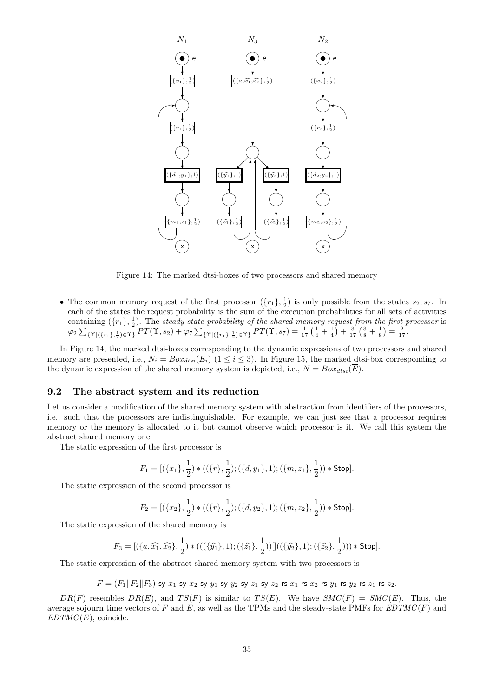

Figure 14: The marked dtsi-boxes of two processors and shared memory

• The common memory request of the first processor  $(\lbrace r_1 \rbrace, \frac{1}{2})$  is only possible from the states  $s_2, s_7$ . In each of the states the request probability is the sum of the execution probabilities for all sets of activities containing  $(\{r_1\},\frac{1}{2})$ . The *steady-state probability of the shared memory request from the first processor is* The common memory request of the first processor  $(\{r_1\}, \frac{1}{2})$  is only possible from the states<br>each of the states the request probability is the sum of the execution probabilities for all sets c<br>containing  $(\{r_1\}, \frac{$ 

In Figure 14, the marked dtsi-boxes corresponding to the dynamic expressions of two processors and shared memory are presented, i.e.,  $N_i = Box_{dtsi}(\overline{E_i})$  ( $1 \leq i \leq 3$ ). In Figure 15, the marked dtsi-box corresponding to the dynamic expression of the shared memory system is depicted, i.e.,  $N = Box_{dtsi}(\overline{E})$ .

#### **9.2 The abstract system and its reduction**

Let us consider a modification of the shared memory system with abstraction from identifiers of the processors, i.e., such that the processors are indistinguishable. For example, we can just see that a processor requires memory or the memory is allocated to it but cannot observe which processor is it. We call this system the abstract shared memory one.

The static expression of the first processor is

$$
F_1 = [(\{x_1\},\frac{1}{2}) * ((\{r\},\frac{1}{2});(\{d,y_1\},1);(\{m,z_1\},\frac{1}{2})) * \text{Stop}].
$$

The static expression of the second processor is

$$
F_2 = [(\{x_2\}, \frac{1}{2}) * ((\{r\}, \frac{1}{2}); (\{d, y_2\}, 1); (\{m, z_2\}, \frac{1}{2})) * \text{Stop}].
$$

The static expression of the shared memory is

$$
F_2 = \left[ (\{x_2\}, \frac{1}{2}) * ((\{r\}, \frac{1}{2}); (\{d, y_2\}, 1); (\{m, z_2\}, \frac{1}{2})) * \text{Stop} \right].
$$
  
ression of the shared memory is  

$$
F_3 = \left[ (\{a, \widehat{x_1}, \widehat{x_2}\}, \frac{1}{2}) * (((\{\widehat{y_1}\}, 1); (\{\widehat{z_1}\}, \frac{1}{2})) \right] ((\{\widehat{y_2}\}, 1); (\{\widehat{z_2}\}, \frac{1}{2}))) * \text{Stop}].
$$

The static expression of the abstract shared memory system with two processors is

 $F = (F_1||F_2||F_3)$  sy  $x_1$  sy  $x_2$  sy  $y_1$  sy  $y_2$  sy  $z_1$  sy  $z_2$  rs  $x_1$  rs  $x_2$  rs  $y_1$  rs  $y_2$  rs  $z_1$  rs  $z_2$ .

*DR*( $\overline{F}$ ) resembles *DR*( $\overline{E}$ ), and *TS*( $\overline{F}$ ) is similar to *TS*( $\overline{E}$ ). We have *SMC*( $\overline{F}$ ) = *SMC*( $\overline{E}$ ). Thus, the average sojourn time vectors of  $\overline{F}$  and  $\overline{E}$ , as well as the TPMs and the steady-state PMFs for  $EDTMC(\overline{F})$  and *EDTMC*( $\overline{E}$ ), coincide.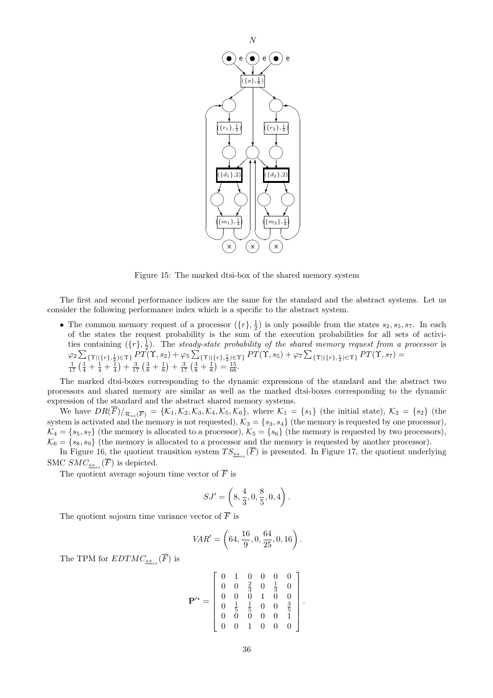

Figure 15: The marked dtsi-box of the shared memory system

The first and second performance indices are the same for the standard and the abstract systems. Let us consider the following performance index which is a specific to the abstract system. ∑∑∑

• The common memory request of a processor  $(\lbrace r \rbrace, \frac{1}{2})$  is only possible from the states  $s_2, s_5, s_7$ . In each of the states the request probability is the sum of the execution probabilities for all sets of activities containing  $({r}, \frac{1}{2})$ . The *steady-state probability of the shared memory request from a processor* is The common memory request of a processor  $(\{r\}, \frac{1}{2})$  is only possible from the states  $s_2, s_5$ ,<br>of the states the request probability is the sum of the execution probabilities for all set<br>ties containing  $(\{r\}, \frac{1}{2})$ 

The marked dtsi-boxes corresponding to the dynamic expressions of the standard and the abstract two processors and shared memory are similar as well as the marked dtsi-boxes corresponding to the dynamic expression of the standard and the abstract shared memory systems.

We have  $DR(F)/_{\mathcal{R}_{ss}(\overline{F})} = \{\mathcal{K}_1, \mathcal{K}_2, \mathcal{K}_3, \mathcal{K}_4, \mathcal{K}_5, \mathcal{K}_6\}$ , where  $\mathcal{K}_1 = \{s_1\}$  (the initial state),  $\mathcal{K}_2 = \{s_2\}$  (the system is activated and the memory is not requested),  $\mathcal{K}_3 = \{s_3, s_4\}$  (the memory is requested by one processor),  $K_4 = \{s_5, s_7\}$  (the memory is allocated to a processor),  $K_5 = \{s_6\}$  (the memory is requested by two processors),  $\mathcal{K}_6 = \{s_8, s_9\}$  (the memory is allocated to a processor and the memory is requested by another processor).

In Figure 16, the quotient transition system  $TS_{\triangleq ss}(\overline{F})$  is presented. In Figure 17, the quotient underlying SMC  $SMC_{\underbrace{\leftrightarrow}_{ss}}(F)$  is depicted.

The quotient average sojourn time vector of  $\overline{F}$  is

$$
SJ' = \left(8, \frac{4}{3}, 0, \frac{8}{5}, 0, 4\right).
$$
  
tor of  $\overline{F}$  is  

$$
R' = \left(64, \frac{16}{2}, 0, \frac{64}{25}, 0, 16\right)
$$

The quotient sojourn time variance vector of  $\overline{F}$  is

$$
VAR' = \left(64, \frac{16}{9}, 0, \frac{64}{25}, 0, 16\right).
$$

The TPM for  $EDTMC_{\underline{\leftrightarrow}_{ss}}(F)$  is

$$
\mathbf{P}^{\prime*} = \left[ \begin{array}{cccccc} 0 & 1 & 0 & 0 & 0 & 0 \\ 0 & 0 & \frac{2}{3} & 0 & \frac{1}{3} & 0 \\ 0 & 0 & 0 & 1 & 0 & 0 \\ 0 & \frac{1}{5} & \frac{1}{5} & 0 & 0 & \frac{3}{5} \\ 0 & 0 & 0 & 0 & 0 & 1 \\ 0 & 0 & 1 & 0 & 0 & 0 \end{array} \right].
$$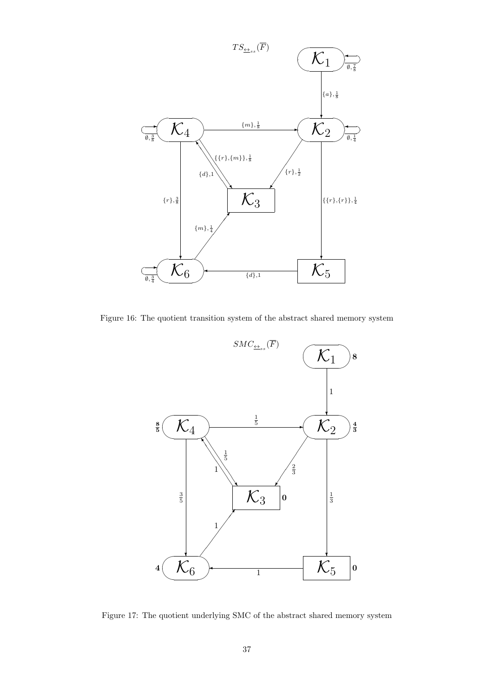

Figure 16: The quotient transition system of the abstract shared memory system



Figure 17: The quotient underlying SMC of the abstract shared memory system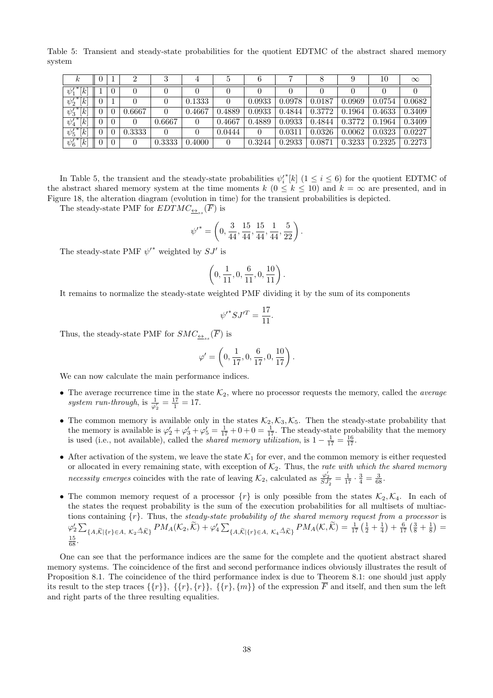Table 5: Transient and steady-state probabilities for the quotient EDTMC of the abstract shared memory system

| r                                             |          |        |        |        | Ð      |        |        |        |        | 10     | $\infty$ |
|-----------------------------------------------|----------|--------|--------|--------|--------|--------|--------|--------|--------|--------|----------|
| $\overline{1}$<br>$\overline{k}$<br>$\psi_1'$ | $\theta$ |        |        |        |        |        |        |        |        |        |          |
| $\overline{{\psi'_2}^*[k]}$                   |          |        |        | 0.1333 |        | 0.0933 | 0.0978 | 0.0187 | 0.0969 | 0.0754 | 0.0682   |
| $\overline{\psi'_3}^*[k]$                     | $\theta$ | 0.6667 |        | 0.4667 | 0.4889 | 0.0933 | 0.4844 | 0.3772 | 0.1964 | 0.4633 | 0.3409   |
| $\rightarrow$<br>[k]<br>$\psi'_4$             | $\theta$ | 0      | 0.6667 |        | 0.4667 | 0.4889 | 0.0933 | 0.4844 | 0.3772 | 0.1964 | 0.3409   |
| $7*$<br>[k]<br>$\psi'_5$                      | $\theta$ | 0.3333 |        |        | 0.0444 |        | 0.0311 | 0.0326 | 0.0062 | 0.0323 | 0.0227   |
| ${\psi'_6}^* [k]$                             | $\theta$ | 0      | 0.3333 | 0.4000 |        | 0.3244 | 0.2933 | 0.0871 | 0.3233 | 0.2325 | 0.2273   |

In Table 5, the transient and the steady-state probabilities  $\psi_i^*$ <sup>\*</sup>[ $k$ ] (1  $\leq i \leq 6$ ) for the quotient EDTMC of the abstract shared memory system at the time moments  $k$  ( $0 \le k \le 10$ ) and  $k = \infty$  are presented, and in Figure 18, the alteration diagram (evolution in time) for the transient probabilities is depicted.<br>The steady-state Figure 18, the alteration diagram (evolution in time) for the transient probabilities is depicted.

The steady-state PMF for  $EDTMC_{\underline{\leftrightarrow}_{ss}}(F)$  is

$$
\psi'^* = \left(0, \frac{3}{44}, \frac{15}{44}, \frac{15}{44}, \frac{1}{44}, \frac{5}{22}\right).
$$
  
by  $SJ'$  is  

$$
\left(0, \frac{1}{11}, 0, \frac{6}{11}, 0, \frac{10}{11}\right).
$$

The steady-state PMF  $\psi'^*$  weighted by  $SJ'$  is

$$
\left(0,\frac{1}{11},0,\frac{6}{11},0,\frac{10}{11}\right).
$$

It remains to normalize the steady-state weighted PMF dividing it by the sum of its components

$$
\psi'^* S J'^T = \frac{17}{11}.
$$

Thus, the steady-state PMF for  $SMC_{\underline{\leftrightarrow}_{ss}}(\overline{F})$  is

$$
\psi'^* S J'^T = \frac{17}{11}.
$$
  
\n
$$
\omega' = \left(0, \frac{1}{17}, 0, \frac{6}{17}, 0, \frac{10}{17}\right).
$$

We can now calculate the main performance indices.

- The average recurrence time in the state  $K_2$ , where no processor requests the memory, called the *average system run-through*, is  $\frac{1}{\varphi'_2} = \frac{17}{1} = 17$ .
- The common memory is available only in the states  $K_2, K_3, K_5$ . Then the steady-state probability that the memory is available is  $\varphi'_2 + \varphi'_3 + \varphi'_5 = \frac{1}{17} + 0 + 0 = \frac{1}{17}$ . The steady-state probability that the memory is used (i.e., not available), called the *shared memory utilization*, is  $1 - \frac{1}{17} = \frac{16}{17}$ .
- After activation of the system, we leave the state  $K_1$  for ever, and the common memory is either requested or allocated in every remaining state, with exception of  $K_2$ . Thus, the *rate with which the shared memory necessity emerges* coincides with the rate of leaving  $\mathcal{K}_2$ , calculated as  $\frac{\varphi'_2}{SJ'_2} = \frac{1}{17} \cdot \frac{3}{4} = \frac{3}{68}$ .
- The common memory request of a processor  $\{r\}$  is only possible from the states  $\mathcal{K}_2, \mathcal{K}_4$ . In each of the states the request probability is the sum of the execution probabilities for all multisets of multiactions containing *{r}*. Thus, the *steady-state probability of the shared memory request from a processor* is The common memory request of a processor  $\{r\}$  is only possible from the states  $\mathcal{K}_2, \mathcal{K}_4$ . In each of<br>the states the request probability is the sum of the execution probabilities for all multisets of multiac-<br>ti  $\frac{15}{68}$ .

One can see that the performance indices are the same for the complete and the quotient abstract shared memory systems. The coincidence of the first and second performance indices obviously illustrates the result of Proposition 8.1. The coincidence of the third performance index is due to Theorem 8.1: one should just apply its result to the step traces  $\{\{r\}\}, \{\{r\},\{r\}\}, \{\{r\},\{m\}\}\$  of the expression  $\overline{F}$  and itself, and then sum the left and right parts of the three resulting equalities.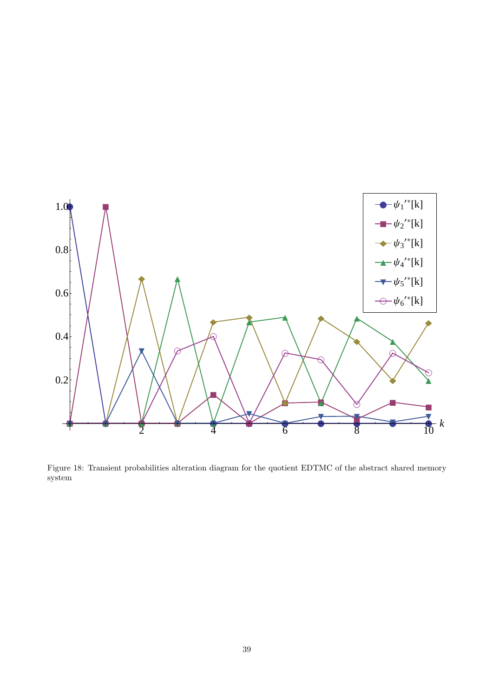

Figure 18: Transient probabilities alteration diagram for the quotient EDTMC of the abstract shared memory system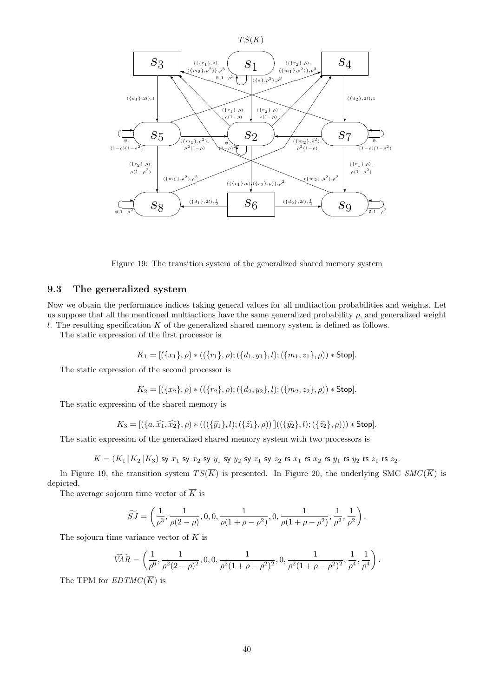

Figure 19: The transition system of the generalized shared memory system

## **9.3 The generalized system**

Now we obtain the performance indices taking general values for all multiaction probabilities and weights. Let us suppose that all the mentioned multiactions have the same generalized probability  $\rho$ , and generalized weight *l*. The resulting specification *K* of the generalized shared memory system is defined as follows.

The static expression of the first processor is

$$
K_1 = [(\{x_1\}, \rho) * ((\{r_1\}, \rho); (\{d_1, y_1\}, l); (\{m_1, z_1\}, \rho)) * Stop].
$$

The static expression of the second processor is

$$
K_2 = [(\{x_2\}, \rho) * ((\{r_2\}, \rho); (\{d_2, y_2\}, l); (\{m_2, z_2\}, \rho)) * \text{Stop}].
$$

The static expression of the shared memory is

$$
K_2 = [(\{x_2\}, \rho) * ((\{r_2\}, \rho); (\{d_2, y_2\}, l); (\{m_2, z_2\}, \rho)) * \text{Stop}].
$$
  
ession of the shared memory is  

$$
K_3 = [(\{a, \widehat{x_1}, \widehat{x_2}\}, \rho) * (((\{\widehat{y_1}\}, l); (\{\widehat{z_1}\}, \rho))]]((\{\widehat{y_2}\}, l); (\{\widehat{z_2}\}, \rho))) * \text{Stop}].
$$

The static expression of the generalized shared memory system with two processors is

$$
K=(K_1||K_2||K_3) \text{ sy } x_1 \text{ sy } x_2 \text{ sy } y_1 \text{ sy } y_2 \text{ sy } z_1 \text{ sy } z_2 \text{ rs } x_1 \text{ rs } x_2 \text{ rs } y_1 \text{ rs } y_2 \text{ rs } z_1 \text{ rs } z_2.
$$

In Figure 19, the transition system  $TS(\overline{K})$  is presented. In Figure 20, the underlying SMC  $SMC(\overline{K})$  is depicted.  $\frac{1}{\widetilde{S}}$  in time

The average sojourn time vector of *K* is

$$
\widetilde{SJ} = \left(\frac{1}{\rho^3}, \frac{1}{\rho(2-\rho)}, 0, 0, \frac{1}{\rho(1+\rho-\rho^2)}, 0, \frac{1}{\rho(1+\rho-\rho^2)}, \frac{1}{\rho^2}, \frac{1}{\rho^2}\right).
$$

The sojourn time variance vector of *K* is

$$
\begin{aligned}\n\widetilde{\rho}^{3} &= \left(\rho^{3}, \rho(2-\rho), \cdot, \cdot, \cdot, \rho(1+\rho-\rho^{2}), \cdot, \cdot, \rho(1+\rho-\rho^{2}), \rho^{2}, \rho^{2}\right) \\
& \text{The variance vector of } \overline{K} \text{ is} \\
\widetilde{VAR} &= \left(\frac{1}{\rho^{6}}, \frac{1}{\rho^{2}(2-\rho)^{2}}, 0, 0, \frac{1}{\rho^{2}(1+\rho-\rho^{2})^{2}}, 0, \frac{1}{\rho^{2}(1+\rho-\rho^{2})^{2}}, \frac{1}{\rho^{4}}, \frac{1}{\rho^{4}}\right) \\
& \text{EPRMGC}(\overline{K})\n\end{aligned}
$$

The TPM for  $EDTMC(\overline{K})$  is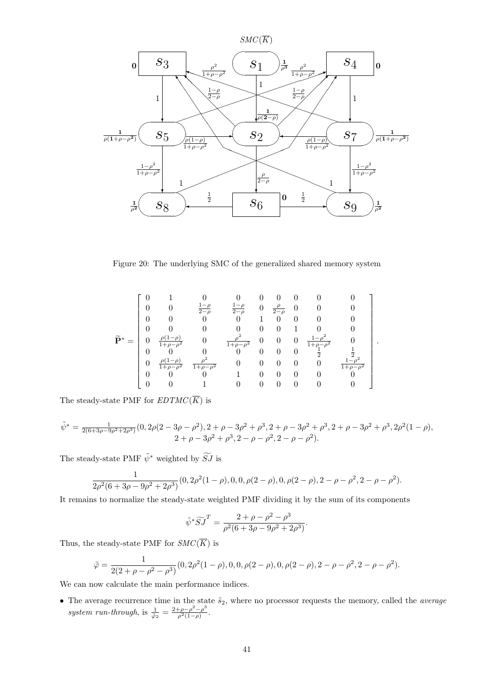

Figure 20: The underlying SMC of the generalized shared memory system

$$
\tilde{\mathbf{P}}^* = \begin{bmatrix} 0 & 1 & 0 & 0 & 0 & 0 & 0 & 0 & 0 \\ 0 & 0 & \frac{1-\rho}{2-\rho} & \frac{1-\rho}{2-\rho} & 0 & \frac{\rho}{2-\rho} & 0 & 0 & 0 \\ 0 & 0 & 0 & 0 & 1 & 0 & 0 & 0 & 0 \\ 0 & 0 & 0 & 0 & 0 & 0 & 1 & 0 & 0 \\ 0 & \frac{\rho(1-\rho)}{1+\rho-\rho^2} & 0 & \frac{\rho^2}{1+\rho-\rho^2} & 0 & 0 & \frac{1-\rho^2}{1+\rho-\rho^2} & 0 \\ 0 & 0 & 0 & 0 & 0 & 0 & 0 & \frac{1}{2} & \frac{1}{2} \\ 0 & \frac{\rho(1-\rho)}{1+\rho-\rho^2} & \frac{\rho^2}{1+\rho-\rho^2} & 0 & 0 & 0 & 0 & \frac{1-\rho^2}{1+\rho-\rho^2} \\ 0 & 0 & 0 & 1 & 0 & 0 & 0 & 0 & 0 \\ 0 & 0 & 0 & 1 & 0 & 0 & 0 & 0 & 0 \end{bmatrix}
$$

*.*

The steady-state PMF for  $EDTMC(\overline{K})$  is

$$
\tilde{\psi}^* = \frac{1}{2(6+3\rho-9\rho^2+2\rho^3)}(0, 2\rho(2-3\rho-\rho^2), 2+\rho-3\rho^2+\rho^3, 2+\rho-3\rho^2+\rho^3, 2+\rho-3\rho^2+\rho^3, 2\rho^2(1-\rho),
$$
  

$$
2+\rho-3\rho^2+\rho^3, 2-\rho-\rho^2, 2-\rho-\rho^2).
$$

The steady-state PMF  $\tilde{\psi}^*$  weighted by  $\widetilde{SJ}$  is

$$
\frac{1}{2\rho^2(6+3\rho-9\rho^2+2\rho^3)}(0, 2\rho^2(1-\rho), 0, 0, \rho(2-\rho), 0, \rho(2-\rho), 2-\rho-\rho^2, 2-\rho-\rho^2).
$$

It remains to normalize the steady-state weighted PMF dividing it by the sum of its components

state weighted PMF dividing it by  
\n
$$
\tilde{\psi}^* \widetilde{S} \widetilde{J}^T = \frac{2 + \rho - \rho^2 - \rho^3}{\rho^2 (6 + 3\rho - 9\rho^2 + 2\rho^3)}.
$$

Thus, the steady-state PMF for  $SMC(\overline{K})$  is

$$
\tilde{\varphi} = \frac{1}{2(2+\rho-\rho^2-\rho^3)}(0, 2\rho^2(1-\rho), 0, 0, \rho(2-\rho), 0, \rho(2-\rho), 2-\rho-\rho^2, 2-\rho-\rho^2).
$$

We can now calculate the main performance indices.

• The average recurrence time in the state  $\tilde{s}_2$ , where no processor requests the memory, called the *average system run-through*, is  $\frac{1}{\tilde{\varphi}_2} = \frac{2+\rho-\rho^2-\rho^3}{\rho^2(1-\rho)}$  $\frac{\rho-\rho^{-}-\rho^{2}}{\rho^{2}(1-\rho)}$ .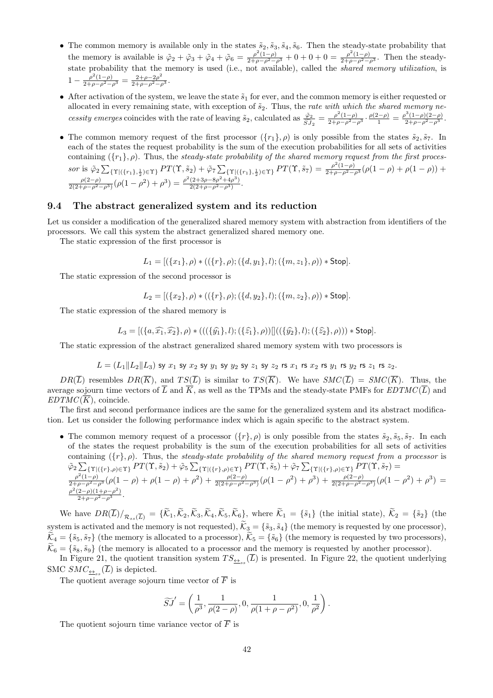- The common memory is available only in the states  $\tilde{s}_2$ ,  $\tilde{s}_3$ ,  $\tilde{s}_4$ ,  $\tilde{s}_6$ . Then the steady-state probability that the memory is available is  $\tilde{\varphi}_2 + \tilde{\varphi}_3 + \tilde{\varphi}_4 + \tilde{\varphi}_6 = \frac{\rho^2(1-\rho)}{2+\rho-\rho^2-\rho^3} + 0 + 0 + 0 = \frac{\rho^2(1-\rho)}{2+\rho-\rho^2-\rho^3}$ . Then the steadystate probability that the memory is used (i.e., not available), called the *shared memory utilization*, is  $1 - \frac{\rho^2 (1-\rho)}{2+\rho-\rho^2-\rho^3} = \frac{2+\rho-2\rho^2}{2+\rho-\rho^2-\rho^3}.$
- After activation of the system, we leave the state  $\tilde{s}_1$  for ever, and the common memory is either requested or allocated in every remaining state, with exception of  $\tilde{s}_2$ . Thus, the *rate with which the shared memory ne*cessity emerges coincides with the rate of leaving  $\tilde{s}_2$ , calculated as  $\frac{\tilde{\varphi}_2}{\tilde{S}J_2} = \frac{\rho^2(1-\rho)}{2+\rho-\rho^2-\rho^3} \cdot \frac{\rho(2-\rho)}{1} = \frac{\rho^3(1-\rho)(2-\rho)}{2+\rho-\rho^2-\rho^3}$ .
- The common memory request of the first processor  $({r_1}, \rho)$  is only possible from the states  $\tilde{s}_2, \tilde{s}_7$ . In each of the states the request probability is the sum of the execution probabilities for all sets of activities containing  $({r_1}, \rho)$ . Thus, the *steady-state probability of the shared memory request from the first proces*sor is  $\tilde{\varphi}_2 \sum_{\{\Upsilon | (\{r_1\},\frac{1}{2}) \in \Upsilon\}} PT(\Upsilon, \tilde{s}_2) + \tilde{\varphi}_7 \sum_{\{\Upsilon | (\{r_1\},\frac{1}{2}) \in \Upsilon\}} PT(\Upsilon, \tilde{s}_7) = \frac{\rho^2 (1-\rho)}{2+\rho-\rho^2-\rho^3} (\rho(1-\rho)+\rho(1-\rho)) +$  $\frac{\rho(2-\rho)}{2(2+\rho-\rho^2-\rho^3)}(\rho(1-\rho^2)+\rho^3)=\frac{\rho^2(2+3\rho-8\rho^2+4\rho^3)}{2(2+\rho-\rho^2-\rho^3)}.$

#### **9.4 The abstract generalized system and its reduction**

Let us consider a modification of the generalized shared memory system with abstraction from identifiers of the processors. We call this system the abstract generalized shared memory one.

The static expression of the first processor is

 $L_1 = \left[ (\{x_1\}, \rho) * ((\{r\}, \rho); (\{d, y_1\}, l); (\{m, z_1\}, \rho)) * \text{Stop} \right].$ 

The static expression of the second processor is

The static expression of the shared memory is

$$
L_2 = [(\{x_2\}, \rho) * ((\{r\}, \rho); (\{d, y_2\}, l); (\{m, z_2\}, \rho)) * \text{Stop}].
$$
  
ession of the shared memory is  

$$
L_3 = [(\{a, \widehat{x_1}, \widehat{x_2}\}, \rho) * (((\{\widehat{y_1}\}, l); (\{\widehat{z_1}\}, \rho))]]((\{\widehat{y_2}\}, l); (\{\widehat{z_2}\}, \rho))) * \text{Stop}].
$$

The static expression of the abstract generalized shared memory system with two processors is

$$
L=(L_1\|L_2\|L_3) \text{ sy }x_1\text{ sy }x_2\text{ sy }y_1\text{ sy }y_2\text{ sy }z_1\text{ sy }z_2\text{ rs }x_1\text{ rs }x_2\text{ rs }y_1\text{ rs }y_2\text{ rs }z_1\text{ rs }z_2.
$$

*DR*( $\overline{L}$ ) resembles *DR*( $\overline{K}$ ), and *TS*( $\overline{L}$ ) is similar to *TS*( $\overline{K}$ ). We have *SMC*( $\overline{L}$ ) = *SMC*( $\overline{K}$ ). Thus, the average sojourn time vectors of  $\overline{L}$  and  $\overline{K}$ , as well as the TPMs and the steady-state PMFs for  $EDTMC(\overline{L})$  and  $EDTMC(K)$ , coincide.

The first and second performance indices are the same for the generalized system and its abstract modification. Let us consider the following performance index which is again specific to the abstract system. ∑∑∑

• The common memory request of a processor  $({r}, \rho)$  is only possible from the states  $\tilde{s}_2, \tilde{s}_5, \tilde{s}_7$ . In each of the states the request probability is the sum of the execution probabilities for all sets of activities containing  $({r}, \rho)$ . Thus, the *steady-state probability of the shared memory request from a processor* is  $\tilde{\varphi}_2 \sum_{\{ \Upsilon \mid (\{r\}, \rho) \in \Upsilon \}} PT(\Upsilon, \tilde{s}_2) + \tilde{\varphi}_5 \sum_{\{ \Upsilon \mid (\{r\}, \rho) \in \Upsilon \}} PT(\Upsilon, \tilde{s}_5) + \tilde{\varphi}_7 \sum_{\{ \Upsilon \mid (\{r\}, \rho) \in \Upsilon \}} PT(\Upsilon, \tilde{s}_7) =$  $\frac{\rho^2(1-\rho)}{2+\rho-\rho^2-\rho^3}(\rho(1-\rho)+\rho(1-\rho)+\rho^2)+\frac{\rho(2-\rho)}{2(2+\rho-\rho^2-\rho^3)}(\rho(1-\rho^2)+\rho^3)+\frac{\rho(2-\rho)}{2(2+\rho-\rho^2-\rho^3)}(\rho(1-\rho^2)+\rho^3)=$ 

$$
\frac{\rho^2(1-\rho)}{2+\rho-\rho^2-\rho^3}(\rho(1-\rho)+\rho(1-\rho)+\rho^2)+\frac{\rho(2-\rho)}{2(2+\rho-\rho^2-\rho^3)}(\rho(1-\rho^2)+\rho^3)+\frac{\rho(2-\rho)}{2(2+\rho-\rho^2-\rho^3)}(\rho(1-\rho^2)+\rho^3)=
$$
\n
$$
\frac{\rho^2(2-\rho)(1+\rho-\rho^2)}{2+\rho-\rho^2-\rho^3}.
$$
\nWe have  $DR(\overline{L})/_{\mathcal{R}_{ss}(\overline{L})} = {\{\widetilde{\mathcal{K}}_1,\widetilde{\mathcal{K}}_2,\widetilde{\mathcal{K}}_3,\widetilde{\mathcal{K}}_4,\widetilde{\mathcal{K}}_5,\widetilde{\mathcal{K}}_6\}},$  where  $\widetilde{\mathcal{K}}_1 = {\{\widetilde{s}_1\}}$  (the initial state),  $\widetilde{\mathcal{K}}_2 = {\{\widetilde{s}_2\}}$  (the

Solution  $\frac{\rho^2(2-\rho)(1+\rho-\rho^2)}{2+\rho-\rho^2-\rho^3}$ .<br>We have  $DR(\overline{L})/_{\mathcal{R}_{ss}(\overline{L})} = {\{\widetilde{\mathcal{K}}_1,\widetilde{\mathcal{K}}_2,\widetilde{\mathcal{K}}_3,\widetilde{\mathcal{K}}_4,\widetilde{\mathcal{K}}_5,\widetilde{\mathcal{K}}_6\}},$  where  $\widetilde{\mathcal{K}}_1 = {\{\widetilde{s}_1\}}$  (the initial state),  $\widetilde{\mathcal{K}}_$ *K*e<sub>2</sub> = *{* $\tilde{K}_1$ ,  $\tilde{K}_2$ ,  $\tilde{K}_3$ ,  $\tilde{K}_4$ ,  $\tilde{K}_5$ ,  $\tilde{K}_6$ }, where  $\tilde{K}_1 = \{\tilde{s}_1\}$  (the initial state),  $\tilde{K}_2 = \{\tilde{s}_2\}$  (the system is activated and the memory is not requested),  $\tilde{K}_3 = \{\tilde{s}_$ We have  $DR(\overline{L})/_{\mathcal{R}_{ss}(\overline{L})} = {\{\widetilde{\mathcal{K}}_1,\widetilde{\mathcal{K}}_2,\widetilde{\mathcal{K}}_3,\widetilde{\mathcal{K}}_4,\widetilde{\mathcal{K}}_5,\widetilde{\mathcal{K}}_6\}}$ , where  $\widetilde{\mathcal{K}}_1 = {\{\widetilde{s}_1\}}$  (the initial state),  $\widetilde{\mathcal{K}}_2 = {\{\widetilde{s}_2\}}$  system is activated and the me

In Figure 21, the quotient transition system  $TS_{\triangleq ss}(\overline{L})$  is presented. In Figure 22, the quotient underlying SMC  $SMC_{\underline{\leftrightarrow}_{ss}}(L)$  is depicted.

The quotient average sojourn time vector of *F* is

$$
\widetilde{SJ}' = \left(\frac{1}{\rho^3}, \frac{1}{\rho(2-\rho)}, 0, \frac{1}{\rho(1+\rho-\rho^2)}, 0, \frac{1}{\rho^2}\right).
$$

The quotient sojourn time variance vector of  $\overline{F}$  is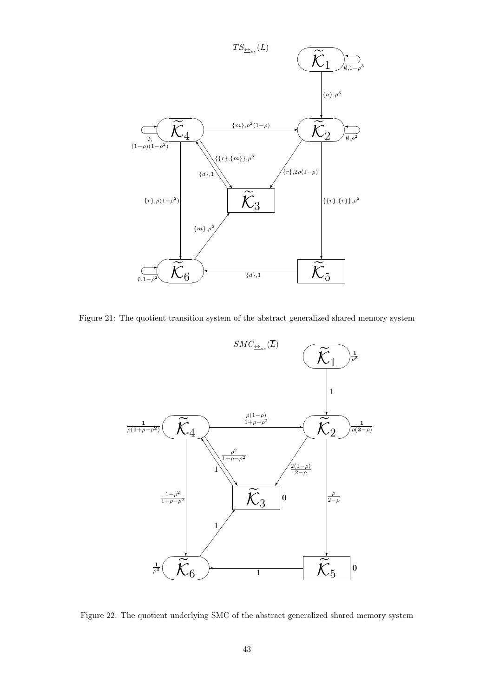

Figure 21: The quotient transition system of the abstract generalized shared memory system



Figure 22: The quotient underlying SMC of the abstract generalized shared memory system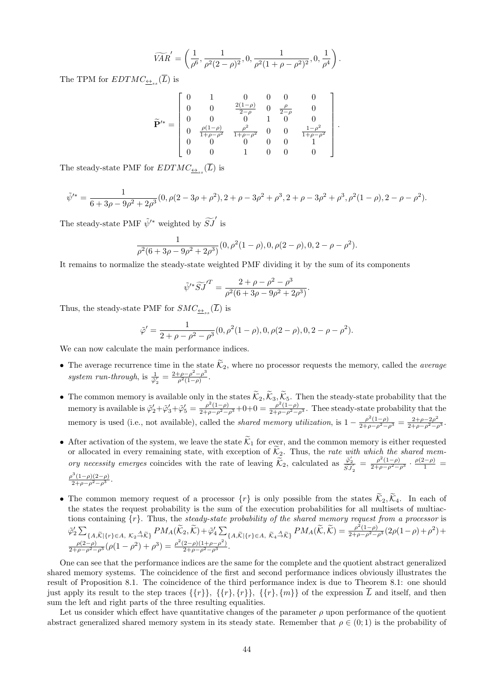$$
\widetilde{VAR}'=\left(\frac{1}{\rho^6},\frac{1}{\rho^2(2-\rho)^2},0,\frac{1}{\rho^2(1+\rho-\rho^2)^2},0,\frac{1}{\rho^4}\right).
$$

The TPM for  $EDTMC_{\underline{\leftrightarrow}_{ss}}(\overline{L})$  is

$$
\widetilde{\mathbf{P}}'^{*} = \begin{bmatrix} 0 & 1 & 0 & 0 & 0 & 0 \\ 0 & 0 & \frac{2(1-\rho)}{2-\rho} & 0 & \frac{\rho}{2-\rho} & 0 \\ 0 & 0 & 0 & 1 & 0 & 0 \\ 0 & \frac{\rho(1-\rho)}{1+\rho-\rho^2} & \frac{\rho^2}{1+\rho-\rho^2} & 0 & 0 & \frac{1-\rho^2}{1+\rho-\rho^2} \\ 0 & 0 & 0 & 0 & 0 & 1 \\ 0 & 0 & 1 & 0 & 0 & 0 \end{bmatrix}.
$$

The steady-state PMF for  $EDTMC_{\underline{\leftrightarrow}_{ss}}(L)$  is

$$
\tilde{\psi}'^* = \frac{1}{6 + 3\rho - 9\rho^2 + 2\rho^3} (0, \rho(2 - 3\rho + \rho^2), 2 + \rho - 3\rho^2 + \rho^3, 2 + \rho - 3\rho^2 + \rho^3, \rho^2(1 - \rho), 2 - \rho - \rho^2).
$$
The steady-state PMF  $\tilde{\psi}'^*$  weighted by  $\widetilde{SJ}'$  is

$$
\frac{1}{\rho^2(6+3\rho-9\rho^2+2\rho^3)}(0,\rho^2(1-\rho),0,\rho(2-\rho),0,2-\rho-\rho^2).
$$

It remains to normalize the steady-state weighted PMF dividing it by the sum of its components

$$
\frac{\partial \rho^2 + 2\rho^3}{\partial \rho^2 + 2\rho^3} (0, \rho \ (1 - \rho), 0, \rho \ (2 - \rho), 0)
$$
\n
$$
\text{v-state weighted PMF dividing it by}
$$
\n
$$
\tilde{\psi}'^* \widetilde{S} \widetilde{J}'^T = \frac{2 + \rho - \rho^2 - \rho^3}{\rho^2 (6 + 3\rho - 9\rho^2 + 2\rho^3)}.
$$

Thus, the steady-state PMF for  $SMC_{\underline{\leftrightarrow}_{ss}}(L)$  is

$$
\tilde{\varphi}' = \frac{1}{2 + \rho - \rho^2 - \rho^3} (0, \rho^2 (1 - \rho), 0, \rho (2 - \rho), 0, 2 - \rho - \rho^2).
$$
\nWe can now calculate the main performance indices.

\n\n- The average recurrence time in the state  $\tilde{\mathcal{K}}_2$ , where no processor requests the memory, called the *average*.
\n

We can now calculate the main performance indices.

- *system run-through*, is  $\frac{1}{\tilde{\varphi}_2'} = \frac{2+\rho-\rho^2-\rho^3}{\rho^2(1-\rho)}$  $\frac{\rho-\rho^2-\rho^3}{\rho^2(1-\rho)}$ . • The average recurrence time in the state  $\widetilde{K}_2$ , where no processor requests the memory, called the *average system run-through*, is  $\frac{1}{\tilde{\varphi}_2} = \frac{2+\rho-\rho^2-\rho^3}{\rho^2(1-\rho)}$ .<br>
• The common memory is available onl
- memory is available is  $\tilde{\varphi}'_2 + \tilde{\varphi}'_3 + \tilde{\varphi}'_5 = \frac{\rho^2(1-\rho)}{2+\rho-\rho^2-\rho^3} + 0 + 0 = \frac{\rho^2(1-\rho)}{2+\rho-\rho^2-\rho^3}$ . Thee steady-state probability that the memory is used (i.e., not available), called the *shared memory utiliz* memory is used (i.e., not available), called the *shared memory utilization*, is  $1 - \frac{\rho^2 (1 - \rho)}{2 + \rho - \rho^2 - \rho^3} = \frac{2 + \rho - 2\rho^2}{2 + \rho - \rho^2 - \rho^3}$ . memory is available is  $\varphi_2 + \varphi_3 + \varphi_5 = 2 + \rho - \rho^2 - \rho^3 + 0 + 0 = 2 + \rho - \rho^2 - \rho^3$ . The steady-state probability that the memory is used (i.e., not available), called the *shared memory utilization*, is  $1 - \frac{\rho^2 (1 - \rho)}{2 + \rho$
- *organces in the space (i.e., not available), called the shared memory utilization,* is 1<br>After activation of the system, we leave the state  $\widetilde{K}_1$  for ever, and the common<br>or allocated in every remaining state, with ory necessity emerges coincides with the rate of leaving  $\widetilde{\mathcal{K}}_2$ , calculated as  $\frac{\widetilde{\varphi}_2'}{\widetilde{S}J_2'} = \frac{\rho^2(1-\rho)}{2+\rho-\rho^2-\rho^3} \cdot \frac{\rho(2-\rho)}{1} = \frac{\rho^3(1-\rho)(2-\rho)}{2+\rho-\rho^2-\rho^3}$ .<br>
• The common memory request of a proce  $\frac{\rho^3(1-\rho)(2-\rho)}{2+\rho-\rho^2-\rho^3}$ .
- the states the request probability is the sum of the execution probabilities for all multisets of multiactions containing *{r}*. Thus, the *steady-state probability of the shared memory request from a processor* is The common memory request of a processor  $\{r\}$  is only possible from the st<br>the states the request probability is the sum of the execution probabilities for<br>tions containing  $\{r\}$ . Thus, the *steady-state probability*  $\frac{\rho^2(1-\rho)}{2+\rho-\rho^2-\rho^3}(2\rho(1-\rho)+\rho^2)+$  $\frac{\rho(2-\rho)}{2+\rho-\rho^2-\rho^3}(\rho(1-\rho^2)+\rho^3)=\frac{\rho^2(2-\rho)(1+\rho-\rho^2)}{2+\rho-\rho^2-\rho^3}.$

One can see that the performance indices are the same for the complete and the quotient abstract generalized shared memory systems. The coincidence of the first and second performance indices obviously illustrates the result of Proposition 8.1. The coincidence of the third performance index is due to Theorem 8.1: one should just apply its result to the step traces  $\{\{r\}\}\$ ,  $\{\{r\}\}\$ ,  $\{\{r\}\}\$ , of the expression L and itself, and then sum the left and right parts of the three resulting equalities.

Let us consider which effect have quantitative changes of the parameter  $\rho$  upon performance of the quotient abstract generalized shared memory system in its steady state. Remember that  $\rho \in (0, 1)$  is the probability of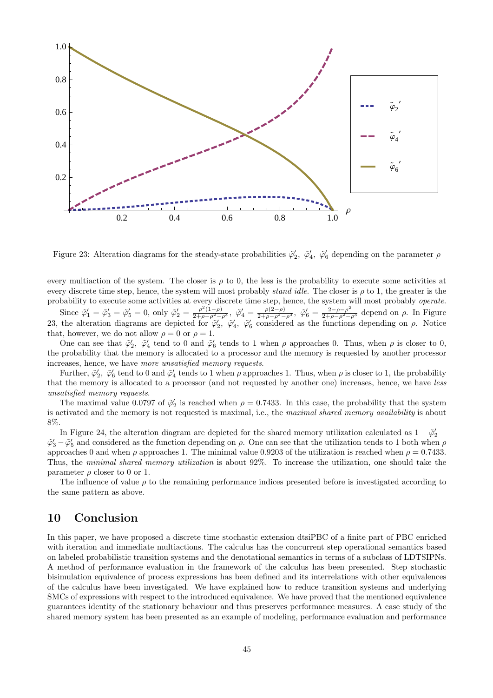

Figure 23: Alteration diagrams for the steady-state probabilities  $\tilde{\varphi}'_2$ ,  $\tilde{\varphi}'_4$ ,  $\tilde{\varphi}'_6$  depending on the parameter  $\rho$ 

every multiaction of the system. The closer is  $\rho$  to 0, the less is the probability to execute some activities at every discrete time step, hence, the system will most probably *stand idle*. The closer is *ρ* to 1, the greater is the probability to execute some activities at every discrete time step, hence, the system will most probably *operate*.

Since  $\tilde{\varphi}'_1 = \tilde{\varphi}'_3 = \tilde{\varphi}'_5 = 0$ , only  $\tilde{\varphi}'_2 = \frac{\rho^2(1-\rho)}{2+\rho-\rho^2-\rho^3}$ ,  $\tilde{\varphi}'_4 = \frac{\rho(2-\rho)}{2+\rho-\rho^2-\rho^3}$ ,  $\tilde{\varphi}'_6 = \frac{2-\rho-\rho^2}{2+\rho-\rho^2-\rho^3}$  depend on  $\rho$ . In Figure 23, the alteration diagrams are depicted for  $\tilde{\varphi}'_2$ ,  $\tilde{\varphi}'_4$ ,  $\tilde{\varphi}'_6$  considered as the functions depending on  $\rho$ . Notice that, however, we do not allow  $\rho = 0$  or  $\rho = 1$ .

One can see that  $\tilde{\varphi}'_2$ ,  $\tilde{\varphi}'_4$  tend to 0 and  $\tilde{\varphi}'_6$  tends to 1 when  $\rho$  approaches 0. Thus, when  $\rho$  is closer to 0, the probability that the memory is allocated to a processor and the memory is requested by another processor increases, hence, we have *more unsatisfied memory requests*.

Further,  $\tilde{\varphi}'_2$ ,  $\tilde{\varphi}'_6$  tend to 0 and  $\tilde{\varphi}'_4$  tends to 1 when  $\rho$  approaches 1. Thus, when  $\rho$  is closer to 1, the probability that the memory is allocated to a processor (and not requested by another one) increases, hence, we have *less unsatisfied memory requests*.

The maximal value 0.0797 of  $\tilde{\varphi}'_2$  is reached when  $\rho = 0.7433$ . In this case, the probability that the system is activated and the memory is not requested is maximal, i.e., the *maximal shared memory availability* is about 8%.

In Figure 24, the alteration diagram are depicted for the shared memory utilization calculated as  $1 - \tilde{\varphi}'_2$  *−*  $\tilde{\varphi}'_3 - \tilde{\varphi}'_5$  and considered as the function depending on  $\rho$ . One can see that the utilization tends to 1 both when  $\rho$ approaches 0 and when  $\rho$  approaches 1. The minimal value 0.9203 of the utilization is reached when  $\rho = 0.7433$ . Thus, the *minimal shared memory utilization* is about 92%. To increase the utilization, one should take the parameter  $\rho$  closer to 0 or 1.

The influence of value  $\rho$  to the remaining performance indices presented before is investigated according to the same pattern as above.

## **10 Conclusion**

In this paper, we have proposed a discrete time stochastic extension dtsiPBC of a finite part of PBC enriched with iteration and immediate multiactions. The calculus has the concurrent step operational semantics based on labeled probabilistic transition systems and the denotational semantics in terms of a subclass of LDTSIPNs. A method of performance evaluation in the framework of the calculus has been presented. Step stochastic bisimulation equivalence of process expressions has been defined and its interrelations with other equivalences of the calculus have been investigated. We have explained how to reduce transition systems and underlying SMCs of expressions with respect to the introduced equivalence. We have proved that the mentioned equivalence guarantees identity of the stationary behaviour and thus preserves performance measures. A case study of the shared memory system has been presented as an example of modeling, performance evaluation and performance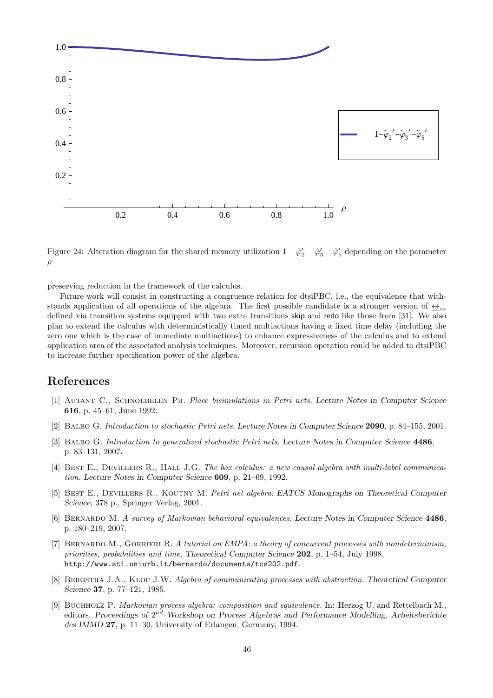

Figure 24: Alteration diagram for the shared memory utilization  $1 - \tilde{\varphi}'_2 - \tilde{\varphi}'_3 - \tilde{\varphi}'_5$  depending on the parameter *ρ*

preserving reduction in the framework of the calculus.

Future work will consist in constructing a congruence relation for dtsiPBC, i.e., the equivalence that withstands application of all operations of the algebra. The first possible candidate is a stronger version of  $\leftrightarrow$ <sub>ss</sub> defined via transition systems equipped with two extra transitions skip and redo like those from [31]. We also plan to extend the calculus with deterministically timed multiactions having a fixed time delay (including the zero one which is the case of immediate multiactions) to enhance expressiveness of the calculus and to extend application area of the associated analysis techniques. Moreover, recursion operation could be added to dtsiPBC to increase further specification power of the algebra.

## **References**

- [1] Autant C., Schnoebelen Ph. *Place bisimulations in Petri nets. Lecture Notes in Computer Science* **616**, p. 45–61, June 1992.
- [2] Balbo G. *Introduction to stochastic Petri nets. Lecture Notes in Computer Science* **2090**, p. 84–155, 2001.
- [3] Balbo G. *Introduction to generalized stochastic Petri nets. Lecture Notes in Computer Science* **4486**, p. 83–131, 2007.
- [4] Best E., Devillers R., Hall J.G. *The box calculus: a new causal algebra with multi-label communication. Lecture Notes in Computer Science* **609**, p. 21–69, 1992.
- [5] Best E., Devillers R., Koutny M. *Petri net algebra. EATCS Monographs on Theoretical Computer Science*, 378 p., Springer Verlag, 2001.
- [6] Bernardo M. *A survey of Markovian behavioral equivalences. Lecture Notes in Computer Science* **4486**, p. 180–219, 2007.
- [7] Bernardo M., Gorrieri R. *A tutorial on EMPA: a theory of concurrent processes with nondeterminism, priorities, probabilities and time. Theoretical Computer Science* **202**, p. 1–54, July 1998, http://www.sti.uniurb.it/bernardo/documents/tcs202.pdf.
- [8] Bergstra J.A., Klop J.W. *Algebra of communicating processes with abstraction. Theoretical Computer Science* **37**, p. 77–121, 1985.
- [9] Buchholz P. *Markovian process algebra: composition and equivalence.* In: Herzog U. and Rettelbach M., editors, *Proceedings of* 2 *nd Workshop on Process Algebras and Performance Modelling*, *Arbeitsberichte des IMMD* **27**, p. 11–30, University of Erlangen, Germany, 1994.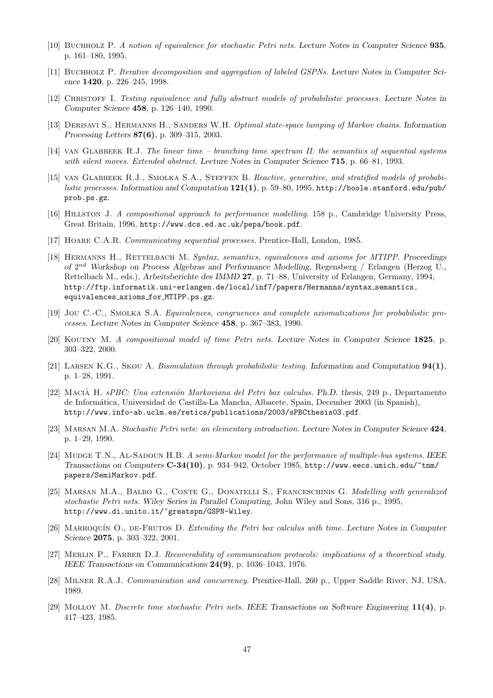- [10] Buchholz P. *A notion of equivalence for stochastic Petri nets. Lecture Notes in Computer Science* **935**, p. 161–180, 1995.
- [11] Buchholz P. *Iterative decomposition and aggregation of labeled GSPNs. Lecture Notes in Computer Science* **1420**, p. 226–245, 1998.
- [12] Christoff I. *Testing equivalence and fully abstract models of probabilistic processes. Lecture Notes in Computer Science* **458**, p. 126–140, 1990.
- [13] Derisavi S., Hermanns H., Sanders W.H. *Optimal state-space lumping of Markov chains. Information Processing Letters* **87(6)**, p. 309–315, 2003.
- [14] van Glabbeek R.J. *The linear time branching time spectrum II: the semantics of sequential systems with silent moves. Extended abstract. Lecture Notes in Computer Science* **715**, p. 66–81, 1993.
- [15] VAN GLABBEEK R.J., SMOLKA S.A., STEFFEN B. *Reactive, generative, and stratified models of probabilistic processes. Information and Computation* **121(1)**, p. 59–80, 1995, http://boole.stanford.edu/pub/ prob.ps.gz.
- [16] Hillston J. *A compositional approach to performance modelling.* 158 p., Cambridge University Press, Great Britain, 1996, http://www.dcs.ed.ac.uk/pepa/book.pdf.
- [17] Hoare C.A.R. *Communicating sequential processes.* Prentice-Hall, London, 1985.
- [18] Hermanns H., Rettelbach M. *Syntax, semantics, equivalences and axioms for MTIPP. Proceedings of* 2 *nd Workshop on Process Algebras and Performance Modelling*, Regensberg / Erlangen (Herzog U., Rettelbach M., eds.), *Arbeitsberichte des IMMD* **27**, p. 71–88, University of Erlangen, Germany, 1994, http://ftp.informatik.uni-erlangen.de/local/inf7/papers/Hermanns/syntax semantics equivalences axioms for MTIPP.ps.gz.
- [19] Jou C.-C., SMOLKA S.A. *Equivalences, congruences and complete axiomatizations for probabilistic processes. Lecture Notes in Computer Science* **458**, p. 367–383, 1990.
- [20] Koutny M. *A compositional model of time Petri nets. Lecture Notes in Computer Science* **1825**, p. 303–322, 2000.
- [21] Larsen K.G., Skou A. *Bisimulation through probabilistic testing. Information and Computation* **94(1)**, p. 1–28, 1991.
- [22] Macia H. ` *sPBC: Una extensi´on Markoviana del Petri box calculus. Ph.D. thesis*, 249 p., Departamento de Inform´atica, Universidad de Castilla-La Mancha, Albacete, Spain, December 2003 (in Spanish), http://www.info-ab.uclm.es/retics/publications/2003/sPBCthesis03.pdf.
- [23] Marsan M.A. *Stochastic Petri nets: an elementary introduction. Lecture Notes in Computer Science* **424**, p. 1–29, 1990.
- [24] Mudge T.N., Al-Sadoun H.B. *A semi-Markov model for the performance of multiple-bus systems. IEEE Transactions on Computers* **C-34(10)**, p. 934–942, October 1985, http://www.eecs.umich.edu/~tnm/ papers/SemiMarkov.pdf.
- [25] Marsan M.A., Balbo G., Conte G., Donatelli S., Franceschinis G. *Modelling with generalized stochastic Petri nets. Wiley Series in Parallel Computing*, John Wiley and Sons, 316 p., 1995, http://www.di.unito.it/~greatspn/GSPN-Wiley.
- [26] Marroqu´ın O., de-Frutos D. *Extending the Petri box calculus with time. Lecture Notes in Computer Science* **2075**, p. 303–322, 2001.
- [27] Merlin P., Farber D.J. *Recoverability of communication protocols: implications of a theoretical study. IEEE Transactions on Communications* **24(9)**, p. 1036–1043, 1976.
- [28] Milner R.A.J. *Communication and concurrency.* Prentice-Hall, 260 p., Upper Saddle River, NJ, USA, 1989.
- [29] Molloy M. *Discrete time stochastic Petri nets. IEEE Transactions on Software Engineering* **11(4)**, p. 417–423, 1985.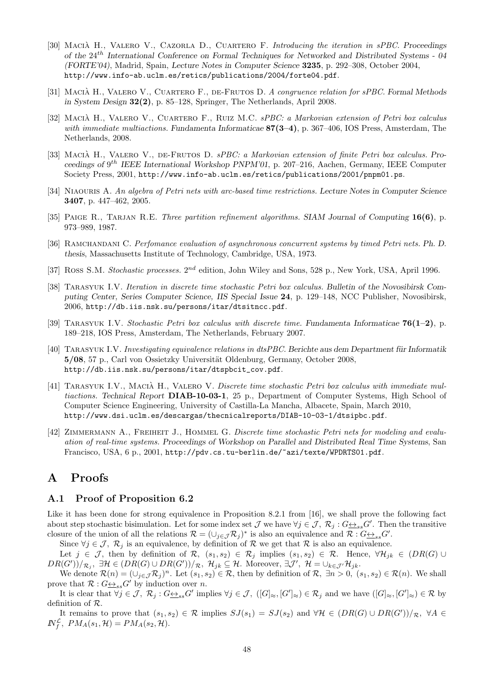- [30] Macia H., Valero V., Cazorla D., Cuartero F. ` *Introducing the iteration in sPBC. Proceedings of the* 24*th International Conference on Formal Techniques for Networked and Distributed Systems - 04 (FORTE'04)*, Madrid, Spain, *Lecture Notes in Computer Science* **3235**, p. 292–308, October 2004, http://www.info-ab.uclm.es/retics/publications/2004/forte04.pdf.
- [31] Macia H., Valero V., Cuartero F., de-Frutos D. ` *A congruence relation for sPBC. Formal Methods in System Design* **32(2)**, p. 85–128, Springer, The Netherlands, April 2008.
- [32] Macia H., Valero V., Cuartero F., Ruiz M.C. ` *sPBC: a Markovian extension of Petri box calculus with immediate multiactions. Fundamenta Informaticae* **87(3–4)**, p. 367–406, IOS Press, Amsterdam, The Netherlands, 2008.
- [33] MACIÀ H., VALERO V., DE-FRUTOS D. *sPBC: a Markovian extension of finite Petri box calculus.* Pro*ceedings of* 9 *th IEEE International Workshop PNPM'01*, p. 207–216, Aachen, Germany, IEEE Computer Society Press, 2001, http://www.info-ab.uclm.es/retics/publications/2001/pnpm01.ps.
- [34] Niaouris A. *An algebra of Petri nets with arc-based time restrictions. Lecture Notes in Computer Science* **3407**, p. 447–462, 2005.
- [35] Paige R., Tarjan R.E. *Three partition refinement algorithms. SIAM Journal of Computing* **16(6)**, p. 973–989, 1987.
- [36] Ramchandani C. *Perfomance evaluation of asynchronous concurrent systems by timed Petri nets. Ph. D. thesis*, Massachusetts Institute of Technology, Cambridge, USA, 1973.
- [37] Ross S.M. *Stochastic processes.*  $2^{nd}$  edition, John Wiley and Sons, 528 p., New York, USA, April 1996.
- [38] Tarasyuk I.V. *Iteration in discrete time stochastic Petri box calculus. Bulletin of the Novosibirsk Computing Center, Series Computer Science, IIS Special Issue* **24**, p. 129–148, NCC Publisher, Novosibirsk, 2006, http://db.iis.nsk.su/persons/itar/dtsitncc.pdf.
- [39] Tarasyuk I.V. *Stochastic Petri box calculus with discrete time. Fundamenta Informaticae* **76(1–2)**, p. 189–218, IOS Press, Amsterdam, The Netherlands, February 2007.
- [40] Tarasyuk I.V. *Investigating equivalence relations in dtsPBC. Berichte aus dem Department f¨ur Informatik* **5/08**, 57 p., Carl von Ossietzky Universität Oldenburg, Germany, October 2008, http://db.iis.nsk.su/persons/itar/dtspbcit\_cov.pdf.
- [41] TARASYUK I.V., MACIÀ H., VALERO V. *Discrete time stochastic Petri box calculus with immediate multiactions. Technical Report* **DIAB-10-03-1**, 25 p., Department of Computer Systems, High School of Computer Science Engineering, University of Castilla-La Mancha, Albacete, Spain, March 2010, http://www.dsi.uclm.es/descargas/thecnicalreports/DIAB-10-03-1/dtsipbc.pdf.
- [42] ZIMMERMANN A., FREIHEIT J., HOMMEL G. *Discrete time stochastic Petri nets for modeling and evaluation of real-time systems. Proceedings of Workshop on Parallel and Distributed Real Time Systems*, San Francisco, USA, 6 p., 2001, http://pdv.cs.tu-berlin.de/~azi/texte/WPDRTS01.pdf.

## **A Proofs**

#### **A.1 Proof of Proposition 6.2**

Like it has been done for strong equivalence in Proposition 8.2.1 from [16], we shall prove the following fact about step stochastic bisimulation. Let for some index set  $\mathcal{J}$  we have  $\forall j \in \mathcal{J}, \mathcal{R}_j : G \rightarrow S_{ss} G'$ . Then the transitive closure of the union of all the relations  $\mathcal{R} = (\cup_{j \in \mathcal{J}} \mathcal{R}_j)^*$  is also an equivalence and  $\mathcal{R} : G \rightarrow S} G'$ .

Since  $\forall j \in \mathcal{J}, \mathcal{R}_j$  is an equivalence, by definition of  $\mathcal{R}$  we get that  $\mathcal{R}$  is also an equivalence.

Let  $j \in \mathcal{J}$ , then by definition of  $\mathcal{R}$ ,  $(s_1, s_2) \in \mathcal{R}$ *j* implies  $(s_1, s_2) \in \mathcal{R}$ . Hence,  $\forall \mathcal{H}_{jk} \in (DR(G) \cup$  $DR(G'))/_{\mathcal{R}_j}$ ,  $\exists \mathcal{H} \in (DR(G) \cup DR(G'))/_{\mathcal{R}}$ ,  $\mathcal{H}_{jk} \subseteq \mathcal{H}$ . Moreover,  $\exists \mathcal{J}', \mathcal{H} = \cup_{k \in \mathcal{J}'} \mathcal{H}_{jk}$ .

We denote  $\mathcal{R}(n) = (\cup_{j \in \mathcal{J}} \mathcal{R}_j)^n$ . Let  $(s_1, s_2) \in \mathcal{R}$ , then by definition of  $\mathcal{R}, \exists n > 0, (s_1, s_2) \in \mathcal{R}(n)$ . We shall prove that  $\mathcal{R}: G \leftrightarrow_{ss} G'$  by induction over *n*.

It is clear that  $\forall j \in \mathcal{J}, \ \mathcal{R}_j : G \underline{\leftrightarrow}_{ss} G'$  implies  $\forall j \in \mathcal{J}, \ ([G]_{\approx}, [G']_{\approx}) \in \mathcal{R}_j$  and we have  $([G]_{\approx}, [G']_{\approx}) \in \mathcal{R}$  by definition of *R*.

It remains to prove that  $(s_1, s_2) \in \mathcal{R}$  implies  $SJ(s_1) = SJ(s_2)$  and  $\forall \mathcal{H} \in (DR(G) \cup DR(G'))/_{\mathcal{R}}$ ,  $\forall A \in$  $N_f^{\mathcal{L}}$ ,  $PM_A(s_1, \mathcal{H}) = PM_A(s_2, \mathcal{H})$ .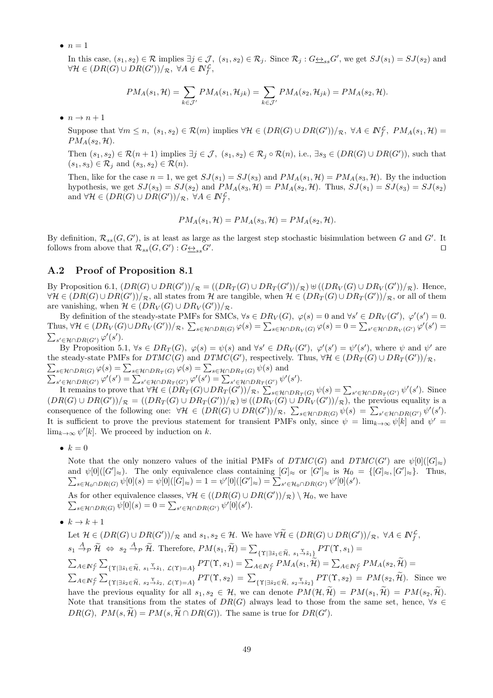$\bullet$   $n=1$ 

In this case,  $(s_1, s_2) \in \mathcal{R}$  implies  $\exists j \in \mathcal{J}$ ,  $(s_1, s_2) \in \mathcal{R}_j$ . Since  $\mathcal{R}_j : G \underline{\leftrightarrow}_{ss} G'$ , we get  $SJ(s_1) = SJ(s_2)$  and  $\forall H \in (DR(G) \cup DR(G'))/R, \ \forall A \in \mathbb{N}^{\mathcal{L}}_f,$  $(s_2) \in \mathcal{R}$  implies  $\exists j$ <br> $DR(G'))/\mathcal{R}, \ \forall A \in$ <br> $PM_A(s_1, \mathcal{H}) = \sum$  $\in \mathcal{J}, (s_1, s_2) \in \mathcal{R}_j$ . S<br> *PM*<sub>*A*</sub>(*s*<sub>1</sub>, *H*<sub>*jk*</sub>) =  $\sum$ 

$$
PM_A(s_1, \mathcal{H}) = \sum_{k \in \mathcal{J}'} PM_A(s_1, \mathcal{H}_{jk}) = \sum_{k \in \mathcal{J}'} PM_A(s_2, \mathcal{H}_{jk}) = PM_A(s_2, \mathcal{H}).
$$

 $\bullet$   $n \to n+1$ 

Suppose that  $\forall m \leq n$ ,  $(s_1, s_2) \in \mathcal{R}(m)$  implies  $\forall \mathcal{H} \in (DR(G) \cup DR(G'))/\mathcal{R}$ ,  $\forall A \in \mathbb{N}_f^{\mathcal{L}}$ ,  $PM_A(s_1, \mathcal{H}) =$  $PM_A(s_2, \mathcal{H}).$ 

Then  $(s_1, s_2) \in \mathcal{R}(n+1)$  implies  $\exists j \in \mathcal{J}, (s_1, s_2) \in \mathcal{R}_j \circ \mathcal{R}(n)$ , i.e.,  $\exists s_3 \in (DR(G) \cup DR(G'))$ , such that  $(s_1, s_3) \in \mathcal{R}_j$  and  $(s_3, s_2) \in \mathcal{R}(n)$ .

Then, like for the case  $n = 1$ , we get  $SJ(s_1) = SJ(s_3)$  and  $PM_A(s_1, \mathcal{H}) = PM_A(s_3, \mathcal{H})$ . By the induction hypothesis, we get  $SJ(s_3) = SJ(s_2)$  and  $PM_A(s_3, \mathcal{H}) = PM_A(s_2, \mathcal{H})$ . Thus,  $SJ(s_1) = SJ(s_3) = SJ(s_2)$ and  $\forall \mathcal{H} \in (DR(G) \cup DR(G'))/R, \ \forall A \in \mathbb{N}^{\mathcal{L}}_f,$ 

$$
PM_A(s_1, \mathcal{H}) = PM_A(s_3, \mathcal{H}) = PM_A(s_2, \mathcal{H}).
$$

By definition,  $\mathcal{R}_{ss}(G, G')$ , is at least as large as the largest step stochastic bisimulation between *G* and *G'*. It follows from above that  $\mathcal{R}_{ss}(G, G') : G \underline{\leftrightarrow}_{ss} G'$ . **∩** 

## **A.2 Proof of Proposition 8.1**

By Proposition 6.1,  $(DR(G) \cup DR(G'))/R = ((DR_T(G) \cup DR_T(G'))/R) \cup ((DR_V(G) \cup DR_V(G'))/R)$ . Hence,  $\forall \mathcal{H} \in (DR(G) \cup DR(G'))/\mathcal{R}$ , all states from  $\mathcal{H}$  are tangible, when  $\mathcal{H} \in (DR_T(G) \cup DR_T(G'))/\mathcal{R}$ , or all of them are vanishing, when  $\mathcal{H} \in (DR_V(G) \cup DR_V(G'))/R$ . By Proposition 6.1,  $(DR(G) \cup DR(G'))/_{\mathcal{R}} = ((DR_T(G) \cup DR_T(G'))/_{\mathcal{R}}) \oplus ((DR_V(G) \cup DR_V(G'))/_{\mathcal{R}})$ . Hence,<br>  $\forall \mathcal{H} \in (DR(G) \cup DR(G'))/_{\mathcal{R}}$ , all states from  $\mathcal{H}$  are tangible, when  $\mathcal{H} \in (DR_T(G) \cup DR_T(G'))/_{\mathcal{R}}$ , or all of them<br>
are va

By definition of the steady-state PMFs for SMCs,  $\forall s \in DR_V(G)$ ,  $\varphi(s) = 0$  and  $\forall s' \in DR_V(G')$ ,  $\varphi'(s') = 0$ . Thus,  $\forall \mathcal{H} \in (DR_V(G) \cup DR_V(G'))/R$ ,  $\sum$  $\sum_{s' \in \mathcal{H} \cap DR(G')} \varphi'(s').$ 

By Proposition 5.1,  $\forall s \in DR_T(G)$ ,  $\varphi(s) = \psi(s)$  and  $\forall s' \in DR_V(G')$ ,  $\varphi'(s') = \psi'(s')$ , where  $\psi$  and  $\psi'$  are the steady-state PMFs for  $DTMC(G)$  and  $DTMC(G')$ , respectively. Thus,  $\forall H \in (DR_T(G) \cup DR_T(G'))/R$ , *s*<sup>*∈H∩DR*(*G*')  $\varphi$ <sup>*(s*'</sup>).<br> *s*<sup>*∈H∩DR*(*G'*)  $\varphi$ <sup>'</sup>(*s'*).<br>
By Proposition 5.1,  $\forall s \in DR_T(G), \varphi(s) = \psi(s)$  and  $\forall s' \in DR$ <br> *e* steady-state PMFs for  $DTMC(G)$  and  $DTMC(G')$ , respectivel<br> *s∈H∩DR*(*G*)  $\varphi$ (*s*) =  $\sum_{s \in H \cap$  $s' \in \mathcal{H} \cap DR(G') \varphi'(s').$ <br>By Proposition 5.1,  $\forall s \in DR_T(G), \varphi(s) = \psi(s)$  and  $\forall s' \in DR_V(G)$ <br>e steady-state PMFs for  $DTMC(G)$  and  $DTMC(G')$ , respectively. T<br> $s \in \mathcal{H} \cap DR(G) \varphi(s) = \sum_{s \in \mathcal{H} \cap DR_T(G)} \varphi(s) = \sum_{s' \in \mathcal{H} \cap DR_T(G)} \psi(s)$  and<br> $s' \in$ *s DR<sub>V</sub>* (*G'*),  $\varphi'(s') = \psi'(s')$ , where  $\psi$  and  $\psi'$  are tively. Thus,  $\forall \mathcal{H} \in (DR_T(G) \cup DR_T(G'))/R$ ,<br>
(*x*<sup>*y*</sup>)  $\psi'(s')$ .<br>  $\psi'(s')$ .<br>  $\psi'(s') = \sum_{s' \in \mathcal{H} \cap DR_T(G')} \psi'(s')$ . Since

It remains to prove that  $\forall \mathcal{H} \in (DR_T(G) \cup DR_T(G'))/R$ ,  $\sum$  $(DR(G) \cup DR(G'))/_{\mathcal{R}} = ((DR_T(G) \cup DR_T(G'))/_{\mathcal{R}}) \cup ((DR_V(G) \cup DR_V(G'))/_{\mathcal{R}})$ , the previous equality is a consequence of the following one:  $\forall H \in (DR(G) \cup DR(G'))/\mathcal{R}, \sum_{s \in \mathcal{H} \cap DR(G)} \psi(s) = \sum_{s' \in \mathcal{H} \cap DR(G')} \psi'(s').$ *s*<sup>*'*</sup>).<br> *DR<sub>V</sub>*(*G'*))/<sub>*R*</sub>), the pre<br>  $\sum_{s \in \mathcal{H} \cap DR(G)} \psi(s) = \sum_{s \in \mathcal{H} \cap DR(G)} \psi(s) = \sum_{s \in \mathcal{H} \cap DR(G)} \psi(s)$ It is sufficient to prove the previous statement for transient PMFs only, since  $\psi = \lim_{k\to\infty} \psi[k]$  and  $\psi' =$ lim<sub> $k\rightarrow\infty$ </sub>  $\psi'[k]$ . We proceed by induction on *k*. ∑

•  $k=0$ 

Note that the only nonzero values of the initial PMFs of  $DTMC(G)$  and  $DTMC(G')$  are  $\psi[0]([G]_{\approx})$ and  $\psi[0]([G']_{\approx})$ . The only equivalence class containing  $[G]_{\approx}$  or  $[G']_{\approx}$  is  $\mathcal{H}_0 = \{[G]_{\approx}, [G']_{\approx}\}.$  Thus,  ${}_{s\in\mathcal{H}_0\cap DR(G)}\psi[0](s)=\psi[0]([G]_{\approx})=1=\psi'[0]([G']_{\approx})=\sum_{s'\in\mathcal{H}_0\cap DR(G')}\psi'[0](s').$ PMFs o<br>taining  $[$ <br> $]_{\approx}$ ) =  $\sum$ *s∈H<sub>0</sub>*(*G'*]<sub>≈</sub>). The only e<br>*s∈H<sub>0</sub>*(*DR(G*)  $\psi[0](s) = \psi[0](s)$ <br>*s∈H<sub>0</sub>*(*DR(G*)  $\psi[0](s) = 0$  =  $\sum$ 

As for other equivalence classes,  $\forall \mathcal{H} \in ((DR(G) \cup DR(G'))/R) \setminus \mathcal{H}_0$ , we have  $s \in \mathcal{H} \cap DR(G)$   $\psi[0](s) = 0 = \sum_{s' \in \mathcal{H} \cap DR(G')} \psi'[0](s').$ As for other equivalence classes,  $\forall H \in ((DR(G) \cup DR(G'))/R) \setminus \mathcal{H}_0$ , we have<br>  $\sum_{s \in \mathcal{H} \cap DR(G)} \psi[0](s) = 0 = \sum_{s' \in \mathcal{H} \cap DR(G')} \psi'[0](s').$ <br>  $k \to k+1$ <br>
Let  $\mathcal{H} \in (DR(G) \cup DR(G'))/R$  and  $s_1, s_2 \in \mathcal{H}$ . We have  $\forall \widetilde{\mathcal{H}} \in (DR(G) \cup DR(G$ 

•  $k \to k+1$ 

 $\sum_{s \in \mathcal{H} \cap DR(G)} \psi[0](s) = 0 = \sum_{s' \in \mathcal{H} \cap DR(G')} \psi'[0](s').$ <br>  $k \to k + 1$ <br>
Let  $\mathcal{H} \in (DR(G) \cup DR(G'))/\mathcal{R}$  and  $s_1, s_2 \in \mathcal{H}$ . We have  $\forall \widetilde{\mathcal{H}} \in (DR(G) \cup DR(G'))$ <br>  $s_1 \xrightarrow{A}^p \widetilde{\mathcal{H}} \iff s_2 \xrightarrow{A}^p \widetilde{\mathcal{H}}$ . Therefore,  $PM(s_1,$  *A∈IN<sup>L</sup> f*  $DR(G) \cup DR(G'))/R$  and  $s_1, s_2 \in \mathcal{H}$ . We have  $\forall \widetilde{\mathcal{H}} \in (DR(G) \cup DR(G'))/R$ ,  $\forall A \in \mathbb{N}_f^{\mathcal{H}}$ <br>  $\Leftrightarrow s_2 \stackrel{A}{\rightarrow} \widetilde{\mathcal{H}}$ . Therefore,  $PM(s_1, \widetilde{\mathcal{H}}) = \sum_{\{\Upsilon \mid \exists \tilde{s}_1 \in \widetilde{\mathcal{H}}, s_1 \stackrel{\Upsilon}{\rightarrow} \tilde{s}_1\}} PT(\Upsilon, s_1) =$ <br>  $\$ *PM*( $s_1, s_2 \in \mathcal{H}$ . We have  $\forall \widetilde{\mathcal{H}} \in (DR(G) \cup L)$ <br>  $PM(s_1, \widetilde{\mathcal{H}}) = \sum_{\{\Upsilon \mid \exists \tilde{s}_1 \in \widetilde{\mathcal{H}}, \ s_1 \stackrel{\Upsilon}{\to} \tilde{s}_1\}} PT(\Upsilon)$ <br>  $PT(\Upsilon, s_1) = \sum_{A \in \mathbb{N}^{\mathcal{L}}} PM_A(s_1, \widetilde{\mathcal{H}}) = \sum_{A \in \mathbb{N}^{\mathcal{L}}} PMA(\overline{s_1}, \widetilde{\mathcal{H}}$ *A*∈*<i>IN*<sup> $\text{L}$ </sup>  $\{ \Upsilon | \exists \tilde{s}_2 \in \widetilde{\mathcal{H}}, \ s_2 \stackrel{\Upsilon}{\rightarrow} \tilde{s}_2, \ \mathcal{L}(\Upsilon) = A \}$   $\} PT(\Upsilon, s_2) = \sum_{\{\Upsilon | \exists \tilde{s}_2 \in \widetilde{\mathcal{H}}, \ s_2 \stackrel{\Upsilon}{\rightarrow} \tilde{s}_2\}}$ *s*<sub>1</sub>, *s*<sub>2</sub>  $\in$  *H*. We<br> *PM*(*s*<sub>1</sub>,  $\widetilde{\mathcal{H}}$ ) =  $\sum$ <br> *PT*(**T**, *s*<sub>1</sub>) =  $\sum$ <br> *PT*(**T**, *s*<sub>2</sub>) =  $\sum$  $PT(\Upsilon, s_1) =$ <br>  $\hat{P} = \sum_{A \in \mathbb{N}_f^{\mathcal{L}}} PM_A(s_2, \tilde{\mathcal{H}}) =$ <br>  $PT(\Upsilon, s_2) = PM(s_2, \tilde{\mathcal{H}})$ . Since we  $\sum_{A \in \mathbb{N}_f^{\mathcal{L}}} \sum_{\{\Upsilon \mid \exists \tilde{s}_1 \in \tilde{\mathcal{H}}, \ s_1 \xrightarrow{\Upsilon} \tilde{s}_1\}} PT(\Upsilon, s_1) = \sum_{A \in \mathbb{N}_f^{\mathcal{L}}} PM_A(s_1, \widetilde{\mathcal{H}}) = \sum_{A \in \mathbb{N}_f^{\mathcal{L}}} PM_A(s_2, \widetilde{\mathcal{H}}) = \sum_{A \in \mathbb{N}_f^{\mathcal{L}}} \sum_{\{\Upsilon \mid \exists \tilde{s}_2 \in \tilde{\mathcal{H}}, \ s_2 \xrightarrow{\Upsilon} \tilde{s}_2, \$ Note that transitions from the states of  $DR(G)$  always lead to those from the same set, hence,  $\forall s \in$  $\sum_{A \in \mathbb{N}_f^{\mathcal{L}}} \sum_{\{\Upsilon | \exists \tilde{s}_2 \in \tilde{\mathcal{H}}, \ s_2 \xrightarrow{\Upsilon} \tilde{s}_2, \ \mathcal{L}(\Upsilon) = A\}} PT(\Upsilon, s_2) = \sum_{\{\Upsilon | \exists \tilde{s}_2 \in \tilde{\mathcal{H}}, \ s_2 \xrightarrow{\Upsilon} \tilde{s}_2\}} PT$ <br>have the previous equality for all  $s_1, s_2 \in \mathcal{H}$ , we can denote  $PM(\mathcal{H}, \mathcal{H$  $DR(G), PM(s, \tilde{\mathcal{H}}) = PM(s, \tilde{\mathcal{H}} \cap DR(G)).$  The same is true for  $DR(G')$ .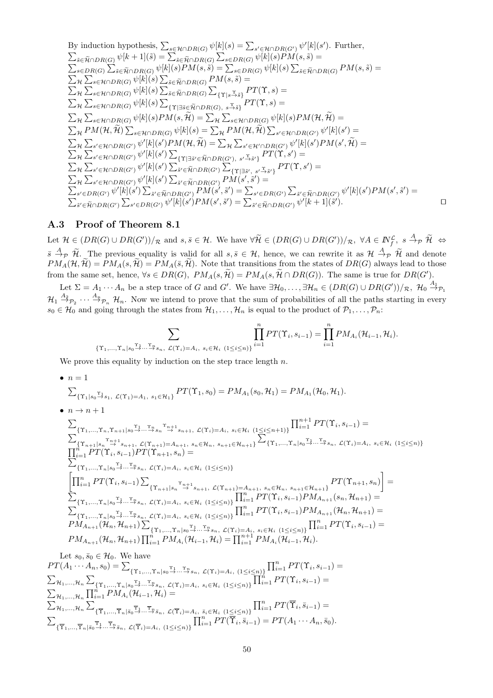By induction hypothesis, 
$$
\sum_{s \in \mathcal{H} \cap DR(G)} \psi[k](s) = \sum_{s' \in \mathcal{H} \cap DR(G)} \psi'[k](s').
$$
 Further,  
\n
$$
\sum_{\tilde{s} \in \tilde{R} \cap DR(G)} \psi[k+1](\tilde{s}) = \sum_{\tilde{s} \in \tilde{R} \cap DR(G)} \psi[k](\tilde{s}) = \sum_{s \in DR(G)} \psi[k](\tilde{s})PM(s, \tilde{s}) =
$$
  
\n
$$
\sum_{s \in DR(G)} \sum_{\tilde{s} \in \tilde{R} \cap DR(G)} \psi[k](\tilde{s})PM(s, \tilde{s}) = \sum_{s \in \tilde{R} \cap DR(G)} \psi[k](\tilde{s}) \sum_{\tilde{s} \in \tilde{R} \cap DR(G)} \psi[k](\tilde{s}) \sum_{\tilde{s} \in \tilde{R} \cap DR(G)} \sum_{\tilde{R} \in \tilde{R} \cap DR(G)} \sum_{\tilde{R} \in \tilde{R} \cap DR(G)} \sum_{\tilde{R} \in \tilde{R} \cap DR(G)} \sum_{\tilde{R} \in \tilde{R} \cap DR(G)} \sum_{\tilde{R} \in \tilde{R} \cap DR(G)} \psi[k](\tilde{s}) \sum_{\tilde{R} \in \tilde{R} \cap DR(G), s, \tilde{\Delta}, \tilde{\Delta}} PT(\tilde{R}, s) =
$$
  
\n
$$
\sum_{\mathcal{H}} \sum_{s \in \mathcal{H} \cap DR(G)} \psi[k](s) \sum_{\{T \mid \tilde{s} \in \tilde{R} \cap DR(G), s, \tilde{\Delta}, \tilde{\Delta}, \tilde{\Delta}} PT(\tilde{R}, s) =
$$
  
\n
$$
\sum_{\mathcal{H}} \sum_{s' \in \mathcal{H} \cap DR(G)} \psi[k](s)PM(s, \tilde{\mathcal{H}}) = \sum_{\mathcal{H}} \sum_{s' \in \mathcal{H} \cap DR(G)} \psi[k](\tilde{s})PM(t, \tilde{\mathcal{H}}) =
$$
  
\n
$$
\sum_{\mathcal{H}} \sum_{s' \in \mathcal{H} \cap DR(G')} \psi'[k](s') \sum_{\{T \mid \tilde{\Delta} \in \tilde{\mathcal{H}} \cap DR(G'), s, \tilde{\Delta}, \tilde{\Delta}, \tilde{\Delta
$$

#### **A.3 Proof of Theorem 8.1**

**A.3 Proof of Theorem 8.1**<br>
Let *H* ∈ (*DR*(*G*)∪*DR*(*G'*))/<sub>*R*</sub> and *s*, *s* ∈ *H*. We have  $\forall \widetilde{\mathcal{H}}$  ∈ (*DR*(*G*)∪*DR*(*G'*))/*R*,  $\forall A \in \mathbb{N}_f^{\mathcal{L}}$ ,  $s \stackrel{A}{\rightarrow} p \stackrel{\widetilde{\mathcal{H}}}{\rightarrow} \infty$ <br>  $\overline{s} \stackrel{A}{\rightarrow} p \stackrel{\$ **A.3 Proof of Theorem 8.1**<br>
Let  $\mathcal{H} \in (DR(G) \cup DR(G'))/R$  and  $s, \overline{s} \in \mathcal{H}$ . We have  $\forall \widetilde{\mathcal{H}} \in (DR(G) \cup DR(G'))/R$ ,  $\forall A \in \mathbb{N}_f^{\mathcal{L}}, s \stackrel{A}{\rightarrow} p \widetilde{\mathcal{H}} \Leftrightarrow$ <br>  $\overline{s} \stackrel{A}{\rightarrow} p \widetilde{\mathcal{H}}$ . The previous equality is va Let  $\mathcal{H} \in (DR(G) \cup DR(G'))/R$  and  $s, \overline{s} \in \mathcal{H}$ . We have  $\forall \widetilde{\mathcal{H}} \in (DR(G) \cup DR(G'))/R$ ,  $\forall A \in \mathbb{N}_f^{\mathcal{L}}, s \stackrel{A}{\rightarrow} p \widetilde{\mathcal{H}}$ <br>  $\overline{s} \stackrel{A}{\rightarrow} p \widetilde{\mathcal{H}}$ . The previous equality is valid for all  $s, \overline{s} \in \mathcal{H}$ , hen from the same set, hence,  $\forall s \in DR(G)$ ,  $PM_A(s, \widetilde{\mathcal{H}}) = PM_A(s, \widetilde{\mathcal{H}} \cap DR(G))$ . The same is true for  $DR(G')$ .

Let  $\Sigma = A_1 \cdots A_n$  be a step trace of G and G'. We have  $\exists \mathcal{H}_0, \ldots, \exists \mathcal{H}_n \in (DR(G) \cup DR(G'))/R$ ,  $\mathcal{H}_0 \stackrel{A_1}{\rightarrow} \mathcal{P}_1$  $\mathcal{H}_1 \stackrel{A_2}{\rightarrow} \mathcal{P}_2 \cdots \stackrel{A_n}{\rightarrow} \mathcal{P}_n$  *H<sub>n</sub>*. Now we intend to prove that the sum of probabilities of all the paths starting in every  $s_0 \in \mathcal{H}_0$  and going through the states from  $\mathcal{H}_1, \ldots, \mathcal{H}_n$  is equal to the product of  $\mathcal{P}_1, \ldots, \mathcal{P}_n$ :  $\ldots, \exists H_n \in (0.1)$ <br>bbabilities of<br>the product<br> $\ldots, s_{i-1}) = \prod^n$ 

$$
\sum_{\{\Upsilon_1,\ldots,\Upsilon_n|s_0\stackrel{\Upsilon_1}{\to}\ldots\stackrel{\Upsilon_n}{\to}s_n,\ \mathcal{L}(\Upsilon_i)=A_i,\ s_i\in\mathcal{H}_i\ (1\leq i\leq n)\}}\prod_{i=1}^nPT(\Upsilon_i,s_{i-1})=\prod_{i=1}^nPM_{A_i}(\mathcal{H}_{i-1},\mathcal{H}_i).
$$

We prove this equality by induction on the step trace length *n*.

•  $n=1$ 

$$
\sum_{\{\Upsilon_1|s_0\stackrel{\Upsilon_1}{\to}s_1,\ \mathcal{L}(\Upsilon_1)=A_1,\ s_1\in\mathcal{H}_1\}}PT(\Upsilon_1,s_0)=PM_{A_1}(s_0,\mathcal{H}_1)=PM_{A_1}(\mathcal{H}_0,\mathcal{H}_1).
$$

 $\bullet$   $n \to n+1$ 

$$
\sum_{\{\Upsilon_{1},\ldots,\Upsilon_{n},\Upsilon_{n+1}|s_{0}\to\ldots\to s_{n}\to s_{n+1},\ \mathcal{L}(\Upsilon_{i})=A_{i},\ s_{i}\in\mathcal{H}_{i}}\left(1\leq i\leq n+1\right)\}\prod_{i=1}^{n+1}PT(\Upsilon_{i},s_{i-1})=\n\sum_{\{\Upsilon_{n+1}|s_{n}\to\ldots\to s_{n+1},\ \mathcal{L}(\Upsilon_{n+1})=A_{n+1},\ s_{n}\in\mathcal{H}_{n},\ s_{n+1}\in\mathcal{H}_{n+1}\}}\n\prod_{i=1}^{n}PT(\Upsilon_{i},s_{i-1})PT(\Upsilon_{n+1},s_{n})=\n\sum_{\{\Upsilon_{1},\ldots,\Upsilon_{n}|s_{0}\to\ldots\to s_{n},\ \mathcal{L}(\Upsilon_{i})=A_{i},\ s_{i}\in\mathcal{H}_{i}}\left(1\leq i\leq n\right)\}}\n\prod_{i=1}^{n}PT(\Upsilon_{i},s_{i-1})\sum_{\{\Upsilon_{n+1}|s_{n}\to\ldots\to s_{n+1},\ \mathcal{L}(\Upsilon_{n+1})=A_{n+1},\ s_{n}\in\mathcal{H}_{n},\ s_{n+1}\in\mathcal{H}_{n+1}\}}\nPT(\Upsilon_{n+1},s_{n})=\n\sum_{\{\Upsilon_{1},\ldots,\Upsilon_{n}|s_{0}\to\ldots\to s_{n},\ \mathcal{L}(\Upsilon_{i})=A_{i},\ s_{i}\in\mathcal{H}_{i}}\left(1\leq i\leq n\right)\}}\n\prod_{i=1}^{n}PT(\Upsilon_{i},s_{i-1})PM_{A_{n+1}}(s_{n},\mathcal{H}_{n+1})=\n\sum_{\{\Upsilon_{1},\ldots,\Upsilon_{n}|s_{0}\to\ldots\to s_{n},\ \mathcal{L}(\Upsilon_{i})=A_{i},\ s_{i}\in\mathcal{H}_{i}}\left(1\leq i\leq n\right)\}}\n\prod_{i=1}^{n}PT(\Upsilon_{i},s_{i-1})PM_{A_{n+1}}(t_{n},\mathcal{H}_{n+1})=\n\sum_{i\{\Upsilon_{1},\ldots,\Upsilon_{n}|s_{0}\to\ldots\to s_{n},\ \mathcal{L}(\Upsilon_{
$$

Let  $s_0, \bar{s}_0 \in \mathcal{H}_0$ . We have  $PT(A_1 \cdots A_n, s_0) = \sum_{f \uparrow \infty}$   $\pi \mid_{s_0} \mathcal{I}_{1} \ldots \mathcal{I}_{s_s}$   $\pi(\mathcal{I}_{s}) = A_{r-1}(\mathcal{I}_{s} \leq r_0) \prod_{i=1}^n PT(\Upsilon_i, s_{i-1}) =$  $\mathcal{H}_1,...,\mathcal{H}_n\sum_{\{\Upsilon_1,...,\Upsilon_n|s_0\stackrel{\Upsilon_1}{\rightarrow}...\stackrel{\Upsilon_n}{\rightarrow}s_n, \mathcal{L}(\Upsilon_i)=A_i, \ s_i\in\mathcal{H}_i \ \ (1\leq i\leq n)\}}$  $\mathcal{H}_1, ..., \mathcal{H}_n$   $\sum_{\{\Upsilon_1, ..., \Upsilon_n | s_0 \to ... \to s_n, \ L(\Upsilon_i) = A_i, \ s_i \in \mathcal{H}_i \ (1 \le i \le n)\}} \prod_{i=1}^n PT(\Upsilon_i, s_{i-1}) =$   $\mathcal{H}_1, ..., \mathcal{H}_n$   $\prod_{i=1}^n PM_{A_i}(\mathcal{H}_{i-1}, \mathcal{H}_i) =$  $_{\mathcal{H}_1,...,\mathcal{H}_n}\sum$  $\{\overline{\Upsilon}_1,\ldots,\overline{\Upsilon}_n | \overline{s}_0 \stackrel{\Upsilon_1}{\rightarrow} \cdots \stackrel{\overline{\Upsilon}_n}{\rightarrow} \overline{s}_n, \ \mathcal{L}(\overline{\Upsilon}_i)=A_i, \ \overline{s}_i \in \mathcal{H}_i \ \ (1 \leq i \leq n)\}\$  $\sum_{i=1}^{n} PT(\overline{\Upsilon}_i, \overline{s}_{i-1}) =$  $\sum_{\mathcal{U}}$   $\sum_{\mathcal{U}}$   $\sum_{\mathcal{U}}$   $\sum_{\mathcal{U}}$   $\sum_{\mathcal{U}}$  ${\{\overline{\Upsilon}_1,\ldots,\overline{\Upsilon}_n | \overline{s}_0 \xrightarrow{\Upsilon_1} \ldots \xrightarrow{\Upsilon_n} \overline{s}_n, \mathcal{L}(\overline{\Upsilon}_i)=A_i, (1 \leq i \leq n)\}}$  $\sum_{i=1}^{n} PT(\overline{\overline{\Upsilon}_{i}}, \overline{s}_{i-1}) = PT(A_1 \cdots A_n, \overline{s}_0).$